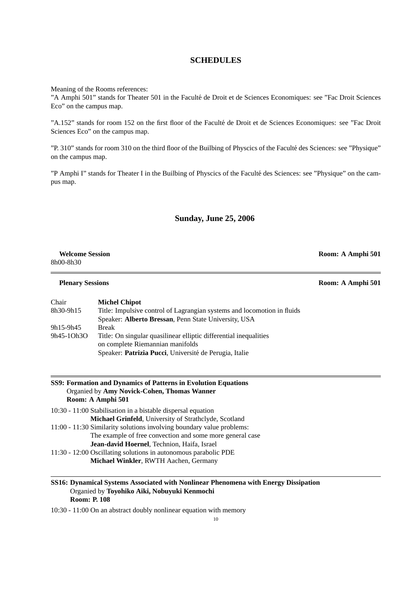# **SCHEDULES**

Meaning of the Rooms references:

"A Amphi 501" stands for Theater 501 in the Faculté de Droit et de Sciences Economiques: see "Fac Droit Sciences Eco" on the campus map.

"A.152" stands for room 152 on the first floor of the Faculté de Droit et de Sciences Economiques: see "Fac Droit Sciences Eco" on the campus map.

"P. 310" stands for room 310 on the third floor of the Builbing of Physcics of the Faculte des Sciences: see "Physique" ´ on the campus map.

"P Amphi I" stands for Theater I in the Builbing of Physcics of the Faculté des Sciences: see "Physique" on the campus map.

## **Sunday, June 25, 2006**

| <b>Welcome Session</b> | Room: A Amphi 501 |
|------------------------|-------------------|
| 8h00-8h30              |                   |

#### **Plenary Sessions Room: A Amphi 501**

Chair **Michel Chipot** 8h30-9h15 Title: Impulsive control of Lagrangian systems and locomotion in fluids Speaker: **Alberto Bressan**, Penn State University, USA 9h15-9h45 Break 9h45-1Oh3O Title: On singular quasilinear elliptic differential inequalities on complete Riemannian manifolds Speaker: Patrizia Pucci, Université de Perugia, Italie

#### **SS9: Formation and Dynamics of Patterns in Evolution Equations** Organied by **Amy Novick-Cohen, Thomas Wanner Room: A Amphi 501**

- 10:30 11:00 Stabilisation in a bistable dispersal equation **Michael Grinfeld**, University of Strathclyde, Scotland 11:00 - 11:30 Similarity solutions involving boundary value problems: The example of free convection and some more general case **Jean-david Hoernel**, Technion, Haifa, Israel
- 11:30 12:00 Oscillating solutions in autonomous parabolic PDE **Michael Winkler**, RWTH Aachen, Germany

### **SS16: Dynamical Systems Associated with Nonlinear Phenomena with Energy Dissipation** Organied by **Toyohiko Aiki, Nobuyuki Kenmochi Room: P. 108**

10:30 - 11:00 On an abstract doubly nonlinear equation with memory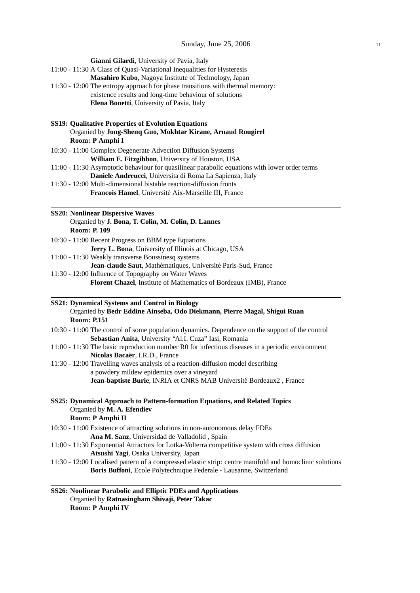| Gianni Gilardi, University of Pavia, Italy                                                                                                       |
|--------------------------------------------------------------------------------------------------------------------------------------------------|
| 11:00 - 11:30 A Class of Quasi-Variational Inequalities for Hysteresis                                                                           |
| Masahiro Kubo, Nagoya Institute of Technology, Japan                                                                                             |
| 11:30 - 12:00 The entropy approach for phase transitions with thermal memory:                                                                    |
| existence results and long-time behaviour of solutions<br>Elena Bonetti, University of Pavia, Italy                                              |
|                                                                                                                                                  |
| <b>SS19: Qualitative Properties of Evolution Equations</b><br>Organied by Jong-Shenq Guo, Mokhtar Kirane, Arnaud Rougirel<br>Room: P Amphi I     |
| 10:30 - 11:00 Complex Degenerate Advection Diffusion Systems                                                                                     |
| William E. Fitzgibbon, University of Houston, USA                                                                                                |
| 11:00 - 11:30 Asymptotic behaviour for quasilinear parabolic equations with lower order terms                                                    |
| Daniele Andreucci, Universita di Roma La Sapienza, Italy                                                                                         |
| 11:30 - 12:00 Multi-dimensional bistable reaction-diffusion fronts                                                                               |
| Francois Hamel, Université Aix-Marseille III, France                                                                                             |
| <b>SS20: Nonlinear Dispersive Waves</b>                                                                                                          |
| Organied by J. Bona, T. Colin, M. Colin, D. Lannes                                                                                               |
| <b>Room: P. 109</b>                                                                                                                              |
| 10:30 - 11:00 Recent Progress on BBM type Equations                                                                                              |
| Jerry L. Bona, University of Illinois at Chicago, USA                                                                                            |
| 11:00 - 11:30 Weakly transverse Boussinesq systems                                                                                               |
| Jean-claude Saut, Mathématiques, Université Paris-Sud, France                                                                                    |
| 11:30 - 12:00 Influence of Topography on Water Waves                                                                                             |
| Florent Chazel, Institute of Mathematics of Bordeaux (IMB), France                                                                               |
| <b>SS21: Dynamical Systems and Control in Biology</b>                                                                                            |
| Organied by Bedr Eddine Ainseba, Odo Diekmann, Pierre Magal, Shigui Ruan<br><b>Room: P.151</b>                                                   |
| 10:30 - 11:00 The control of some population dynamics. Dependence on the support of the control                                                  |
| Sebastian Anita, University "Al.I. Cuza" Iasi, Romania                                                                                           |
| 11:00 - 11:30 The basic reproduction number R0 for infectious diseases in a periodic environment<br>Nicolas Bacaër, I.R.D., France               |
| 11:30 - 12:00 Travelling waves analysis of a reaction-diffusion model describing                                                                 |
| a powdery mildew epidemics over a vineyard                                                                                                       |
| Jean-baptiste Burie, INRIA et CNRS MAB Université Bordeaux2, France                                                                              |
| SS25: Dynamical Approach to Pattern-formation Equations, and Related Topics                                                                      |
| Organied by M. A. Efendiev<br>Room: P Amphi II                                                                                                   |
| 10:30 - 11:00 Existence of attracting solutions in non-autonomous delay FDEs                                                                     |
| Ana M. Sanz, Universidad de Valladolid, Spain                                                                                                    |
| 11:00 - 11:30 Exponential Attractors for Lotka-Volterra competitive system with cross diffusion                                                  |
| Atsushi Yagi, Osaka University, Japan<br>11:30 - 12:00 Localised pattern of a compressed elastic strip: centre manifold and homoclinic solutions |
| Boris Buffoni, Ecole Polytechnique Federale - Lausanne, Switzerland                                                                              |
|                                                                                                                                                  |
| SS26: Nonlinear Parabolic and Elliptic PDEs and Applications<br>Organied by Ratnasingham Shivaji, Peter Takac                                    |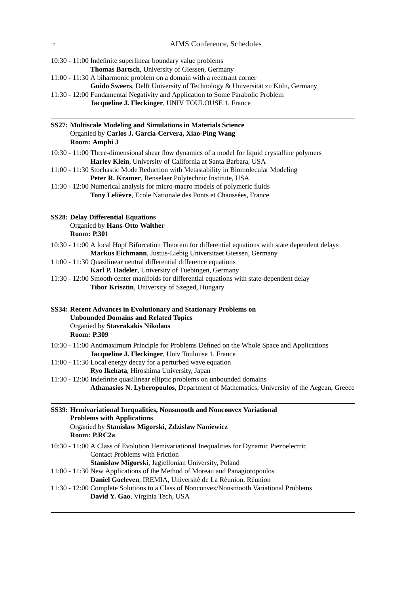| 10:30 - 11:00 Indefinite superlinear boundary value problems                                                                                                                       |
|------------------------------------------------------------------------------------------------------------------------------------------------------------------------------------|
| Thomas Bartsch, University of Giessen, Germany<br>11:00 - 11:30 A biharmonic problem on a domain with a reentrant corner                                                           |
| Guido Sweers, Delft University of Technology & Universität zu Köln, Germany                                                                                                        |
| 11:30 - 12:00 Fundamental Negativity and Application to Some Parabolic Problem<br>Jacqueline J. Fleckinger, UNIV TOULOUSE 1, France                                                |
| <b>SS27: Multiscale Modeling and Simulations in Materials Science</b><br>Organied by Carlos J. Garcia-Cervera, Xiao-Ping Wang<br>Room: Amphi J                                     |
| 10:30 - 11:00 Three-dimensional shear flow dynamics of a model for liquid crystalline polymers                                                                                     |
| Harley Klein, University of California at Santa Barbara, USA                                                                                                                       |
| 11:00 - 11:30 Stochastic Mode Reduction with Metastability in Biomolecular Modeling                                                                                                |
| Peter R. Kramer, Renselaer Polytechnic Institute, USA                                                                                                                              |
| 11:30 - 12:00 Numerical analysis for micro-macro models of polymeric fluids                                                                                                        |
| Tony Lelièvre, Ecole Nationale des Ponts et Chaussées, France                                                                                                                      |
| <b>SS28: Delay Differential Equations</b><br>Organied by Hans-Otto Walther<br><b>Room: P.301</b>                                                                                   |
| 10:30 - 11:00 A local Hopf Bifurcation Theorem for differential equations with state dependent delays                                                                              |
| Markus Eichmann, Justus-Liebig Universitaet Giessen, Germany                                                                                                                       |
| 11:00 - 11:30 Quasilinear neutral differential difference equations                                                                                                                |
| Karl P. Hadeler, University of Tuebingen, Germany                                                                                                                                  |
| 11:30 - 12:00 Smooth center manifolds for differential equations with state-dependent delay<br>Tibor Krisztin, University of Szeged, Hungary                                       |
| SS34: Recent Advances in Evolutionary and Stationary Problems on<br><b>Unbounded Domains and Related Topics</b><br>Organied by Stavrakakis Nikolaos<br><b>Room: P.309</b>          |
| 10:30 - 11:00 Antimaximum Principle for Problems Defined on the Whole Space and Applications<br>Jacqueline J. Fleckinger, Univ Toulouse 1, France                                  |
| 11:00 - 11:30 Local energy decay for a perturbed wave equation                                                                                                                     |
| Ryo Ikehata, Hiroshima University, Japan<br>11:30 - 12:00 Indefinite quasilinear elliptic problems on unbounded domains                                                            |
| Athanasios N. Lyberopoulos, Department of Mathematics, University of the Aegean, Greece                                                                                            |
| SS39: Hemivariational Inequalities, Nonsmooth and Nonconvex Variational<br><b>Problems with Applications</b><br>Organied by Stanislaw Migorski, Zdzislaw Naniewicz<br>Room: P.RC2a |
| 10:30 - 11:00 A Class of Evolution Hemivariational Inequalities for Dynamic Piezoelectric                                                                                          |
| <b>Contact Problems with Friction</b>                                                                                                                                              |
| Stanislaw Migorski, Jagiellonian University, Poland                                                                                                                                |
| 11:00 - 11:30 New Applications of the Method of Moreau and Panagiotopoulos                                                                                                         |
| Daniel Goeleven, IREMIA, Université de La Réunion, Réunion                                                                                                                         |
| 11:30 - 12:00 Complete Solutions to a Class of Nonconvex/Nonsmooth Variational Problems<br>David Y. Gao, Virginia Tech, USA                                                        |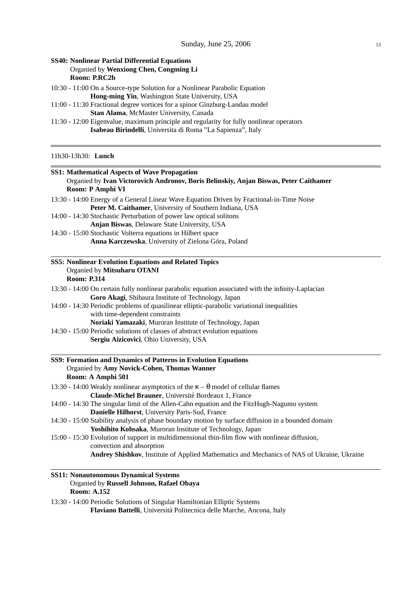# **SS40: Nonlinear Partial Differential Equations** Organied by **Wenxiong Chen, Congming Li Room: P.RC2b**

10:30 - 11:00 On a Source-type Solution for a Nonlinear Parabolic Equation **Hong-ming Yin**, Washington State University, USA

11:00 - 11:30 Fractional degree vortices for a spinor Ginzburg-Landau model **Stan Alama**, McMaster University, Canada

11:30 - 12:00 Eigenvalue, maximum principle and regularity for fully nonlinear operators **Isabeau Birindelli**, Universita di Roma "La Sapienza", Italy

11h30-13h30: **Lunch**

| <b>SS1: Mathematical Aspects of Wave Propagation</b><br>Organied by Ivan Victorovich Andronov, Boris Belinskiy, Anjan Biswas, Peter Caithamer<br>Room: P Amphi VI |
|-------------------------------------------------------------------------------------------------------------------------------------------------------------------|
| 13:30 - 14:00 Energy of a General Linear Wave Equation Driven by Fractional-in-Time Noise                                                                         |
| Peter M. Caithamer, University of Southern Indiana, USA                                                                                                           |
| 14:00 - 14:30 Stochastic Perturbation of power law optical solitons                                                                                               |
| Anjan Biswas, Delaware State University, USA                                                                                                                      |
| 14:30 - 15:00 Stochastic Volterra equations in Hilbert space                                                                                                      |
| Anna Karczewska, University of Zielona Góra, Poland                                                                                                               |
| <b>SS5: Nonlinear Evolution Equations and Related Topics</b>                                                                                                      |
| Organied by Mitsuharu OTANI                                                                                                                                       |
| <b>Room: P.314</b>                                                                                                                                                |
| 13:30 - 14:00 On certain fully nonlinear parabolic equation associated with the infinity-Laplacian                                                                |
| Goro Akagi, Shibaura Institute of Technology, Japan                                                                                                               |
| 14:00 - 14:30 Periodic problems of quasilinear elliptic-parabolic variational inequalities                                                                        |
| with time-dependent constraints                                                                                                                                   |
| Noriaki Yamazaki, Muroran Institute of Technology, Japan                                                                                                          |
| 14:30 - 15:00 Periodic solutions of classes of abstract evolution equations                                                                                       |
| Sergiu Aizicovici, Ohio University, USA                                                                                                                           |
| SS9: Formation and Dynamics of Patterns in Evolution Equations                                                                                                    |
| Organied by Amy Novick-Cohen, Thomas Wanner                                                                                                                       |
| Room: A Amphi 501                                                                                                                                                 |
| 13:30 - 14:00 Weakly nonlinear asymptotics of the $\kappa - \theta$ model of cellular flames                                                                      |
| Claude-Michel Brauner, Université Bordeaux 1, France                                                                                                              |
| 14:00 - 14:30 The singular limit of the Allen-Cahn equation and the FitzHugh-Nagumo system                                                                        |
| Danielle Hilhorst, University Paris-Sud, France                                                                                                                   |
| 14:30 - 15:00 Stability analysis of phase boundary motion by surface diffusion in a bounded domain                                                                |
| Yoshihito Kohsaka, Muroran Institute of Technology, Japan                                                                                                         |
| 15:00 - 15:30 Evolution of support in multidimensional thin-film flow with nonlinear diffusion,                                                                   |
| convection and absorption                                                                                                                                         |
| Andrey Shishkov, Institute of Applied Mathematics and Mechanics of NAS of Ukraine, Ukraine                                                                        |
| <b>SS11: Nonautonomous Dynamical Systems</b>                                                                                                                      |

#### Organied by **Russell Johnson, Rafael Obaya Room: A.152**

13:30 - 14:00 Periodic Solutions of Singular Hamiltonian Elliptic Systems **Flaviano Battelli**, Universita Politecnica delle Marche, Ancona, Italy `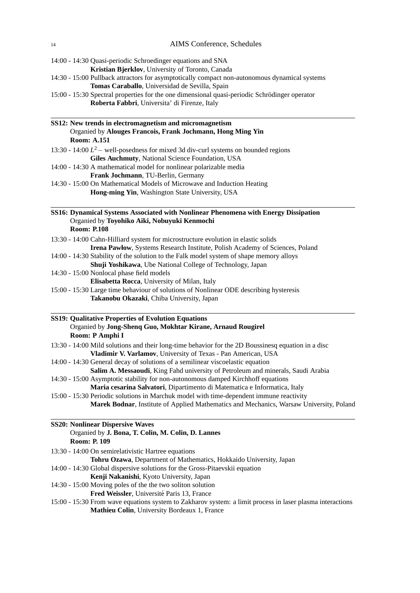| 14:00 - 14:30 Quasi-periodic Schroedinger equations and SNA                                                                                                       |
|-------------------------------------------------------------------------------------------------------------------------------------------------------------------|
| Kristian Bjerklov, University of Toronto, Canada                                                                                                                  |
| 14:30 - 15:00 Pullback attractors for asymptotically compact non-autonomous dynamical systems                                                                     |
| Tomas Caraballo, Universidad de Sevilla, Spain                                                                                                                    |
| 15:00 - 15:30 Spectral properties for the one dimensional quasi-periodic Schrödinger operator                                                                     |
| Roberta Fabbri, Universita' di Firenze, Italy                                                                                                                     |
| SS12: New trends in electromagnetism and micromagnetism                                                                                                           |
| Organied by Alouges Francois, Frank Jochmann, Hong Ming Yin                                                                                                       |
| <b>Room: A.151</b>                                                                                                                                                |
| 13:30 - 14:00 $L^2$ – well-posedness for mixed 3d div-curl systems on bounded regions                                                                             |
| Giles Auchmuty, National Science Foundation, USA                                                                                                                  |
| 14:00 - 14:30 A mathematical model for nonlinear polarizable media                                                                                                |
| Frank Jochmann, TU-Berlin, Germany                                                                                                                                |
| 14:30 - 15:00 On Mathematical Models of Microwave and Induction Heating                                                                                           |
| Hong-ming Yin, Washington State University, USA                                                                                                                   |
|                                                                                                                                                                   |
| SS16: Dynamical Systems Associated with Nonlinear Phenomena with Energy Dissipation<br>Organied by Toyohiko Aiki, Nobuyuki Kenmochi                               |
| <b>Room: P.108</b>                                                                                                                                                |
|                                                                                                                                                                   |
| 13:30 - 14:00 Cahn-Hilliard system for microstructure evolution in elastic solids<br>Irena Pawłow, Systems Research Institute, Polish Academy of Sciences, Poland |
| 14:00 - 14:30 Stability of the solution to the Falk model system of shape memory alloys                                                                           |
| Shuji Yoshikawa, Ube National College of Technology, Japan                                                                                                        |
| 14:30 - 15:00 Nonlocal phase field models                                                                                                                         |
| Elisabetta Rocca, University of Milan, Italy                                                                                                                      |
| 15:00 - 15:30 Large time behaviour of solutions of Nonlinear ODE describing hysteresis                                                                            |
| Takanobu Okazaki, Chiba University, Japan                                                                                                                         |
|                                                                                                                                                                   |
| <b>SS19: Qualitative Properties of Evolution Equations</b><br>Organied by Jong-Shenq Guo, Mokhtar Kirane, Arnaud Rougirel                                         |
| Room: P Amphi I                                                                                                                                                   |
| 13:30 - 14:00 Mild solutions and their long-time behavior for the 2D Boussinesq equation in a disc                                                                |
| Vladimir V. Varlamov, University of Texas - Pan American, USA                                                                                                     |
| 14:00 - 14:30 General decay of solutions of a semilinear viscoelastic equation                                                                                    |
| Salim A. Messaoudi, King Fahd university of Petroleum and minerals, Saudi Arabia                                                                                  |
| 14:30 - 15:00 Asymptotic stability for non-autonomous damped Kirchhoff equations                                                                                  |
| Maria cesarina Salvatori, Dipartimento di Matematica e Informatica, Italy                                                                                         |
| 15:00 - 15:30 Periodic solutions in Marchuk model with time-dependent immune reactivity                                                                           |
| Marek Bodnar, Institute of Applied Mathematics and Mechanics, Warsaw University, Poland                                                                           |
| <b>SS20: Nonlinear Dispersive Waves</b>                                                                                                                           |
| Organied by J. Bona, T. Colin, M. Colin, D. Lannes                                                                                                                |
| Room: P. 109                                                                                                                                                      |
| 13:30 - 14:00 On semirelativistic Hartree equations                                                                                                               |
| Tohru Ozawa, Department of Mathematics, Hokkaido University, Japan                                                                                                |
| 14:00 - 14:30 Global dispersive solutions for the Gross-Pitaevskii equation                                                                                       |
| Kenji Nakanishi, Kyoto University, Japan                                                                                                                          |
| 14:30 - 15:00 Moving poles of the the two soliton solution                                                                                                        |
| Fred Weissler, Université Paris 13, France                                                                                                                        |
| 15:00 - 15:30 From wave equations system to Zakharov system: a limit process in laser plasma interactions                                                         |

**Mathieu Colin**, University Bordeaux 1, France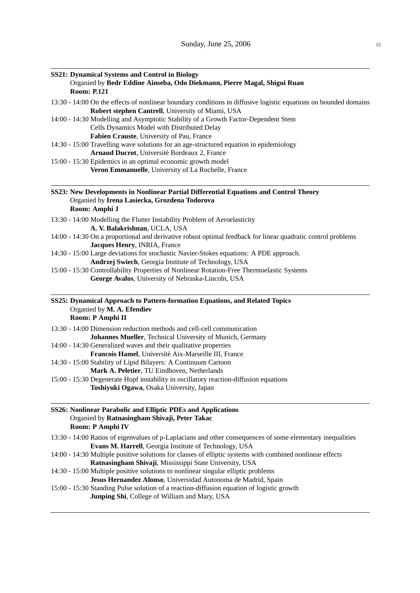| <b>Room: P.121</b> | <b>SS21: Dynamical Systems and Control in Biology</b><br>Organied by Bedr Eddine Ainseba, Odo Diekmann, Pierre Magal, Shigui Ruan                                                     |
|--------------------|---------------------------------------------------------------------------------------------------------------------------------------------------------------------------------------|
|                    | 13:30 - 14:00 On the effects of nonlinear boundary conditions in diffusive logistic equations on bounded domains<br>Robert stephen Cantrell, University of Miami, USA                 |
|                    | 14:00 - 14:30 Modelling and Asymptotic Stability of a Growth Factor-Dependent Stem<br>Cells Dynamics Model with Distributed Delay<br>Fabien Crauste, University of Pau, France        |
|                    | 14:30 - 15:00 Travelling wave solutions for an age-structured equation in epidemiology<br>Arnaud Ducrot, Université Bordeaux 2, France                                                |
|                    | 15:00 - 15:30 Epidemics in an optimal economic growth model<br>Veron Emmanuelle, University of La Rochelle, France                                                                    |
| Room: Amphi J      | SS23: New Developments in Nonlinear Partial Differential Equations and Control Theory<br>Organied by Irena Lasiecka, Grozdena Todorova                                                |
|                    | 13:30 - 14:00 Modelling the Flutter Instability Problem of Aeroelasticity<br>A. V. Balakrishnan, UCLA, USA                                                                            |
|                    | 14:00 - 14:30 On a proportional and derivative robust optimal feedback for linear quadratic control problems<br>Jacques Henry, INRIA, France                                          |
|                    | 14:30 - 15:00 Large deviations for stochastic Navier-Stokes equations: A PDE approach.<br>Andrzej Swiech, Georgia Institute of Technology, USA                                        |
|                    | 15:00 - 15:30 Controllability Properties of Nonlinear Rotation-Free Thermoelastic Systems<br>George Avalos, University of Nebraska-Lincoln, USA                                       |
| Room: P Amphi II   | SS25: Dynamical Approach to Pattern-formation Equations, and Related Topics<br>Organied by M. A. Efendiev                                                                             |
|                    | 13:30 - 14:00 Dimension reduction methods and cell-cell communication                                                                                                                 |
|                    | Johannes Mueller, Technical University of Munich, Germany<br>14:00 - 14:30 Generalized waves and their qualitative properties<br>Francois Hamel, Université Aix-Marseille III, France |
|                    | 14:30 - 15:00 Stability of Lipid Bilayers: A Continuum Cartoon<br>Mark A. Peletier, TU Eindhoven, Netherlands                                                                         |
|                    | 15:00 - 15:30 Degenerate Hopf instability in oscillatory reaction-diffusion equations<br>Toshiyuki Ogawa, Osaka University, Japan                                                     |
| Room: P Amphi IV   | SS26: Nonlinear Parabolic and Elliptic PDEs and Applications<br>Organied by Ratnasingham Shivaji, Peter Takac                                                                         |
|                    | 13:30 - 14:00 Ratios of eigenvalues of p-Laplacians and other consequences of some elementary inequalities<br>Evans M. Harrell, Georgia Institute of Technology, USA                  |
|                    | 14:00 - 14:30 Multiple positive solutions for classes of elliptic systems with combined nonlinear effects<br>Ratnasingham Shivaji, Mississippi State University, USA                  |
|                    | 14:30 - 15:00 Multiple positive solutions to nonlinear singular elliptic problems<br>Jesus Hernandez Alonso, Universidad Autonoma de Madrid, Spain                                    |
|                    | 15:00 - 15:30 Standing Pulse solution of a reaction-diffusion equation of logistic growth<br>Junping Shi, College of William and Mary, USA                                            |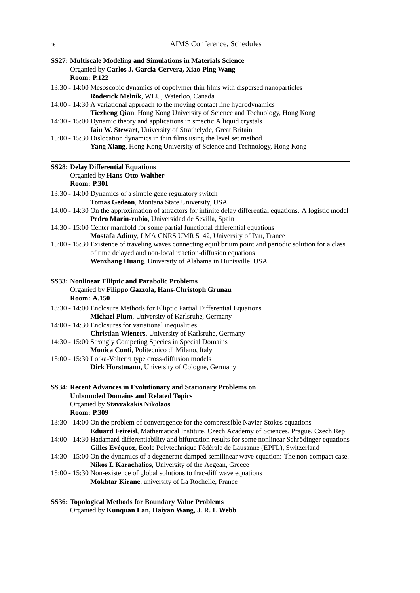| SS27: Multiscale Modeling and Simulations in Materials Science |
|----------------------------------------------------------------|
| Organied by Carlos J. Garcia-Cervera, Xiao-Ping Wang           |
| <b>Room: P.122</b>                                             |

- 13:30 14:00 Mesoscopic dynamics of copolymer thin films with dispersed nanoparticles **Roderick Melnik**, WLU, Waterloo, Canada
- 14:00 14:30 A variational approach to the moving contact line hydrodynamics **Tiezheng Qian**, Hong Kong University of Science and Technology, Hong Kong
- 14:30 15:00 Dynamic theory and applications in smectic A liquid crystals **Iain W. Stewart**, University of Strathclyde, Great Britain
- 15:00 15:30 Dislocation dynamics in thin films using the level set method **Yang Xiang**, Hong Kong University of Science and Technology, Hong Kong

# **SS28: Delay Differential Equations** Organied by **Hans-Otto Walther**

#### **Room: P.301**

- 13:30 14:00 Dynamics of a simple gene regulatory switch **Tomas Gedeon**, Montana State University, USA
- 14:00 14:30 On the approximation of attractors for infinite delay differential equations. A logistic model **Pedro Marin-rubio**, Universidad de Sevilla, Spain
- 14:30 15:00 Center manifold for some partial functional differential equations **Mostafa Adimy**, LMA CNRS UMR 5142, University of Pau, France
- 15:00 15:30 Existence of traveling waves connecting equilibrium point and periodic solution for a class of time delayed and non-local reaction-diffusion equations **Wenzhang Huang**, University of Alabama in Huntsville, USA

#### **SS33: Nonlinear Elliptic and Parabolic Problems** Organied by **Filippo Gazzola, Hans-Christoph Grunau Room: A.150**

- 13:30 14:00 Enclosure Methods for Elliptic Partial Differential Equations **Michael Plum**, University of Karlsruhe, Germany
- 14:00 14:30 Enclosures for variational inequalities **Christian Wieners**, University of Karlsruhe, Germany 14:30 - 15:00 Strongly Competing Species in Special Domains
	- **Monica Conti**, Politecnico di Milano, Italy
- 15:00 15:30 Lotka-Volterra type cross-diffusion models **Dirk Horstmann**, University of Cologne, Germany
- **SS34: Recent Advances in Evolutionary and Stationary Problems on Unbounded Domains and Related Topics** Organied by **Stavrakakis Nikolaos Room: P.309**
- 13:30 14:00 On the problem of converegence for the compressible Navier-Stokes equations **Eduard Feireisl**, Mathematical Institute, Czech Academy of Sciences, Prague, Czech Rep
- 14:00 14:30 Hadamard differentiability and bifurcation results for some nonlinear Schrodinger equations ¨ Gilles Evéquoz, Ecole Polytechnique Fédérale de Lausanne (EPFL), Switzerland
- 14:30 15:00 On the dynamics of a degenerate damped semilinear wave equation: The non-compact case. **Nikos I. Karachalios**, University of the Aegean, Greece
- 15:00 15:30 Non-existence of global solutions to frac-diff wave equations **Mokhtar Kirane**, university of La Rochelle, France

**SS36: Topological Methods for Boundary Value Problems** Organied by **Kunquan Lan, Haiyan Wang, J. R. L Webb**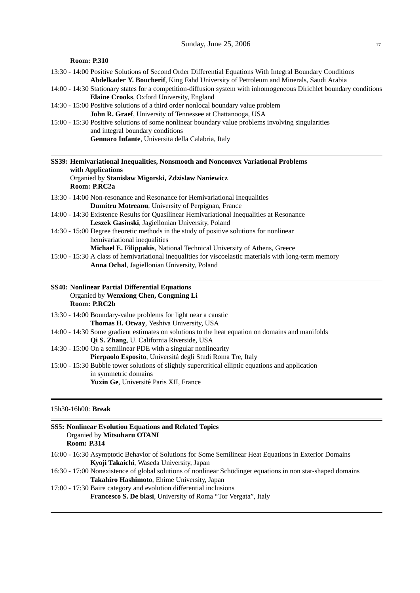| <b>Room: P.310</b>                                                                                                                                                                                 |
|----------------------------------------------------------------------------------------------------------------------------------------------------------------------------------------------------|
| 13:30 - 14:00 Positive Solutions of Second Order Differential Equations With Integral Boundary Conditions<br>Abdelkader Y. Boucherif, King Fahd University of Petroleum and Minerals, Saudi Arabia |
| 14:00 - 14:30 Stationary states for a competition-diffusion system with inhomogeneous Dirichlet boundary conditions                                                                                |
| Elaine Crooks, Oxford University, England                                                                                                                                                          |
| 14:30 - 15:00 Positive solutions of a third order nonlocal boundary value problem                                                                                                                  |
| John R. Graef, University of Tennessee at Chattanooga, USA                                                                                                                                         |
| 15:00 - 15:30 Positive solutions of some nonlinear boundary value problems involving singularities                                                                                                 |
| and integral boundary conditions                                                                                                                                                                   |
| Gennaro Infante, Universita della Calabria, Italy                                                                                                                                                  |
| SS39: Hemivariational Inequalities, Nonsmooth and Nonconvex Variational Problems<br>with Applications                                                                                              |
| Organied by Stanislaw Migorski, Zdzislaw Naniewicz                                                                                                                                                 |
| Room: P.RC2a                                                                                                                                                                                       |
| 13:30 - 14:00 Non-resonance and Resonance for Hemivariational Inequalities                                                                                                                         |
| Dumitru Motreanu, University of Perpignan, France                                                                                                                                                  |
| 14:00 - 14:30 Existence Results for Quasilinear Hemivariational Inequalities at Resonance                                                                                                          |
| Leszek Gasinski, Jagiellonian University, Poland                                                                                                                                                   |
| 14:30 - 15:00 Degree theoretic methods in the study of positive solutions for nonlinear                                                                                                            |
| hemivariational inequalities                                                                                                                                                                       |
| Michael E. Filippakis, National Technical University of Athens, Greece                                                                                                                             |
| 15:00 - 15:30 A class of hemivariational inequalities for viscoelastic materials with long-term memory                                                                                             |
| Anna Ochal, Jagiellonian University, Poland                                                                                                                                                        |
| <b>SS40: Nonlinear Partial Differential Equations</b>                                                                                                                                              |
| Organied by Wenxiong Chen, Congming Li                                                                                                                                                             |
| Room: P.RC2b                                                                                                                                                                                       |
| 13:30 - 14:00 Boundary-value problems for light near a caustic                                                                                                                                     |
| Thomas H. Otway, Yeshiva University, USA                                                                                                                                                           |
| 14:00 - 14:30 Some gradient estimates on solutions to the heat equation on domains and manifolds                                                                                                   |
| Qi S. Zhang, U. California Riverside, USA                                                                                                                                                          |
| 14:30 - 15:00 On a semilinear PDE with a singular nonlinearity<br>Pierpaolo Esposito, Universitá degli Studi Roma Tre, Italy                                                                       |
| 15:00 - 15:30 Bubble tower solutions of slightly supercritical elliptic equations and application                                                                                                  |
| in symmetric domains                                                                                                                                                                               |
| Yuxin Ge, Université Paris XII, France                                                                                                                                                             |
|                                                                                                                                                                                                    |
| $F1.00.100.$ D                                                                                                                                                                                     |

#### 15h30-16h00: **Break**

| <b>SS5: Nonlinear Evolution Equations and Related Topics</b>                                                |
|-------------------------------------------------------------------------------------------------------------|
| Organied by Mitsuharu OTANI                                                                                 |
| <b>Room: P.314</b>                                                                                          |
| 16:00 - 16:30 Asymptotic Behavior of Solutions for Some Semilinear Heat Equations in Exterior Domains       |
| Kvoji Takaichi, Waseda University, Japan                                                                    |
| 16:30 - 17:00 Nonexistence of global solutions of nonlinear Schödinger equations in non star-shaped domains |

**Takahiro Hashimoto**, Ehime University, Japan

17:00 - 17:30 Baire category and evolution differential inclusions

**Francesco S. De blasi**, University of Roma "Tor Vergata", Italy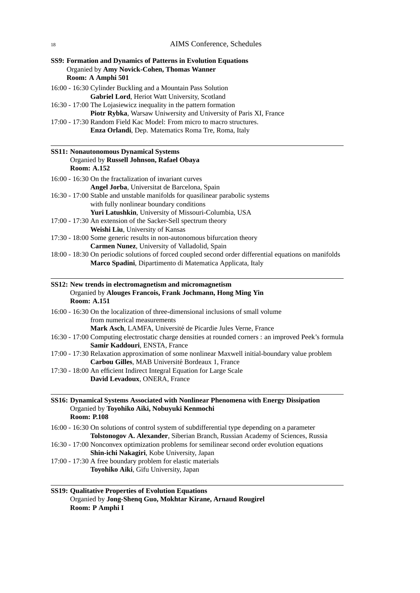| SS9: Formation and Dynamics of Patterns in Evolution Equations<br>Organied by Amy Novick-Cohen, Thomas Wanner<br>Room: A Amphi 501                        |
|-----------------------------------------------------------------------------------------------------------------------------------------------------------|
| 16:00 - 16:30 Cylinder Buckling and a Mountain Pass Solution                                                                                              |
| Gabriel Lord, Heriot Watt University, Scotland                                                                                                            |
| 16:30 - 17:00 The Lojasiewicz inequality in the pattern formation<br>Piotr Rybka, Warsaw Uniwersity and University of Paris XI, France                    |
| 17:00 - 17:30 Random Field Kac Model: From micro to macro structures.                                                                                     |
| Enza Orlandi, Dep. Matematics Roma Tre, Roma, Italy                                                                                                       |
|                                                                                                                                                           |
| <b>SS11: Nonautonomous Dynamical Systems</b>                                                                                                              |
| Organied by Russell Johnson, Rafael Obaya                                                                                                                 |
| <b>Room: A.152</b>                                                                                                                                        |
| 16:00 - 16:30 On the fractalization of invariant curves                                                                                                   |
| Angel Jorba, Universitat de Barcelona, Spain                                                                                                              |
| 16:30 - 17:00 Stable and unstable manifolds for quasilinear parabolic systems                                                                             |
| with fully nonlinear boundary conditions<br>Yuri Latushkin, University of Missouri-Columbia, USA                                                          |
| 17:00 - 17:30 An extension of the Sacker-Sell spectrum theory                                                                                             |
| Weishi Liu, University of Kansas                                                                                                                          |
| 17:30 - 18:00 Some generic results in non-autonomous bifurcation theory                                                                                   |
| Carmen Nunez, University of Valladolid, Spain                                                                                                             |
| 18:00 - 18:30 On periodic solutions of forced coupled second order differential equations on manifolds                                                    |
| Marco Spadini, Dipartimento di Matematica Applicata, Italy                                                                                                |
| SS12: New trends in electromagnetism and micromagnetism<br>Organied by Alouges Francois, Frank Jochmann, Hong Ming Yin<br><b>Room: A.151</b>              |
| 16:00 - 16:30 On the localization of three-dimensional inclusions of small volume                                                                         |
| from numerical measurements                                                                                                                               |
| Mark Asch, LAMFA, Université de Picardie Jules Verne, France                                                                                              |
| 16:30 - 17:00 Computing electrostatic charge densities at rounded corners : an improved Peek's formula<br>Samir Kaddouri, ENSTA, France                   |
| 17:00 - 17:30 Relaxation approximation of some nonlinear Maxwell initial-boundary value problem                                                           |
| Carbou Gilles, MAB Université Bordeaux 1, France                                                                                                          |
| 17:30 - 18:00 An efficient Indirect Integral Equation for Large Scale                                                                                     |
| David Levadoux, ONERA, France                                                                                                                             |
| SS16: Dynamical Systems Associated with Nonlinear Phenomena with Energy Dissipation<br>Organied by Toyohiko Aiki, Nobuyuki Kenmochi<br><b>Room: P.108</b> |
| 16:00 - 16:30 On solutions of control system of subdifferential type depending on a parameter                                                             |
| Tolstonogov A. Alexander, Siberian Branch, Russian Academy of Sciences, Russia                                                                            |
| 16:30 - 17:00 Nonconvex optimization problems for semilinear second order evolution equations<br>Shin-ichi Nakagiri, Kobe University, Japan               |
| 17:00 - 17:30 A free boundary problem for elastic materials                                                                                               |
| Toyohiko Aiki, Gifu University, Japan                                                                                                                     |
| <b>SS19: Qualitative Properties of Evolution Equations</b>                                                                                                |

Organied by **Jong-Shenq Guo, Mokhtar Kirane, Arnaud Rougirel Room: P Amphi I**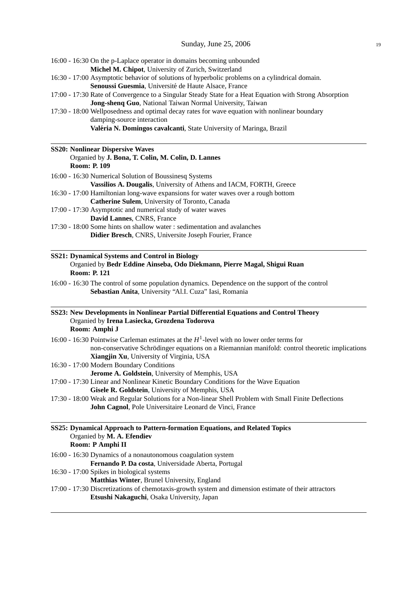| 16:00 - 16:30 On the p-Laplace operator in domains becoming unbounded<br>Michel M. Chipot, University of Zurich, Switzerland                                                                                                               |
|--------------------------------------------------------------------------------------------------------------------------------------------------------------------------------------------------------------------------------------------|
| 16:30 - 17:00 Asymptotic behavior of solutions of hyperbolic problems on a cylindrical domain.                                                                                                                                             |
| Senoussi Guesmia, Université de Haute Alsace, France                                                                                                                                                                                       |
| 17:00 - 17:30 Rate of Convergence to a Singular Steady State for a Heat Equation with Strong Absorption                                                                                                                                    |
| Jong-shenq Guo, National Taiwan Normal University, Taiwan                                                                                                                                                                                  |
| 17:30 - 18:00 Wellposedness and optimal decay rates for wave equation with nonlinear boundary                                                                                                                                              |
| damping-source interaction                                                                                                                                                                                                                 |
| Valéria N. Domingos cavalcanti, State University of Maringa, Brazil                                                                                                                                                                        |
| <b>SS20: Nonlinear Dispersive Waves</b>                                                                                                                                                                                                    |
| Organied by J. Bona, T. Colin, M. Colin, D. Lannes<br><b>Room: P. 109</b>                                                                                                                                                                  |
| 16:00 - 16:30 Numerical Solution of Boussinesq Systems                                                                                                                                                                                     |
| Vassilios A. Dougalis, University of Athens and IACM, FORTH, Greece                                                                                                                                                                        |
| 16:30 - 17:00 Hamiltonian long-wave expansions for water waves over a rough bottom                                                                                                                                                         |
| Catherine Sulem, University of Toronto, Canada                                                                                                                                                                                             |
| 17:00 - 17:30 Asymptotic and numerical study of water waves                                                                                                                                                                                |
| David Lannes, CNRS, France                                                                                                                                                                                                                 |
| 17:30 - 18:00 Some hints on shallow water : sedimentation and avalanches                                                                                                                                                                   |
| Didier Bresch, CNRS, Universite Joseph Fourier, France                                                                                                                                                                                     |
| <b>SS21: Dynamical Systems and Control in Biology</b><br>Organied by Bedr Eddine Ainseba, Odo Diekmann, Pierre Magal, Shigui Ruan<br><b>Room: P. 121</b>                                                                                   |
| 16:00 - 16:30 The control of some population dynamics. Dependence on the support of the control<br>Sebastian Anita, University "Al.I. Cuza" Iasi, Romania                                                                                  |
| SS23: New Developments in Nonlinear Partial Differential Equations and Control Theory<br>Organied by Irena Lasiecka, Grozdena Todorova                                                                                                     |
| Room: Amphi J                                                                                                                                                                                                                              |
| 16:00 - 16:30 Pointwise Carleman estimates at the $H1$ -level with no lower order terms for<br>non-conservative Schrödinger equations on a Riemannian manifold: control theoretic implications<br>Xiangjin Xu, University of Virginia, USA |
| 16:30 - 17:00 Modern Boundary Conditions<br>Jerome A. Goldstein, University of Memphis, USA                                                                                                                                                |
| 17:00 - 17:30 Linear and Nonlinear Kinetic Boundary Conditions for the Wave Equation<br>Gisele R. Goldstein, University of Memphis, USA                                                                                                    |
| 17:30 - 18:00 Weak and Regular Solutions for a Non-linear Shell Problem with Small Finite Deflections<br>John Cagnol, Pole Universitaire Leonard de Vinci, France                                                                          |
| SS25: Dynamical Approach to Pattern-formation Equations, and Related Topics                                                                                                                                                                |
| Organied by M. A. Efendiev<br>Room: P Amphi II                                                                                                                                                                                             |
| 16:00 - 16:30 Dynamics of a nonautonomous coagulation system                                                                                                                                                                               |
| Fernando P. Da costa, Universidade Aberta, Portugal                                                                                                                                                                                        |
| 16:30 - 17:00 Spikes in biological systems                                                                                                                                                                                                 |
| Matthias Winter, Brunel University, England                                                                                                                                                                                                |
| 17:00 - 17:30 Discretizations of chemotaxis-growth system and dimension estimate of their attractors<br>Etsushi Nakaguchi, Osaka University, Japan                                                                                         |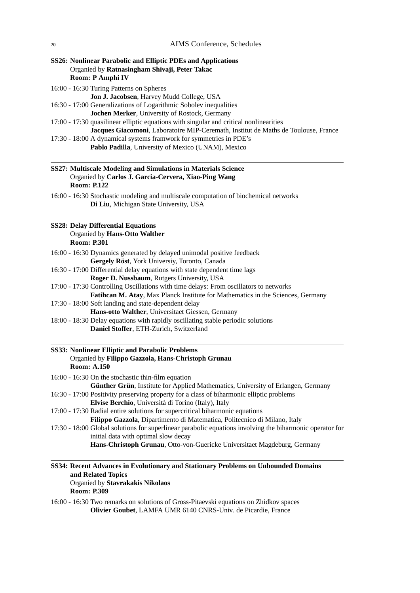**SS26: Nonlinear Parabolic and Elliptic PDEs and Applications** Organied by **Ratnasingham Shivaji, Peter Takac Room: P Amphi IV**

16:00 - 16:30 Turing Patterns on Spheres

**Jon J. Jacobsen**, Harvey Mudd College, USA

- 16:30 17:00 Generalizations of Logarithmic Sobolev inequalities **Jochen Merker**, University of Rostock, Germany
- 17:00 17:30 quasilinear elliptic equations with singular and critical nonlinearities **Jacques Giacomoni**, Laboratoire MIP-Ceremath, Institut de Maths de Toulouse, France
- 17:30 18:00 A dynamical systems framwork for symmetries in PDE's **Pablo Padilla**, University of Mexico (UNAM), Mexico

| SS27: Multiscale Modeling and Simulations in Materials Science |
|----------------------------------------------------------------|
| Organied by Carlos J. Garcia-Cervera, Xiao-Ping Wang           |
| <b>Room: P.122</b>                                             |

16:00 - 16:30 Stochastic modeling and multiscale computation of biochemical networks **Di Liu**, Michigan State University, USA

#### **SS28: Delay Differential Equations** Organied by **Hans-Otto Walther Room: P.301**

- 16:00 16:30 Dynamics generated by delayed unimodal positive feedback **Gergely Röst**, York Universiy, Toronto, Canada
- 16:30 17:00 Differential delay equations with state dependent time lags **Roger D. Nussbaum**, Rutgers University, USA
- 17:00 17:30 Controlling Oscillations with time delays: From oscillators to networks
- **Fatihcan M. Atay**, Max Planck Institute for Mathematics in the Sciences, Germany
- 17:30 18:00 Soft landing and state-dependent delay
	- **Hans-otto Walther**, Universitaet Giessen, Germany
- 18:00 18:30 Delay equations with rapidly oscillating stable periodic solutions **Daniel Stoffer**, ETH-Zurich, Switzerland

## **SS33: Nonlinear Elliptic and Parabolic Problems** Organied by **Filippo Gazzola, Hans-Christoph Grunau Room: A.150**

16:00 - 16:30 On the stochastic thin-film equation

**Günther Grün, Institute for Applied Mathematics, University of Erlangen, Germany** 16:30 - 17:00 Positivity preserving property for a class of biharmonic elliptic problems

- **Elvise Berchio**, Universita di Torino (Italy), Italy ´
- 17:00 17:30 Radial entire solutions for supercritical biharmonic equations **Filippo Gazzola**, Dipartimento di Matematica, Politecnico di Milano, Italy
- 17:30 18:00 Global solutions for superlinear parabolic equations involving the biharmonic operator for initial data with optimal slow decay **Hans-Christoph Grunau**, Otto-von-Guericke Universitaet Magdeburg, Germany

#### **SS34: Recent Advances in Evolutionary and Stationary Problems on Unbounded Domains and Related Topics** Organied by **Stavrakakis Nikolaos Room: P.309**

16:00 - 16:30 Two remarks on solutions of Gross-Pitaevski equations on Zhidkov spaces **Olivier Goubet**, LAMFA UMR 6140 CNRS-Univ. de Picardie, France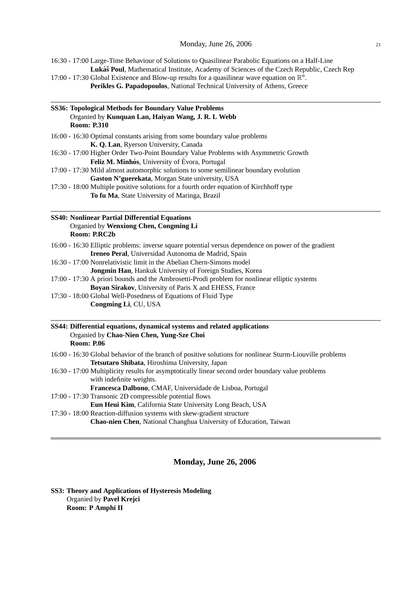16:30 - 17:00 Large-Time Behaviour of Solutions to Quasilinear Parabolic Equations on a Half-Line Lukáš Poul, Mathematical Institute, Academy of Sciences of the Czech Republic, Czech Rep

17:00 - 17:30 Global Existence and Blow-up results for a quasilinear wave equation on  $\mathbb{R}^n$ . **Perikles G. Papadopoulos**, National Technical University of Athens, Greece

| SS36: Topological Methods for Boundary Value Problems                                                                                      |  |
|--------------------------------------------------------------------------------------------------------------------------------------------|--|
| Organied by Kunquan Lan, Haiyan Wang, J. R. L Webb                                                                                         |  |
| <b>Room: P.310</b>                                                                                                                         |  |
| 16:00 - 16:30 Optimal constants arising from some boundary value problems                                                                  |  |
| K. Q. Lan, Ryerson University, Canada                                                                                                      |  |
| 16:30 - 17:00 Higher Order Two-Point Boundary Value Problems with Asymmetric Growth                                                        |  |
| Feliz M. Minhós, University of Évora, Portugal                                                                                             |  |
| 17:00 - 17:30 Mild almost automorphic solutions to some semilinear boundary evolution                                                      |  |
| Gaston N'guerekata, Morgan State university, USA                                                                                           |  |
| 17:30 - 18:00 Multiple positive solutions for a fourth order equation of Kirchhoff type                                                    |  |
| To fu Ma, State University of Maringa, Brazil                                                                                              |  |
| <b>SS40: Nonlinear Partial Differential Equations</b>                                                                                      |  |
| Organied by Wenxiong Chen, Congming Li                                                                                                     |  |
| Room: P.RC2b                                                                                                                               |  |
| 16:00 - 16:30 Elliptic problems: inverse square potential versus dependence on power of the gradient                                       |  |
| Ireneo Peral, Universidad Autonoma de Madrid, Spain                                                                                        |  |
| 16:30 - 17:00 Nonrelativistic limit in the Abelian Chern-Simons model                                                                      |  |
| Jongmin Han, Hankuk University of Foreign Studies, Korea                                                                                   |  |
| 17:00 - 17:30 A priori bounds and the Ambrosetti-Prodi problem for nonlinear elliptic systems                                              |  |
| Boyan Sirakov, University of Paris X and EHESS, France                                                                                     |  |
| 17:30 - 18:00 Global Well-Posedness of Equations of Fluid Type                                                                             |  |
| Congming Li, CU, USA                                                                                                                       |  |
| SS44: Differential equations, dynamical systems and related applications<br>Organied by Chao-Nien Chen, Yung-Sze Choi<br><b>Room: P.06</b> |  |
| 16:00 - 16:30 Global behavior of the branch of positive solutions for nonlinear Sturm-Liouville problems                                   |  |
| Tetsutaro Shibata, Hiroshima University, Japan                                                                                             |  |
| 16:30 - 17:00 Multiplicity results for asymptotically linear second order boundary value problems                                          |  |
| with indefinite weights.                                                                                                                   |  |
| Francesca Dalbono, CMAF, Universidade de Lisboa, Portugal                                                                                  |  |
| 17:00 - 17:30 Transonic 2D compressible potential flows                                                                                    |  |
| Eun Heui Kim, California State University Long Beach, USA                                                                                  |  |
| 17:30 - 18:00 Reaction-diffusion systems with skew-gradient structure                                                                      |  |
| Chao-nien Chen, National Changhua University of Education, Taiwan                                                                          |  |
|                                                                                                                                            |  |

# **Monday, June 26, 2006**

**SS3: Theory and Applications of Hysteresis Modeling** Organied by **Pavel Krejci Room: P Amphi II**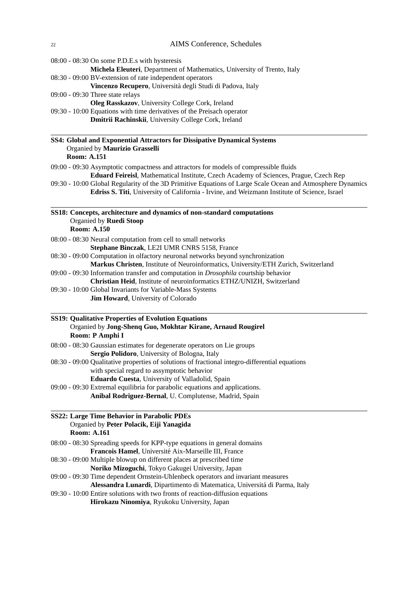|                                  | 08:00 - 08:30 On some P.D.E.s with hysteresis                                                                                                                                                              |
|----------------------------------|------------------------------------------------------------------------------------------------------------------------------------------------------------------------------------------------------------|
|                                  | Michela Eleuteri, Department of Mathematics, University of Trento, Italy                                                                                                                                   |
|                                  | 08:30 - 09:00 BV-extension of rate independent operators                                                                                                                                                   |
|                                  | Vincenzo Recupero, Università degli Studi di Padova, Italy                                                                                                                                                 |
| 09:00 - 09:30 Three state relays |                                                                                                                                                                                                            |
|                                  | Oleg Rasskazov, University College Cork, Ireland<br>09:30 - 10:00 Equations with time derivatives of the Preisach operator                                                                                 |
|                                  | Dmitrii Rachinskii, University College Cork, Ireland                                                                                                                                                       |
|                                  | SS4: Global and Exponential Attractors for Dissipative Dynamical Systems                                                                                                                                   |
|                                  | Organied by Maurizio Grasselli                                                                                                                                                                             |
| <b>Room: A.151</b>               |                                                                                                                                                                                                            |
|                                  | 09:00 - 09:30 Asymptotic compactness and attractors for models of compressible fluids                                                                                                                      |
|                                  | Eduard Feireisl, Mathematical Institute, Czech Academy of Sciences, Prague, Czech Rep                                                                                                                      |
|                                  | 09:30 - 10:00 Global Regularity of the 3D Primitive Equations of Large Scale Ocean and Atmosphere Dynamics<br>Edriss S. Titi, University of California - Irvine, and Weizmann Institute of Science, Israel |
|                                  | SS18: Concepts, architecture and dynamics of non-standard computations                                                                                                                                     |
|                                  | Organied by Ruedi Stoop                                                                                                                                                                                    |
| <b>Room: A.150</b>               |                                                                                                                                                                                                            |
|                                  | 08:00 - 08:30 Neural computation from cell to small networks<br>Stephane Binczak, LE2I UMR CNRS 5158, France                                                                                               |
|                                  | 08:30 - 09:00 Computation in olfactory neuronal networks beyond synchronization                                                                                                                            |
|                                  | Markus Christen, Institute of Neuroinformatics, University/ETH Zurich, Switzerland                                                                                                                         |
|                                  | 09:00 - 09:30 Information transfer and computation in <i>Drosophila</i> courtship behavior                                                                                                                 |
|                                  | Christian Heid, Institute of neuroinformatics ETHZ/UNIZH, Switzerland                                                                                                                                      |
|                                  | 09:30 - 10:00 Global Invariants for Variable-Mass Systems<br>Jim Howard, University of Colorado                                                                                                            |
| Room: P Amphi I                  | <b>SS19: Qualitative Properties of Evolution Equations</b><br>Organied by Jong-Shenq Guo, Mokhtar Kirane, Arnaud Rougirel                                                                                  |
|                                  | 08:00 - 08:30 Gaussian estimates for degenerate operators on Lie groups                                                                                                                                    |
|                                  | Sergio Polidoro, University of Bologna, Italy                                                                                                                                                              |
|                                  | 08:30 - 09:00 Qualitative properties of solutions of fractional integro-differential equations                                                                                                             |
|                                  | with special regard to assymptotic behavior                                                                                                                                                                |
|                                  | Eduardo Cuesta, University of Valladolid, Spain                                                                                                                                                            |
|                                  | 09:00 - 09:30 Extremal equilibria for parabolic equations and applications.<br>Anibal Rodriguez-Bernal, U. Complutense, Madrid, Spain                                                                      |
|                                  | <b>SS22: Large Time Behavior in Parabolic PDEs</b>                                                                                                                                                         |
|                                  | Organied by Peter Polacik, Eiji Yanagida                                                                                                                                                                   |
| <b>Room: A.161</b>               |                                                                                                                                                                                                            |
|                                  | 08:00 - 08:30 Spreading speeds for KPP-type equations in general domains                                                                                                                                   |
|                                  | Francois Hamel, Université Aix-Marseille III, France                                                                                                                                                       |
|                                  | 08:30 - 09:00 Multiple blowup on different places at prescribed time                                                                                                                                       |
|                                  | Noriko Mizoguchi, Tokyo Gakugei University, Japan                                                                                                                                                          |
|                                  | 09:00 - 09:30 Time dependent Ornstein-Uhlenbeck operators and invariant measures                                                                                                                           |
|                                  | Alessandra Lunardi, Dipartimento di Matematica, Universitá di Parma, Italy<br>09:30 - 10:00 Entire solutions with two fronts of reaction-diffusion equations                                               |
|                                  | Hirokazu Ninomiya, Ryukoku University, Japan                                                                                                                                                               |
|                                  |                                                                                                                                                                                                            |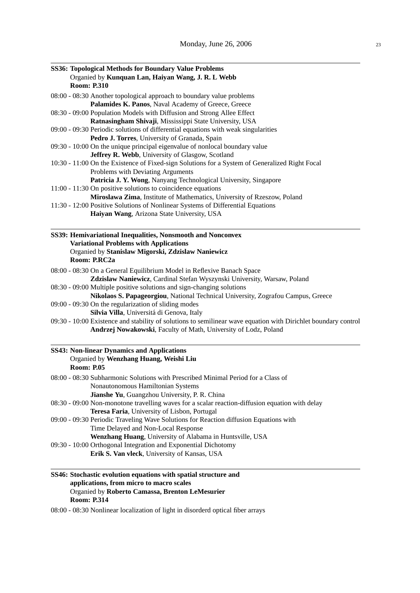| SS36: Topological Methods for Boundary Value Problems                                                          |
|----------------------------------------------------------------------------------------------------------------|
| Organied by Kunquan Lan, Haiyan Wang, J. R. L Webb<br><b>Room: P.310</b>                                       |
|                                                                                                                |
| 08:00 - 08:30 Another topological approach to boundary value problems                                          |
| Palamides K. Panos, Naval Academy of Greece, Greece                                                            |
| 08:30 - 09:00 Population Models with Diffusion and Strong Allee Effect                                         |
| Ratnasingham Shivaji, Mississippi State University, USA                                                        |
| 09:00 - 09:30 Periodic solutions of differential equations with weak singularities                             |
| Pedro J. Torres, University of Granada, Spain                                                                  |
| 09:30 - 10:00 On the unique principal eigenvalue of nonlocal boundary value                                    |
| Jeffrey R. Webb, University of Glasgow, Scotland                                                               |
| 10:30 - 11:00 On the Existence of Fixed-sign Solutions for a System of Generalized Right Focal                 |
| Problems with Deviating Arguments                                                                              |
| Patricia J. Y. Wong, Nanyang Technological University, Singapore                                               |
| 11:00 - 11:30 On positive solutions to coincidence equations                                                   |
| Miroslawa Zima, Institute of Mathematics, University of Rzeszow, Poland                                        |
| 11:30 - 12:00 Positive Solutions of Nonlinear Systems of Differential Equations                                |
| Haiyan Wang, Arizona State University, USA                                                                     |
|                                                                                                                |
| SS39: Hemivariational Inequalities, Nonsmooth and Nonconvex<br><b>Variational Problems with Applications</b>   |
| Organied by Stanislaw Migorski, Zdzislaw Naniewicz                                                             |
| Room: P.RC2a                                                                                                   |
|                                                                                                                |
| 08:00 - 08:30 On a General Equilibrium Model in Reflexive Banach Space                                         |
| Zdzislaw Naniewicz, Cardinal Stefan Wyszynski University, Warsaw, Poland                                       |
| 08:30 - 09:00 Multiple positive solutions and sign-changing solutions                                          |
| Nikolaos S. Papageorgiou, National Technical University, Zografou Campus, Greece                               |
| 09:00 - 09:30 On the regularization of sliding modes                                                           |
| Silvia Villa, Universitá di Genova, Italy                                                                      |
| 09:30 - 10:00 Existence and stability of solutions to semilinear wave equation with Dirichlet boundary control |
| Andrzej Nowakowski, Faculty of Math, University of Lodz, Poland                                                |
| <b>SS43: Non-linear Dynamics and Applications</b>                                                              |
| Organied by Wenzhang Huang, Weishi Liu                                                                         |
| <b>Room: P.05</b>                                                                                              |
| 08:00 - 08:30 Subharmonic Solutions with Prescribed Minimal Period for a Class of                              |
| Nonautonomous Hamiltonian Systems                                                                              |
| Jianshe Yu, Guangzhou University, P. R. China                                                                  |
| 08:30 - 09:00 Non-monotone travelling waves for a scalar reaction-diffusion equation with delay                |
| Teresa Faria, University of Lisbon, Portugal                                                                   |
| 09:00 - 09:30 Periodic Traveling Wave Solutions for Reaction diffusion Equations with                          |
| Time Delayed and Non-Local Response                                                                            |
| Wenzhang Huang, University of Alabama in Huntsville, USA                                                       |
|                                                                                                                |
| 09:30 - 10:00 Orthogonal Integration and Exponential Dichotomy<br>Erik S. Van vleck, University of Kansas, USA |
|                                                                                                                |
|                                                                                                                |

# **SS46: Stochastic evolution equations with spatial structure and applications, from micro to macro scales** Organied by **Roberto Camassa, Brenton LeMesurier Room: P.314**

08:00 - 08:30 Nonlinear localization of light in disorderd optical fiber arrays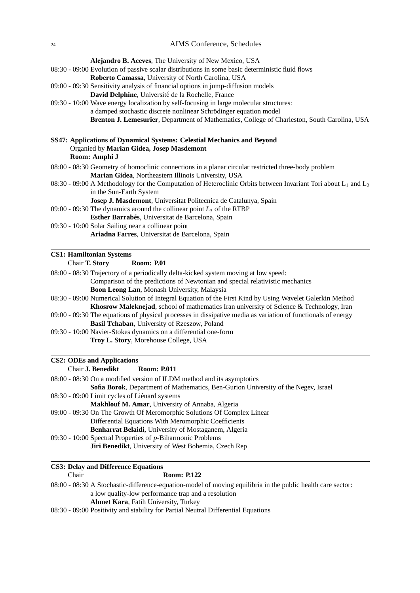**Alejandro B. Aceves**, The University of New Mexico, USA 08:30 - 09:00 Evolution of passive scalar distributions in some basic deterministic fluid flows **Roberto Camassa**, University of North Carolina, USA 09:00 - 09:30 Sensitivity analysis of financial options in jump-diffusion models David Delphine, Université de la Rochelle, France 09:30 - 10:00 Wave energy localization by self-focusing in large molecular structures: a damped stochastic discrete nonlinear Schrödinger equation model **Brenton J. Lemesurier**, Department of Mathematics, College of Charleston, South Carolina, USA **SS47: Applications of Dynamical Systems: Celestial Mechanics and Beyond**

| Organied by Marian Gidea, Josep Masdemont                                                                           |
|---------------------------------------------------------------------------------------------------------------------|
| Room: Amphi J                                                                                                       |
| 08:00 - 08:30 Geometry of homoclinic connections in a planar circular restricted three-body problem                 |
| Marian Gidea, Northeastern Illinois University, USA                                                                 |
| 08:30 - 09:00 A Methodology for the Computation of Heteroclinic Orbits between Invariant Tori about $L_1$ and $L_2$ |
| in the Sun-Earth System                                                                                             |
| Josep J. Masdemont, Universitat Politecnica de Catalunya, Spain                                                     |
| 09:00 - 09:30 The dynamics around the collinear point $L_3$ of the RTBP                                             |
| <b>Esther Barrabés, Universitat de Barcelona, Spain</b>                                                             |
| 09:30 - 10:00 Solar Sailing near a collinear point                                                                  |
| Ariadna Farres, Universitat de Barcelona, Spain                                                                     |
|                                                                                                                     |
| CC1+ Hamiltanian Systems                                                                                            |

| <b>CS1: Hamiltonian Systems</b> |                    |
|---------------------------------|--------------------|
| $ChowT$ $Chow$                  | $D_{\alpha\alpha}$ |

| Chair <b>T. Story</b> | <b>Room: P.01</b> |
|-----------------------|-------------------|
|-----------------------|-------------------|

08:00 - 08:30 Trajectory of a periodically delta-kicked system moving at low speed:

Comparison of the predictions of Newtonian and special relativistic mechanics

**Boon Leong Lan**, Monash University, Malaysia

08:30 - 09:00 Numerical Solution of Integral Equation of the First Kind by Using Wavelet Galerkin Method **Khosrow Maleknejad**, school of mathematics Iran university of Science & Technology, Iran

- 09:00 09:30 The equations of physical processes in dissipative media as variation of functionals of energy **Basil Tchaban**, University of Rzeszow, Poland
- 09:30 10:00 Navier-Stokes dynamics on a differential one-form **Troy L. Story**, Morehouse College, USA

# **CS2: ODEs and Applications**

| <b>Chair J. Benedikt</b> | <b>Room: P.011</b> |  |
|--------------------------|--------------------|--|
|                          |                    |  |

| 08:00 - 08:30 On a modified version of ILDM method and its asymptotics             |
|------------------------------------------------------------------------------------|
| Sofia Borok, Department of Mathematics, Ben-Gurion University of the Negev, Israel |
| 08:30 - 09:00 Limit cycles of Liénard systems                                      |
| <b>Makhlouf M. Amar, University of Annaba, Algeria</b>                             |
| 09:00 - 09:30 On The Growth Of Meromorphic Solutions Of Complex Linear             |
| Differential Equations With Meromorphic Coefficients                               |
| <b>Benharrat Belaidi</b> , University of Mostaganem, Algeria                       |
| 09:30 - 10:00 Spectral Properties of $p$ -Biharmonic Problems                      |
| Jiri Benedikt, University of West Bohemia, Czech Rep                               |

# **CS3: Delay and Difference Equations**

Chair **Room: P.122**

| 08:00 - 08:30 A Stochastic-difference-equation-model of moving equilibria in the public health care sector: |
|-------------------------------------------------------------------------------------------------------------|
| a low quality-low performance trap and a resolution                                                         |
| <b>Ahmet Kara, Fatih University, Turkey</b>                                                                 |

08:30 - 09:00 Positivity and stability for Partial Neutral Differential Equations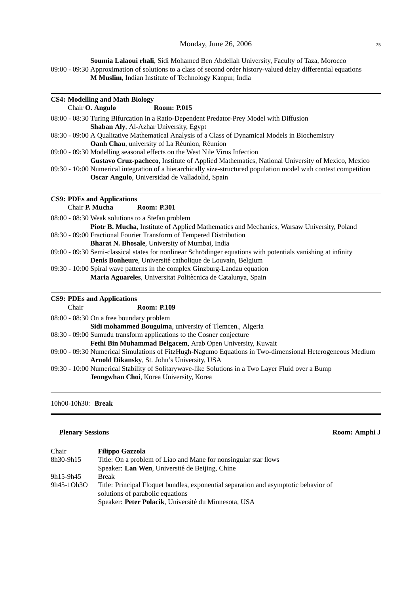**Soumia Lalaoui rhali**, Sidi Mohamed Ben Abdellah University, Faculty of Taza, Morocco 09:00 - 09:30 Approximation of solutions to a class of second order history-valued delay differential equations **M Muslim**, Indian Institute of Technology Kanpur, India

| <b>CS4: Modelling and Math Biology</b> |  |
|----------------------------------------|--|
|----------------------------------------|--|

Chair **O. Angulo** Room: P.015

08:00 - 08:30 Turing Bifurcation in a Ratio-Dependent Predator-Prey Model with Diffusion **Shaban Aly**, Al-Azhar University, Egypt

- 08:30 09:00 A Qualitative Mathematical Analysis of a Class of Dynamical Models in Biochemistry **Oanh Chau**, university of La Réunion, Réunion
- 09:00 09:30 Modelling seasonal effects on the West Nile Virus Infection

**Gustavo Cruz-pacheco**, Institute of Applied Mathematics, National University of Mexico, Mexico 09:30 - 10:00 Numerical integration of a hierarchically size-structured population model with contest competition

**Oscar Angulo**, Universidad de Valladolid, Spain

#### **CS9: PDEs and Applications**

Chair **P. Mucha Room: P.301**

08:00 - 08:30 Weak solutions to a Stefan problem

**Piotr B. Mucha**, Institute of Applied Mathematics and Mechanics, Warsaw University, Poland 08:30 - 09:00 Fractional Fourier Transform of Tempered Distribution

**Bharat N. Bhosale**, University of Mumbai, India

09:00 - 09:30 Semi-classical states for nonlinear Schrodinger equations with potentials vanishing at infinity ¨ Denis Bonheure, Université catholique de Louvain, Belgium

09:30 - 10:00 Spiral wave patterns in the complex Ginzburg-Landau equation **Maria Aguareles**, Universitat Politècnica de Catalunya, Spain

## **CS9: PDEs and Applications**

Chair **Room: P.109** 08:00 - 08:30 On a free boundary problem **Sidi mohammed Bouguima**, university of Tlemcen., Algeria 08:30 - 09:00 Sumudu transform applications to the Cosner conjecture **Fethi Bin Muhammad Belgacem**, Arab Open University, Kuwait 09:00 - 09:30 Numerical Simulations of FitzHugh-Nagumo Equations in Two-dimensional Heterogeneous Medium **Arnold Dikansky**, St. John's University, USA

09:30 - 10:00 Numerical Stability of Solitarywave-like Solutions in a Two Layer Fluid over a Bump **Jeongwhan Choi**, Korea University, Korea

#### 10h00-10h30: **Break**

#### **Plenary Sessions Room: Amphi J**

| Chair      | <b>Filippo Gazzola</b>                                                                                                  |
|------------|-------------------------------------------------------------------------------------------------------------------------|
| 8h30-9h15  | Title: On a problem of Liao and Mane for nonsingular star flows                                                         |
|            | Speaker: Lan Wen, Université de Beijing, Chine                                                                          |
| 9h15-9h45  | <b>Break</b>                                                                                                            |
| 9h45-10h30 | Title: Principal Floquet bundles, exponential separation and asymptotic behavior of<br>solutions of parabolic equations |
|            | Speaker: Peter Polacik, Université du Minnesota, USA                                                                    |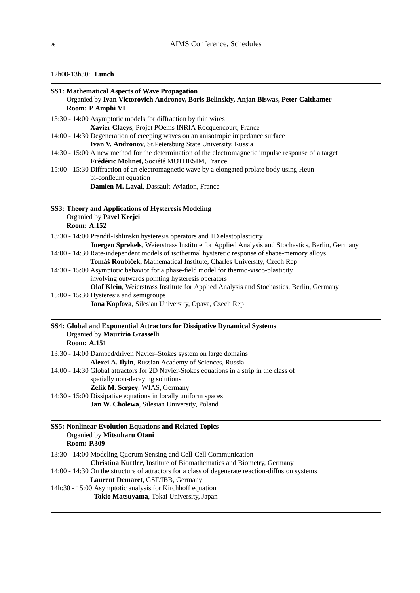# 12h00-13h30: **Lunch**

| <b>SS1: Mathematical Aspects of Wave Propagation</b><br>Organied by Ivan Victorovich Andronov, Boris Belinskiy, Anjan Biswas, Peter Caithamer<br>Room: P Amphi VI |                                                                                                            |  |
|-------------------------------------------------------------------------------------------------------------------------------------------------------------------|------------------------------------------------------------------------------------------------------------|--|
|                                                                                                                                                                   | 13:30 - 14:00 Asymptotic models for diffraction by thin wires                                              |  |
|                                                                                                                                                                   | Xavier Claeys, Projet POems INRIA Rocquencourt, France                                                     |  |
|                                                                                                                                                                   | 14:00 - 14:30 Degeneration of creeping waves on an anisotropic impedance surface                           |  |
|                                                                                                                                                                   | Ivan V. Andronov, St.Petersburg State University, Russia                                                   |  |
|                                                                                                                                                                   | 14:30 - 15:00 A new method for the determination of the electromagnetic impulse response of a target       |  |
|                                                                                                                                                                   | Frédéric Molinet, Société MOTHESIM, France                                                                 |  |
|                                                                                                                                                                   | 15:00 - 15:30 Diffraction of an electromagnetic wave by a elongated prolate body using Heun                |  |
|                                                                                                                                                                   | bi-confleunt equation                                                                                      |  |
|                                                                                                                                                                   | Damien M. Laval, Dassault-Aviation, France                                                                 |  |
|                                                                                                                                                                   | SS3: Theory and Applications of Hysteresis Modeling                                                        |  |
|                                                                                                                                                                   | Organied by Pavel Krejci                                                                                   |  |
| <b>Room: A.152</b>                                                                                                                                                |                                                                                                            |  |
|                                                                                                                                                                   | 13:30 - 14:00 Prandtl-Ishlinskii hysteresis operators and 1D elastoplasticity                              |  |
|                                                                                                                                                                   | Juergen Sprekels, Weierstrass Institute for Applied Analysis and Stochastics, Berlin, Germany              |  |
|                                                                                                                                                                   | 14:00 - 14:30 Rate-independent models of isothermal hysteretic response of shape-memory alloys.            |  |
|                                                                                                                                                                   | Tomáš Roubíček, Mathematical Institute, Charles University, Czech Rep                                      |  |
|                                                                                                                                                                   | 14:30 - 15:00 Asymptotic behavior for a phase-field model for thermo-visco-plasticity                      |  |
|                                                                                                                                                                   | involving outwards pointing hysteresis operators                                                           |  |
|                                                                                                                                                                   | Olaf Klein, Weierstrass Institute for Applied Analysis and Stochastics, Berlin, Germany                    |  |
|                                                                                                                                                                   | 15:00 - 15:30 Hysteresis and semigroups<br>Jana Kopfova, Silesian University, Opava, Czech Rep             |  |
| <b>Room: A.151</b>                                                                                                                                                | SS4: Global and Exponential Attractors for Dissipative Dynamical Systems<br>Organied by Maurizio Grasselli |  |
|                                                                                                                                                                   | 13:30 - 14:00 Damped/driven Navier-Stokes system on large domains                                          |  |
|                                                                                                                                                                   | Alexei A. Ilyin, Russian Academy of Sciences, Russia                                                       |  |
|                                                                                                                                                                   | 14:00 - 14:30 Global attractors for 2D Navier-Stokes equations in a strip in the class of                  |  |
|                                                                                                                                                                   | spatially non-decaying solutions                                                                           |  |
|                                                                                                                                                                   | Zelik M. Sergey, WIAS, Germany                                                                             |  |
|                                                                                                                                                                   | 14:30 - 15:00 Dissipative equations in locally uniform spaces                                              |  |
|                                                                                                                                                                   | Jan W. Cholewa, Silesian University, Poland                                                                |  |
| <b>Room: P.309</b>                                                                                                                                                | <b>SS5: Nonlinear Evolution Equations and Related Topics</b><br>Organied by Mitsuharu Otani                |  |
|                                                                                                                                                                   | 13:30 - 14:00 Modeling Quorum Sensing and Cell-Cell Communication                                          |  |
|                                                                                                                                                                   | Christina Kuttler, Institute of Biomathematics and Biometry, Germany                                       |  |
|                                                                                                                                                                   | 14:00 - 14:30 On the structure of attractors for a class of degenerate reaction-diffusion systems          |  |
|                                                                                                                                                                   | Laurent Demaret, GSF/IBB, Germany<br>14h:30 - 15:00 Asymptotic analysis for Kirchhoff equation             |  |
|                                                                                                                                                                   | Tokio Matsuyama, Tokai University, Japan                                                                   |  |
|                                                                                                                                                                   |                                                                                                            |  |

Ė

 $\sim$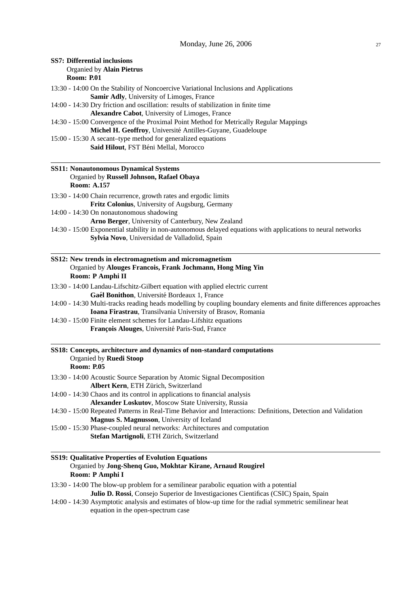**SS7: Differential inclusions**

| Organied by Alain Pietrus<br><b>Room: P.01</b>                                                                                                                                                                                                                                                                                                                                                                                                                                                                                                                                           |  |
|------------------------------------------------------------------------------------------------------------------------------------------------------------------------------------------------------------------------------------------------------------------------------------------------------------------------------------------------------------------------------------------------------------------------------------------------------------------------------------------------------------------------------------------------------------------------------------------|--|
| 13:30 - 14:00 On the Stability of Noncoercive Variational Inclusions and Applications                                                                                                                                                                                                                                                                                                                                                                                                                                                                                                    |  |
| Samir Adly, University of Limoges, France                                                                                                                                                                                                                                                                                                                                                                                                                                                                                                                                                |  |
| 14:00 - 14:30 Dry friction and oscillation: results of stabilization in finite time                                                                                                                                                                                                                                                                                                                                                                                                                                                                                                      |  |
| Alexandre Cabot, University of Limoges, France                                                                                                                                                                                                                                                                                                                                                                                                                                                                                                                                           |  |
| 14:30 - 15:00 Convergence of the Proximal Point Method for Metrically Regular Mappings                                                                                                                                                                                                                                                                                                                                                                                                                                                                                                   |  |
| Michel H. Geoffroy, Université Antilles-Guyane, Guadeloupe                                                                                                                                                                                                                                                                                                                                                                                                                                                                                                                               |  |
| 15:00 - 15:30 A secant-type method for generalized equations<br>Said Hilout, FST Béni Mellal, Morocco                                                                                                                                                                                                                                                                                                                                                                                                                                                                                    |  |
| <b>SS11: Nonautonomous Dynamical Systems</b>                                                                                                                                                                                                                                                                                                                                                                                                                                                                                                                                             |  |
| Organied by Russell Johnson, Rafael Obaya<br><b>Room: A.157</b>                                                                                                                                                                                                                                                                                                                                                                                                                                                                                                                          |  |
| 13:30 - 14:00 Chain recurrence, growth rates and ergodic limits                                                                                                                                                                                                                                                                                                                                                                                                                                                                                                                          |  |
| Fritz Colonius, University of Augsburg, Germany                                                                                                                                                                                                                                                                                                                                                                                                                                                                                                                                          |  |
| 14:00 - 14:30 On nonautonomous shadowing<br>Arno Berger, University of Canterbury, New Zealand                                                                                                                                                                                                                                                                                                                                                                                                                                                                                           |  |
| 14:30 - 15:00 Exponential stability in non-autonomous delayed equations with applications to neural networks                                                                                                                                                                                                                                                                                                                                                                                                                                                                             |  |
| Sylvia Novo, Universidad de Valladolid, Spain                                                                                                                                                                                                                                                                                                                                                                                                                                                                                                                                            |  |
| SS12: New trends in electromagnetism and micromagnetism<br>Organied by Alouges Francois, Frank Jochmann, Hong Ming Yin<br>Room: P Amphi II<br>13:30 - 14:00 Landau-Lifschitz-Gilbert equation with applied electric current<br>Gaél Bonithon, Université Bordeaux 1, France<br>14:00 - 14:30 Multi-tracks reading heads modelling by coupling boundary elements and finite differences approaches<br>Ioana Firastrau, Transilvania University of Brasov, Romania<br>14:30 - 15:00 Finite element schemes for Landau-Lifshitz equations<br>François Alouges, Université Paris-Sud, France |  |
| SS18: Concepts, architecture and dynamics of non-standard computations<br>Organied by Ruedi Stoop<br><b>Room: P.05</b>                                                                                                                                                                                                                                                                                                                                                                                                                                                                   |  |
| 13:30 - 14:00 Acoustic Source Separation by Atomic Signal Decomposition<br>Albert Kern, ETH Zürich, Switzerland                                                                                                                                                                                                                                                                                                                                                                                                                                                                          |  |
| 14:00 - 14:30 Chaos and its control in applications to financial analysis<br>Alexander Loskutov, Moscow State University, Russia                                                                                                                                                                                                                                                                                                                                                                                                                                                         |  |
| 14:30 - 15:00 Repeated Patterns in Real-Time Behavior and Interactions: Definitions, Detection and Validation<br>Magnus S. Magnusson, University of Iceland                                                                                                                                                                                                                                                                                                                                                                                                                              |  |
| 15:00 - 15:30 Phase-coupled neural networks: Architectures and computation<br>Stefan Martignoli, ETH Zürich, Switzerland                                                                                                                                                                                                                                                                                                                                                                                                                                                                 |  |
| <b>SS19: Qualitative Properties of Evolution Equations</b><br>Organied by Jong-Shenq Guo, Mokhtar Kirane, Arnaud Rougirel<br>Room: P Amphi I                                                                                                                                                                                                                                                                                                                                                                                                                                             |  |

13:30 - 14:00 The blow-up problem for a semilinear parabolic equation with a potential **Julio D. Rossi**, Consejo Superior de Investigaciones Cientificas (CSIC) Spain, Spain 14:00 - 14:30 Asymptotic analysis and estimates of blow-up time for the radial symmetric semilinear heat

equation in the open-spectrum case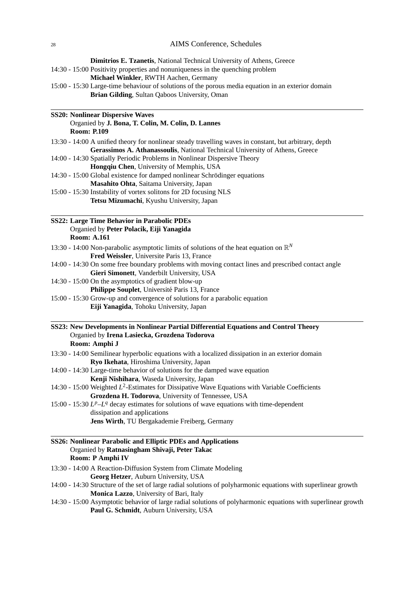|                    | Dimitrios E. Tzanetis, National Technical University of Athens, Greece                                                                          |
|--------------------|-------------------------------------------------------------------------------------------------------------------------------------------------|
|                    | 14:30 - 15:00 Positivity properties and nonuniqueness in the quenching problem                                                                  |
|                    | Michael Winkler, RWTH Aachen, Germany                                                                                                           |
|                    | 15:00 - 15:30 Large-time behaviour of solutions of the porous media equation in an exterior domain                                              |
|                    | Brian Gilding, Sultan Qaboos University, Oman                                                                                                   |
|                    | <b>SS20: Nonlinear Dispersive Waves</b>                                                                                                         |
|                    | Organied by J. Bona, T. Colin, M. Colin, D. Lannes                                                                                              |
| <b>Room: P.109</b> |                                                                                                                                                 |
|                    | 13:30 - 14:00 A unified theory for nonlinear steady travelling waves in constant, but arbitrary, depth                                          |
|                    | Gerassimos A. Athanassoulis, National Technical University of Athens, Greece                                                                    |
|                    | 14:00 - 14:30 Spatially Periodic Problems in Nonlinear Dispersive Theory                                                                        |
|                    | Hongqiu Chen, University of Memphis, USA                                                                                                        |
|                    | 14:30 - 15:00 Global existence for damped nonlinear Schrödinger equations                                                                       |
|                    | Masahito Ohta, Saitama University, Japan                                                                                                        |
|                    | 15:00 - 15:30 Instability of vortex solitons for 2D focusing NLS                                                                                |
|                    | Tetsu Mizumachi, Kyushu University, Japan                                                                                                       |
|                    |                                                                                                                                                 |
|                    | <b>SS22: Large Time Behavior in Parabolic PDEs</b><br>Organied by Peter Polacik, Eiji Yanagida                                                  |
| <b>Room: A.161</b> |                                                                                                                                                 |
|                    |                                                                                                                                                 |
|                    | 13:30 - 14:00 Non-parabolic asymptotic limits of solutions of the heat equation on $\mathbb{R}^N$<br>Fred Weissler, Universite Paris 13, France |
|                    | 14:00 - 14:30 On some free boundary problems with moving contact lines and prescribed contact angle                                             |
|                    | Gieri Simonett, Vanderbilt University, USA                                                                                                      |
|                    | 14:30 - 15:00 On the asymptotics of gradient blow-up                                                                                            |
|                    | Philippe Souplet, Université Paris 13, France                                                                                                   |
|                    | 15:00 - 15:30 Grow-up and convergence of solutions for a parabolic equation                                                                     |
|                    | Eiji Yanagida, Tohoku University, Japan                                                                                                         |
|                    | SS23: New Developments in Nonlinear Partial Differential Equations and Control Theory                                                           |
|                    | Organied by Irena Lasiecka, Grozdena Todorova                                                                                                   |
|                    | Room: Amphi J                                                                                                                                   |
|                    | 13:30 - 14:00 Semilinear hyperbolic equations with a localized dissipation in an exterior domain                                                |
|                    | Ryo Ikehata, Hiroshima University, Japan                                                                                                        |
|                    | 14:00 - 14:30 Large-time behavior of solutions for the damped wave equation                                                                     |
|                    | Kenji Nishihara, Waseda University, Japan                                                                                                       |
|                    | 14:30 - 15:00 Weighted $L^2$ -Estimates for Dissipative Wave Equations with Variable Coefficients                                               |
|                    | Grozdena H. Todorova, University of Tennessee, USA                                                                                              |
|                    | 15:00 - 15:30 $L^p - L^q$ decay estimates for solutions of wave equations with time-dependent                                                   |
|                    | dissipation and applications                                                                                                                    |
|                    | Jens Wirth, TU Bergakademie Freiberg, Germany                                                                                                   |
|                    | SS26: Nonlinear Parabolic and Elliptic PDEs and Applications                                                                                    |
|                    | Organied by Ratnasingham Shivaji, Peter Takac                                                                                                   |
|                    | Room: P Amphi IV                                                                                                                                |
|                    | 13:30 - 14:00 A Reaction-Diffusion System from Climate Modeling                                                                                 |
|                    | Georg Hetzer, Auburn University, USA                                                                                                            |
|                    | 14:00 - 14:30 Structure of the set of large radial solutions of polyharmonic equations with superlinear growth                                  |
|                    | Monica Lazzo, University of Bari, Italy                                                                                                         |

14:30 - 15:00 Asymptotic behavior of large radial solutions of polyharmonic equations with superlinear growth **Paul G. Schmidt**, Auburn University, USA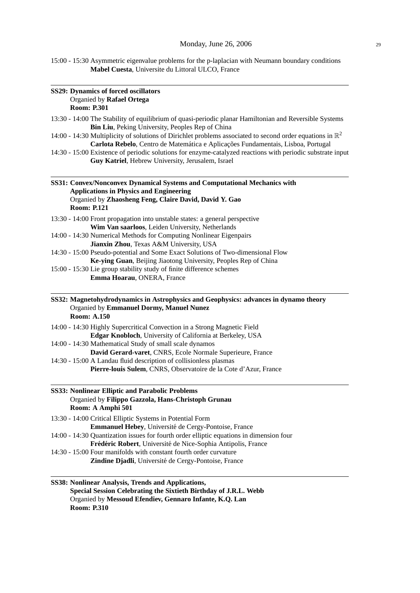15:00 - 15:30 Asymmetric eigenvalue problems for the p-laplacian with Neumann boundary conditions **Mabel Cuesta**, Universite du Littoral ULCO, France

| <b>SS29: Dynamics of forced oscillators</b><br>Organied by Rafael Ortega<br><b>Room: P.301</b>                                                                                                              |
|-------------------------------------------------------------------------------------------------------------------------------------------------------------------------------------------------------------|
| 13:30 - 14:00 The Stability of equilibrium of quasi-periodic planar Hamiltonian and Reversible Systems<br>Bin Liu, Peking University, Peoples Rep of China                                                  |
| 14:00 - 14:30 Multiplicity of solutions of Dirichlet problems associated to second order equations in $\mathbb{R}^2$<br>Carlota Rebelo, Centro de Matemática e Aplicações Fundamentais, Lisboa, Portugal    |
| 14:30 - 15:00 Existence of periodic solutions for enzyme-catalyzed reactions with periodic substrate input<br>Guy Katriel, Hebrew University, Jerusalem, Israel                                             |
| SS31: Convex/Nonconvex Dynamical Systems and Computational Mechanics with<br><b>Applications in Physics and Engineering</b><br>Organied by Zhaosheng Feng, Claire David, David Y. Gao<br><b>Room: P.121</b> |
| 13:30 - 14:00 Front propagation into unstable states: a general perspective<br>Wim Van saarloos, Leiden University, Netherlands                                                                             |
| 14:00 - 14:30 Numerical Methods for Computing Nonlinear Eigenpairs<br>Jianxin Zhou, Texas A&M University, USA                                                                                               |
| 14:30 - 15:00 Pseudo-potential and Some Exact Solutions of Two-dimensional Flow<br>Ke-ying Guan, Beijing Jiaotong University, Peoples Rep of China                                                          |
| 15:00 - 15:30 Lie group stability study of finite difference schemes<br>Emma Hoarau, ONERA, France                                                                                                          |
| SS32: Magnetohydrodynamics in Astrophysics and Geophysics: advances in dynamo theory<br>Organied by Emmanuel Dormy, Manuel Nunez<br><b>Room: A.150</b>                                                      |
| 14:00 - 14:30 Highly Supercritical Convection in a Strong Magnetic Field<br>Edgar Knobloch, University of California at Berkeley, USA                                                                       |
| 14:00 - 14:30 Mathematical Study of small scale dynamos<br>David Gerard-varet, CNRS, Ecole Normale Superieure, France                                                                                       |
| 14:30 - 15:00 A Landau fluid description of collisionless plasmas                                                                                                                                           |
| Pierre-Iouis Sulem, CNRS, Observatoire de la Cote d'Azur, France                                                                                                                                            |
| SS33: Nonlinear Elliptic and Parabolic Problems<br>Organied by Filippo Gazzola, Hans-Christoph Grunau<br>Room: A Amphi 501                                                                                  |
| 13:30 - 14:00 Critical Elliptic Systems in Potential Form<br>Emmanuel Hebey, Université de Cergy-Pontoise, France                                                                                           |
| 14:00 - 14:30 Quantization issues for fourth order elliptic equations in dimension four<br>Frédéric Robert, Université de Nice-Sophia Antipolis, France                                                     |
| 14:30 - 15:00 Four manifolds with constant fourth order curvature<br>Zindine Djadli, Université de Cergy-Pontoise, France                                                                                   |
| SS38: Nonlinear Analysis, Trends and Applications,<br>Special Session Celebrating the Sixtieth Birthday of J.R.L. Webb<br>Organied by Messoud Efendiev, Gennaro Infante, K.Q. Lan                           |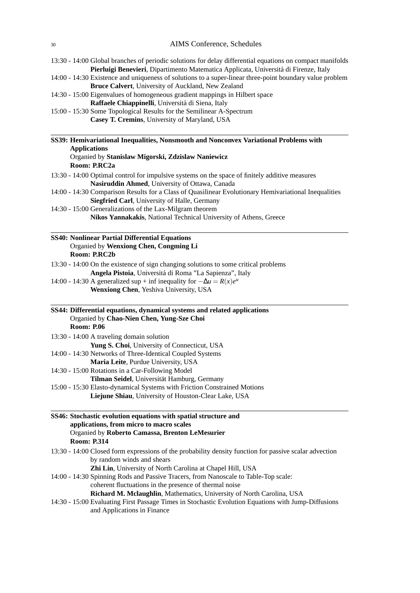| 13:30 - 14:00 Global branches of periodic solutions for delay differential equations on compact manifolds |  |
|-----------------------------------------------------------------------------------------------------------|--|
| Pierluigi Benevieri, Dipartimento Matematica Applicata, Universitá di Firenze, Italy                      |  |

14:00 - 14:30 Existence and uniqueness of solutions to a super-linear three-point boundary value problem **Bruce Calvert**, University of Auckland, New Zealand

| 14:30 - 15:00 Eigenvalues of homogeneous gradient mappings in Hilbert space |  |
|-----------------------------------------------------------------------------|--|
| <b>Raffaele Chiappinelli</b> , Universitá di Siena, Italy                   |  |

15:00 - 15:30 Some Topological Results for the Semilinear A-Spectrum **Casey T. Cremins**, University of Maryland, USA

| SS39: Hemivariational Inequalities, Nonsmooth and Nonconvex Variational Problems with                  |
|--------------------------------------------------------------------------------------------------------|
| <b>Applications</b>                                                                                    |
| Organied by Stanislaw Migorski, Zdzislaw Naniewicz                                                     |
| Room: P.RC2a                                                                                           |
| 13:30 - 14:00 Optimal control for impulsive systems on the space of finitely additive measures         |
| Nasiruddin Ahmed, University of Ottawa, Canada                                                         |
| 14:00 - 14:30 Comparison Results for a Class of Quasilinear Evolutionary Hemivariational Inequalities  |
| Siegfried Carl, University of Halle, Germany                                                           |
| 14:30 - 15:00 Generalizations of the Lax-Milgram theorem                                               |
| Nikos Yannakakis, National Technical University of Athens, Greece                                      |
| <b>SS40: Nonlinear Partial Differential Equations</b>                                                  |
| Organied by Wenxiong Chen, Congming Li                                                                 |
| Room: P.RC2b                                                                                           |
| 13:30 - 14:00 On the existence of sign changing solutions to some critical problems                    |
| Angela Pistoia, Universitá di Roma "La Sapienza", Italy                                                |
| 14:00 - 14:30 A generalized sup + inf inequality for $-\Delta u = R(x)e^u$                             |
| Wenxiong Chen, Yeshiva University, USA                                                                 |
| SS44: Differential equations, dynamical systems and related applications                               |
| Organied by Chao-Nien Chen, Yung-Sze Choi                                                              |
| <b>Room: P.06</b>                                                                                      |
| 13:30 - 14:00 A traveling domain solution                                                              |
| Yung S. Choi, University of Connecticut, USA                                                           |
| 14:00 - 14:30 Networks of Three-Identical Coupled Systems                                              |
| Maria Leite, Purdue University, USA                                                                    |
| 14:30 - 15:00 Rotations in a Car-Following Model                                                       |
| Tilman Seidel, Universität Hamburg, Germany                                                            |
| 15:00 - 15:30 Elasto-dynamical Systems with Friction Constrained Motions                               |
| Liejune Shiau, University of Houston-Clear Lake, USA                                                   |
| SS46: Stochastic evolution equations with spatial structure and                                        |
| applications, from micro to macro scales                                                               |
| Organied by Roberto Camassa, Brenton LeMesurier                                                        |
| <b>Room: P.314</b>                                                                                     |
| 13:30 - 14:00 Closed form expressions of the probability density function for passive scalar advection |
| by random winds and shears                                                                             |
| Zhi Lin, University of North Carolina at Chapel Hill, USA                                              |
| 14:00 - 14:30 Spinning Rods and Passive Tracers, from Nanoscale to Table-Top scale:                    |
| coherent fluctuations in the presence of thermal noise                                                 |
| Richard M. Mclaughlin, Mathematics, University of North Carolina, USA                                  |
| 14:30 - 15:00 Evaluating First Passage Times in Stochastic Evolution Equations with Jump-Diffusions    |

and Applications in Finance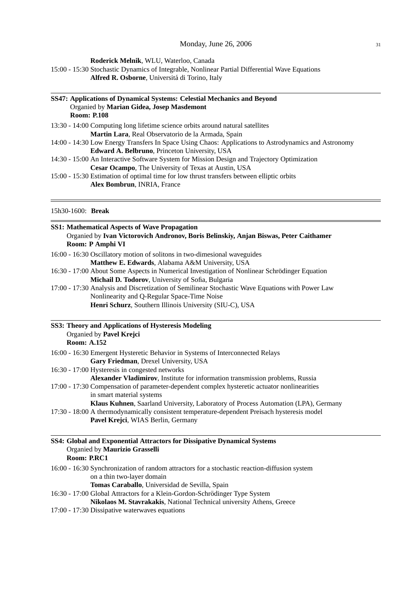**Roderick Melnik**, WLU, Waterloo, Canada

15:00 - 15:30 Stochastic Dynamics of Integrable, Nonlinear Partial Differential Wave Equations

**Alfred R. Osborne**, Universita di Torino, Italy ´

| SS47: Applications of Dynamical Systems: Celestial Mechanics and Beyond                              |  |
|------------------------------------------------------------------------------------------------------|--|
| Organied by Marian Gidea, Josep Masdemont                                                            |  |
| <b>Room: P.108</b>                                                                                   |  |
| 13:30 - 14:00 Computing long lifetime science orbits around natural satellities                      |  |
| Martin Lara, Real Observatorio de la Armada, Spain                                                   |  |
| 14:00 - 14:30 Low Energy Transfers In Space Using Chaos: Applications to Astrodynamics and Astronomy |  |
| <b>Edward A. Belbruno, Princeton University, USA</b>                                                 |  |
| 14:30 - 15:00 An Interactive Software System for Mission Design and Trajectory Optimization          |  |
| <b>Cesar Ocampo, The University of Texas at Austin, USA</b>                                          |  |
| 15:00 - 15:30 Estimation of optimal time for low thrust transfers between elliptic orbits            |  |
| <b>Alex Bombrun, INRIA, France</b>                                                                   |  |

# 15h30-1600: **Break**

| <b>SS1: Mathematical Aspects of Wave Propagation</b><br>Organied by Ivan Victorovich Andronov, Boris Belinskiy, Anjan Biswas, Peter Caithamer<br>Room: P Amphi VI |  |  |
|-------------------------------------------------------------------------------------------------------------------------------------------------------------------|--|--|
| 16:00 - 16:30 Oscillatory motion of solitons in two-dimesional waveguides                                                                                         |  |  |
| Matthew E. Edwards, Alabama A&M University, USA                                                                                                                   |  |  |
| 16:30 - 17:00 About Some Aspects in Numerical Investigation of Nonlinear Schrödinger Equation                                                                     |  |  |
| Michail D. Todorov, University of Sofia, Bulgaria                                                                                                                 |  |  |
| 17:00 - 17:30 Analysis and Discretization of Semilinear Stochastic Wave Equations with Power Law                                                                  |  |  |
| Nonlinearity and Q-Regular Space-Time Noise                                                                                                                       |  |  |
| Henri Schurz, Southern Illinois University (SIU-C), USA                                                                                                           |  |  |
| SS3: Theory and Applications of Hysteresis Modeling<br>Organied by Pavel Krejci<br><b>Room: A.152</b>                                                             |  |  |
| 16:00 - 16:30 Emergent Hysteretic Behavior in Systems of Interconnected Relays                                                                                    |  |  |
| Gary Friedman, Drexel University, USA                                                                                                                             |  |  |
| 16:30 - 17:00 Hysteresis in congested networks                                                                                                                    |  |  |
| Alexander Vladimirov, Institute for information transmission problems, Russia                                                                                     |  |  |
| 17:00 - 17:30 Compensation of parameter-dependent complex hysteretic actuator nonlinearities                                                                      |  |  |
| in smart material systems                                                                                                                                         |  |  |
| Klaus Kuhnen, Saarland University, Laboratory of Process Automation (LPA), Germany                                                                                |  |  |
| 17:30 - 18:00 A thermodynamically consistent temperature-dependent Preisach hysteresis model                                                                      |  |  |
| Pavel Krejci, WIAS Berlin, Germany                                                                                                                                |  |  |
| SS4: Global and Exponential Attractors for Dissipative Dynamical Systems<br>Organied by Maurizio Grasselli<br>Room: P.RC1                                         |  |  |
| 16:00 - 16:30 Synchronization of random attractors for a stochastic reaction-diffusion system                                                                     |  |  |
| on a thin two-layer domain                                                                                                                                        |  |  |
| Tomas Caraballo, Universidad de Sevilla, Spain                                                                                                                    |  |  |
| 16:30 - 17:00 Global Attractors for a Klein-Gordon-Schrödinger Type System                                                                                        |  |  |
| Nikolaos M. Stavrakakis, National Technical university Athens, Greece                                                                                             |  |  |
| $17.00$ $17.20$ Dissinative vector vector asymptoms                                                                                                               |  |  |

17:00 - 17:30 Dissipative waterwaves equations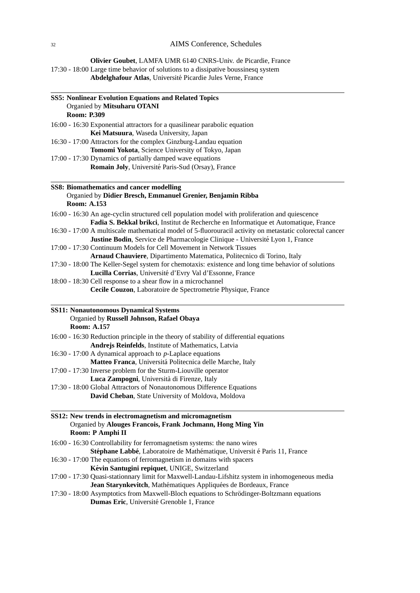**Olivier Goubet**, LAMFA UMR 6140 CNRS-Univ. de Picardie, France 17:30 - 18:00 Large time behavior of solutions to a dissipative boussinesq system **Abdelghafour Atlas**, Universite Picardie Jules Verne, France ´

| <b>SS5: Nonlinear Evolution Equations and Related Topics</b> |                                                                                                                                                                                          |  |
|--------------------------------------------------------------|------------------------------------------------------------------------------------------------------------------------------------------------------------------------------------------|--|
|                                                              | Organied by Mitsuharu OTANI<br><b>Room: P.309</b>                                                                                                                                        |  |
|                                                              |                                                                                                                                                                                          |  |
|                                                              | 16:00 - 16:30 Exponential attractors for a quasilinear parabolic equation<br>Kei Matsuura, Waseda University, Japan                                                                      |  |
|                                                              | 16:30 - 17:00 Attractors for the complex Ginzburg-Landau equation                                                                                                                        |  |
|                                                              |                                                                                                                                                                                          |  |
|                                                              | Tomomi Yokota, Science University of Tokyo, Japan                                                                                                                                        |  |
|                                                              | 17:00 - 17:30 Dynamics of partially damped wave equations<br>Romain Joly, Université Paris-Sud (Orsay), France                                                                           |  |
|                                                              |                                                                                                                                                                                          |  |
|                                                              | SS8: Biomathematics and cancer modelling                                                                                                                                                 |  |
|                                                              | Organied by Didier Bresch, Emmanuel Grenier, Benjamin Ribba<br><b>Room: A.153</b>                                                                                                        |  |
|                                                              | 16:00 - 16:30 An age-cyclin structured cell population model with proliferation and quiescence                                                                                           |  |
|                                                              | Fadia S. Bekkal brikci, Institut de Recherche en Informatique et Automatique, France                                                                                                     |  |
|                                                              | 16:30 - 17:00 A multiscale mathematical model of 5-fluorouracil activity on metastatic colorectal cancer<br>Justine Bodin, Service de Pharmacologie Clinique - Université Lyon 1, France |  |
|                                                              | 17:00 - 17:30 Continuum Models for Cell Movement in Network Tissues                                                                                                                      |  |
|                                                              | Arnaud Chauviere, Dipartimento Matematica, Politecnico di Torino, Italy                                                                                                                  |  |
|                                                              | 17:30 - 18:00 The Keller-Segel system for chemotaxis: existence and long time behavior of solutions                                                                                      |  |
|                                                              | Lucilla Corrias, Université d'Evry Val d'Essonne, France                                                                                                                                 |  |
|                                                              | 18:00 - 18:30 Cell response to a shear flow in a microchannel                                                                                                                            |  |
|                                                              | Cecile Couzon, Laboratoire de Spectrometrie Physique, France                                                                                                                             |  |
|                                                              | <b>SS11: Nonautonomous Dynamical Systems</b><br>Organied by Russell Johnson, Rafael Obaya<br><b>Room: A.157</b>                                                                          |  |
|                                                              | 16:00 - 16:30 Reduction principle in the theory of stability of differential equations                                                                                                   |  |
|                                                              | Andrejs Reinfelds, Institute of Mathematics, Latvia                                                                                                                                      |  |
|                                                              | 16:30 - 17:00 A dynamical approach to $p$ -Laplace equations                                                                                                                             |  |
|                                                              | Matteo Franca, Universitá Politecnica delle Marche, Italy                                                                                                                                |  |
|                                                              | 17:00 - 17:30 Inverse problem for the Sturm-Liouville operator                                                                                                                           |  |
|                                                              | Luca Zampogni, Università di Firenze, Italy                                                                                                                                              |  |
|                                                              | 17:30 - 18:00 Global Attractors of Nonautonomous Difference Equations                                                                                                                    |  |
|                                                              | David Cheban, State University of Moldova, Moldova                                                                                                                                       |  |
|                                                              | SS12: New trends in electromagnetism and micromagnetism                                                                                                                                  |  |
|                                                              | Organied by Alouges Francois, Frank Jochmann, Hong Ming Yin<br>Room: P Amphi II                                                                                                          |  |
|                                                              | 16:00 - 16:30 Controllability for ferromagnetism systems: the nano wires                                                                                                                 |  |
|                                                              | Stéphane Labbé, Laboratoire de Mathématique, Universit é Paris 11, France                                                                                                                |  |
|                                                              | 16:30 - 17:00 The equations of ferromagnetism in domains with spacers                                                                                                                    |  |
|                                                              | Kévin Santugini repiquet, UNIGE, Switzerland                                                                                                                                             |  |
|                                                              | 17:00 - 17:30 Quasi-stationnary limit for Maxwell-Landau-Lifshitz system in inhomogeneous media<br>Jean Starynkevitch, Mathématiques Appliquées de Bordeaux, France                      |  |
|                                                              | 17:30 - 18:00 Asymptotics from Maxwell-Bloch equations to Schrödinger-Boltzmann equations                                                                                                |  |
|                                                              | Dumas Eric, Université Grenoble 1, France                                                                                                                                                |  |
|                                                              |                                                                                                                                                                                          |  |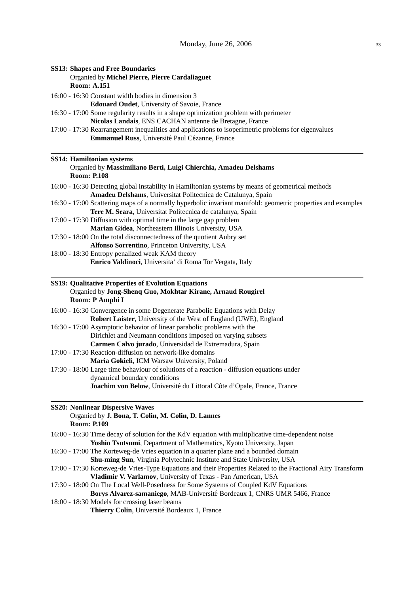| <b>SS13: Shapes and Free Boundaries</b>                                                                      |  |  |
|--------------------------------------------------------------------------------------------------------------|--|--|
| Organied by Michel Pierre, Pierre Cardaliaguet                                                               |  |  |
| <b>Room: A.151</b>                                                                                           |  |  |
| 16:00 - 16:30 Constant width bodies in dimension 3                                                           |  |  |
| <b>Edouard Oudet</b> , University of Savoie, France                                                          |  |  |
| 16:30 - 17:00 Some regularity results in a shape optimization problem with perimeter                         |  |  |
| Nicolas Landais, ENS CACHAN antenne de Bretagne, France                                                      |  |  |
| 17:00 - 17:30 Rearrangement inequalities and applications to isoperimetric problems for eigenvalues          |  |  |
| Emmanuel Russ, Université Paul Cézanne, France                                                               |  |  |
| <b>SS14: Hamiltonian systems</b>                                                                             |  |  |
| Organied by Massimiliano Berti, Luigi Chierchia, Amadeu Delshams                                             |  |  |
| <b>Room: P.108</b>                                                                                           |  |  |
| 16:00 - 16:30 Detecting global instability in Hamiltonian systems by means of geometrical methods            |  |  |
| Amadeu Delshams, Universitat Politecnica de Catalunya, Spain                                                 |  |  |
| 16:30 - 17:00 Scattering maps of a normally hyperbolic invariant manifold: geometric properties and examples |  |  |
| Tere M. Seara, Universitat Politecnica de catalunya, Spain                                                   |  |  |
| 17:00 - 17:30 Diffusion with optimal time in the large gap problem                                           |  |  |
| Marian Gidea, Northeastern Illinois University, USA                                                          |  |  |
| 17:30 - 18:00 On the total disconnectedness of the quotient Aubry set                                        |  |  |
| Alfonso Sorrentino, Princeton University, USA                                                                |  |  |
| 18:00 - 18:30 Entropy penalized weak KAM theory                                                              |  |  |
| Enrico Valdinoci, Universita' di Roma Tor Vergata, Italy                                                     |  |  |
| SS19: Qualitative Properties of Evolution Equations                                                          |  |  |
| Organied by Jong-Shenq Guo, Mokhtar Kirane, Arnaud Rougirel                                                  |  |  |
| Room: P Amphi I                                                                                              |  |  |
| 16:00 - 16:30 Convergence in some Degenerate Parabolic Equations with Delay                                  |  |  |
| Robert Laister, University of the West of England (UWE), England                                             |  |  |
| 16:30 - 17:00 Asymptotic behavior of linear parabolic problems with the                                      |  |  |
| Dirichlet and Neumann conditions imposed on varying subsets                                                  |  |  |
| Carmen Calvo jurado, Universidad de Extremadura, Spain                                                       |  |  |
| 17:00 - 17:30 Reaction-diffusion on network-like domains                                                     |  |  |
| Maria Gokieli, ICM Warsaw University, Poland                                                                 |  |  |
| 17:30 - 18:00 Large time behaviour of solutions of a reaction - diffusion equations under                    |  |  |
| dynamical boundary conditions                                                                                |  |  |
| Joachim von Below, Université du Littoral Côte d'Opale, France, France                                       |  |  |
| <b>SS20: Nonlinear Dispersive Waves</b>                                                                      |  |  |
| Organied by J. Bona, T. Colin, M. Colin, D. Lannes                                                           |  |  |
| <b>Room: P.109</b>                                                                                           |  |  |
| 16:00 - 16:30 Time decay of solution for the KdV equation with multiplicative time-dependent noise           |  |  |
| Yoshio Tsutsumi, Department of Mathematics, Kyoto University, Japan                                          |  |  |
| 16:30 - 17:00 The Korteweg-de Vries equation in a quarter plane and a bounded domain                         |  |  |
| Shu-ming Sun, Virginia Polytechnic Institute and State University, USA                                       |  |  |
| 17:00 - 17:30 Korteweg-de Vries-Type Equations and their Properties Related to the Fractional Airy Transform |  |  |
| Vladimir V. Varlamov, University of Texas - Pan American, USA                                                |  |  |
| 17:30 - 18:00 On The Local Well-Posedness for Some Systems of Coupled KdV Equations                          |  |  |
| Borys Alvarez-samaniego, MAB-Université Bordeaux 1, CNRS UMR 5466, France                                    |  |  |
| 18:00 - 18:30 Models for crossing laser beams                                                                |  |  |
| Thierry Colin, Université Bordeaux 1, France                                                                 |  |  |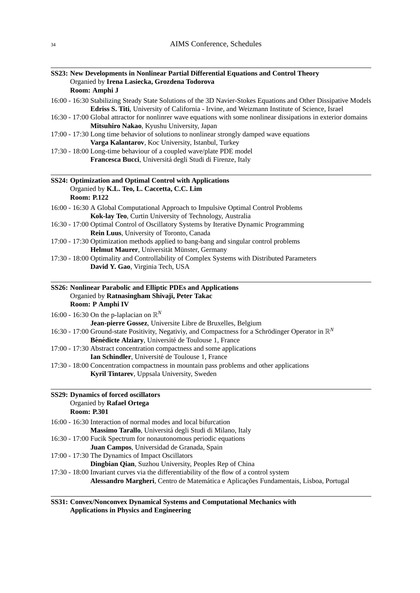|                    | SS23: New Developments in Nonlinear Partial Differential Equations and Control Theory                                                                                                   |
|--------------------|-----------------------------------------------------------------------------------------------------------------------------------------------------------------------------------------|
|                    | Organied by Irena Lasiecka, Grozdena Todorova                                                                                                                                           |
| Room: Amphi J      |                                                                                                                                                                                         |
|                    | 16:00 - 16:30 Stabilizing Steady State Solutions of the 3D Navier-Stokes Equations and Other Dissipative Models                                                                         |
|                    | Edriss S. Titi, University of California - Irvine, and Weizmann Institute of Science, Israel                                                                                            |
|                    | 16:30 - 17:00 Global attractor for nonlinrer wave equations with some nonlinear dissipations in exterior domains                                                                        |
|                    | Mitsuhiro Nakao, Kyushu University, Japan                                                                                                                                               |
|                    | 17:00 - 17:30 Long time behavior of solutions to nonlinear strongly damped wave equations                                                                                               |
|                    | Varga Kalantarov, Koc University, Istanbul, Turkey                                                                                                                                      |
|                    | 17:30 - 18:00 Long-time behaviour of a coupled wave/plate PDE model                                                                                                                     |
|                    | Francesca Bucci, Universitá degli Studi di Firenze, Italy                                                                                                                               |
|                    | SS24: Optimization and Optimal Control with Applications                                                                                                                                |
|                    | Organied by K.L. Teo, L. Caccetta, C.C. Lim                                                                                                                                             |
| <b>Room: P.122</b> |                                                                                                                                                                                         |
|                    |                                                                                                                                                                                         |
|                    | 16:00 - 16:30 A Global Computational Approach to Impulsive Optimal Control Problems                                                                                                     |
|                    | Kok-lay Teo, Curtin University of Technology, Australia                                                                                                                                 |
|                    | 16:30 - 17:00 Optimal Control of Oscillatory Systems by Iterative Dynamic Programming                                                                                                   |
|                    | Rein Luus, University of Toronto, Canada                                                                                                                                                |
|                    | 17:00 - 17:30 Optimization methods applied to bang-bang and singular control problems                                                                                                   |
|                    | Helmut Maurer, Universität Münster, Germany                                                                                                                                             |
|                    | 17:30 - 18:00 Optimality and Controllability of Complex Systems with Distributed Parameters                                                                                             |
|                    | David Y. Gao, Virginia Tech, USA                                                                                                                                                        |
|                    | SS26: Nonlinear Parabolic and Elliptic PDEs and Applications<br>Organied by Ratnasingham Shivaji, Peter Takac<br>Room: P Amphi IV<br>16:00 - 16:30 On the p-laplacian on $\mathbb{R}^N$ |
|                    | Jean-pierre Gossez, Universite Libre de Bruxelles, Belgium                                                                                                                              |
|                    | 16:30 - 17:00 Ground-state Positivity, Negativiy, and Compactness for a Schrödinger Operator in $\mathbb{R}^N$                                                                          |
|                    | Bénédicte Alziary, Université de Toulouse 1, France                                                                                                                                     |
|                    | 17:00 - 17:30 Abstract concentration compactness and some applications                                                                                                                  |
|                    | Ian Schindler, Université de Toulouse 1, France                                                                                                                                         |
|                    | 17:30 - 18:00 Concentration compactness in mountain pass problems and other applications                                                                                                |
|                    | Kyril Tintarev, Uppsala University, Sweden                                                                                                                                              |
| <b>Room: P.301</b> | <b>SS29: Dynamics of forced oscillators</b><br>Organied by Rafael Ortega                                                                                                                |
|                    | 16:00 - 16:30 Interaction of normal modes and local bifurcation                                                                                                                         |
|                    | Massimo Tarallo, Universitá degli Studi di Milano, Italy                                                                                                                                |
|                    | 16:30 - 17:00 Fucik Spectrum for nonautonomous periodic equations                                                                                                                       |
|                    | Juan Campos, Universidad de Granada, Spain                                                                                                                                              |
|                    | 17:00 - 17:30 The Dynamics of Impact Oscillators                                                                                                                                        |
|                    | Dingbian Qian, Suzhou University, Peoples Rep of China                                                                                                                                  |
|                    | 17:30 - 18:00 Invariant curves via the differentiability of the flow of a control system                                                                                                |
|                    | Alessandro Margheri, Centro de Matemática e Aplicações Fundamentais, Lisboa, Portugal                                                                                                   |
|                    |                                                                                                                                                                                         |

| SS31: Convex/Nonconvex Dynamical Systems and Computational Mechanics with |
|---------------------------------------------------------------------------|
| <b>Applications in Physics and Engineering</b>                            |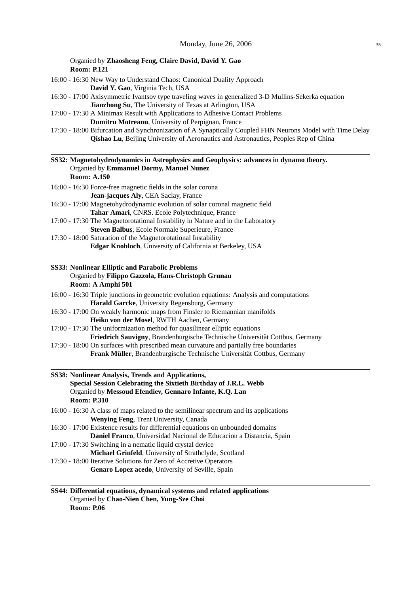Organied by **Zhaosheng Feng, Claire David, David Y. Gao Room: P.121**

- 16:00 16:30 New Way to Understand Chaos: Canonical Duality Approach **David Y. Gao**, Virginia Tech, USA
- 16:30 17:00 Axisymmetric Ivantsov type traveling waves in generalized 3-D Mullins-Sekerka equation **Jianzhong Su**, The University of Texas at Arlington, USA
- 17:00 17:30 A Minimax Result with Applications to Adhesive Contact Problems **Dumitru Motreanu**, University of Perpignan, France
- 17:30 18:00 Bifurcation and Synchronization of A Synaptically Coupled FHN Neurons Model with Time Delay **Qishao Lu**, Beijing University of Aeronautics and Astronautics, Peoples Rep of China

#### **SS32: Magnetohydrodynamics in Astrophysics and Geophysics: advances in dynamo theory.** Organied by **Emmanuel Dormy, Manuel Nunez Room: A.150**

- 16:00 16:30 Force-free magnetic fields in the solar corona **Jean-jacques Aly**, CEA Saclay, France
- 16:30 17:00 Magnetohydrodynamic evolution of solar coronal magnetic field **Tahar Amari**, CNRS. Ecole Polytechnique, France
- 17:00 17:30 The Magnetorotational Instability in Nature and in the Laboratory **Steven Balbus**, Ecole Normale Superieure, France
- 17:30 18:00 Saturation of the Magnetorotational Instability **Edgar Knobloch**, University of California at Berkeley, USA

## **SS33: Nonlinear Elliptic and Parabolic Problems** Organied by **Filippo Gazzola, Hans-Christoph Grunau Room: A Amphi 501**

| 16:00 - 16:30 Triple junctions in geometric evolution equations: Analysis and computations |
|--------------------------------------------------------------------------------------------|
| <b>Harald Garcke, University Regensburg, Germany</b>                                       |
| 16:30 - 17:00 On weakly harmonic maps from Finsler to Riemannian manifolds                 |
| Heiko von der Mosel, RWTH Aachen, Germany                                                  |
| 17:00 - 17:30 The uniformization method for quasilinear elliptic equations                 |
|                                                                                            |

**Friedrich Sauvigny**, Brandenburgische Technische Universitat Cottbus, Germany ¨ 17:30 - 18:00 On surfaces with prescribed mean curvature and partially free boundaries

**Frank Müller**, Brandenburgische Technische Universität Cottbus, Germany

# **SS38: Nonlinear Analysis, Trends and Applications, Special Session Celebrating the Sixtieth Birthday of J.R.L. Webb** Organied by **Messoud Efendiev, Gennaro Infante, K.Q. Lan Room: P.310**

- 16:00 16:30 A class of maps related to the semilinear spectrum and its applications **Wenying Feng**, Trent University, Canada
- 16:30 17:00 Existence results for differential equations on unbounded domains **Daniel Franco**, Universidad Nacional de Educacion a Distancia, Spain
- 17:00 17:30 Switching in a nematic liquid crystal device
- **Michael Grinfeld**, University of Strathclyde, Scotland 17:30 - 18:00 Iterative Solutions for Zero of Accretive Operators
	- **Genaro Lopez acedo**, University of Seville, Spain
- **SS44: Differential equations, dynamical systems and related applications** Organied by **Chao-Nien Chen, Yung-Sze Choi Room: P.06**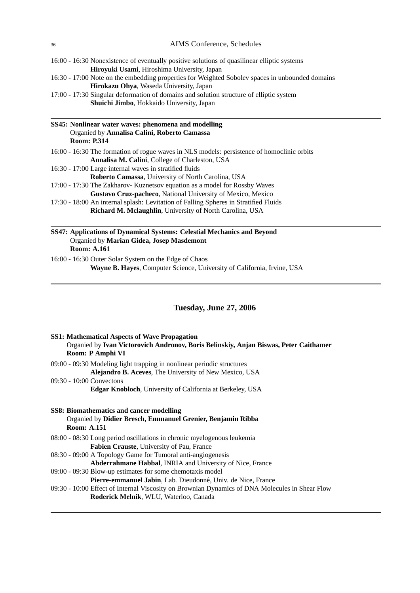- 16:00 16:30 Nonexistence of eventually positive solutions of quasilinear elliptic systems **Hiroyuki Usami**, Hiroshima University, Japan
- 16:30 17:00 Note on the embedding properties for Weighted Sobolev spaces in unbounded domains **Hirokazu Ohya**, Waseda University, Japan

17:00 - 17:30 Singular deformation of domains and solution structure of elliptic system **Shuichi Jimbo**, Hokkaido University, Japan

| SS45: Nonlinear water waves: phenomena and modelling |
|------------------------------------------------------|
| Organied by Annalisa Calini, Roberto Camassa         |
| <b>Room: P.314</b>                                   |

- 16:00 16:30 The formation of rogue waves in NLS models: persistence of homoclinic orbits **Annalisa M. Calini**, College of Charleston, USA
- 16:30 17:00 Large internal waves in stratified fluids
	- **Roberto Camassa**, University of North Carolina, USA
- 17:00 17:30 The Zakharov- Kuznetsov equation as a model for Rossby Waves **Gustavo Cruz-pacheco**, National University of Mexico, Mexico
- 17:30 18:00 An internal splash: Levitation of Falling Spheres in Stratified Fluids **Richard M. Mclaughlin**, University of North Carolina, USA

# **SS47: Applications of Dynamical Systems: Celestial Mechanics and Beyond** Organied by **Marian Gidea, Josep Masdemont Room: A.161**

16:00 - 16:30 Outer Solar System on the Edge of Chaos **Wayne B. Hayes**, Computer Science, University of California, Irvine, USA

## **Tuesday, June 27, 2006**

| <b>SS1: Mathematical Aspects of Wave Propagation</b><br>Organied by Ivan Victorovich Andronov, Boris Belinskiy, Anjan Biswas, Peter Caithamer<br>Room: P Amphi VI |
|-------------------------------------------------------------------------------------------------------------------------------------------------------------------|
| $09:00 - 09:30$ Modeling light trapping in nonlinear periodic structures                                                                                          |
| <b>Alejandro B. Aceves, The University of New Mexico, USA</b>                                                                                                     |
| $09:30 - 10:00$ Convectons                                                                                                                                        |
| <b>Edgar Knobloch, University of California at Berkeley, USA</b>                                                                                                  |
|                                                                                                                                                                   |
| SS8: Biomathematics and cancer modelling                                                                                                                          |
| Organied by Didier Bresch, Emmanuel Grenier, Benjamin Ribba                                                                                                       |
| <b>Room: A.151</b>                                                                                                                                                |
| 08:00 - 08:30 Long period oscillations in chronic myelogenous leukemia                                                                                            |
| <b>Fabien Crauste, University of Pau, France</b>                                                                                                                  |
| 08:30 - 09:00 A Topology Game for Tumoral anti-angiogenesis                                                                                                       |
| Abderrahmane Habbal, INRIA and University of Nice, France                                                                                                         |
| 09:00 - 09:30 Blow-up estimates for some chemotaxis model                                                                                                         |
| Pierre-emmanuel Jabin, Lab. Dieudonné, Univ. de Nice, France                                                                                                      |
| 09:30 - 10:00 Effect of Internal Viscosity on Brownian Dynamics of DNA Molecules in Shear Flow                                                                    |

**Roderick Melnik**, WLU, Waterloo, Canada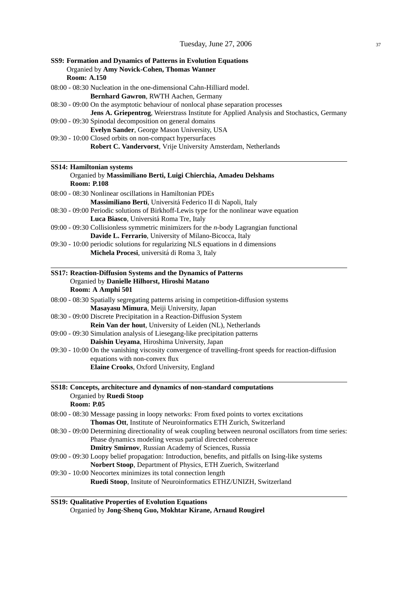| SS9: Formation and Dynamics of Patterns in Evolution Equations<br>Organied by Amy Novick-Cohen, Thomas Wanner<br><b>Room: A.150</b>                                          |
|------------------------------------------------------------------------------------------------------------------------------------------------------------------------------|
| 08:00 - 08:30 Nucleation in the one-dimensional Cahn-Hilliard model.<br>Bernhard Gawron, RWTH Aachen, Germany                                                                |
| 08:30 - 09:00 On the asymptotic behaviour of nonlocal phase separation processes<br>Jens A. Griepentrog, Weierstrass Institute for Applied Analysis and Stochastics, Germany |
| 09:00 - 09:30 Spinodal decomposition on general domains<br>Evelyn Sander, George Mason University, USA                                                                       |
| 09:30 - 10:00 Closed orbits on non-compact hypersurfaces<br>Robert C. Vandervorst, Vrije University Amsterdam, Netherlands                                                   |
| <b>SS14: Hamiltonian systems</b><br>Organied by Massimiliano Berti, Luigi Chierchia, Amadeu Delshams<br><b>Room: P.108</b>                                                   |
| 08:00 - 08:30 Nonlinear oscillations in Hamiltonian PDEs                                                                                                                     |
| Massimiliano Berti, Universitá Federico II di Napoli, Italy<br>08:30 - 09:00 Periodic solutions of Birkhoff-Lewis type for the nonlinear wave equation                       |
| Luca Biasco, Universitá Roma Tre, Italy                                                                                                                                      |
| $09:00 - 09:30$ Collisionless symmetric minimizers for the <i>n</i> -body Lagrangian functional                                                                              |
| Davide L. Ferrario, University of Milano-Bicocca, Italy                                                                                                                      |
| 09:30 - 10:00 periodic solutions for regularizing NLS equations in d dimensions<br>Michela Procesi, universitá di Roma 3, Italy                                              |
| SS17: Reaction-Diffusion Systems and the Dynamics of Patterns<br>Organied by Danielle Hilhorst, Hiroshi Matano                                                               |
| Room: A Amphi 501                                                                                                                                                            |
| 08:00 - 08:30 Spatially segregating patterns arising in competition-diffusion systems<br>Masayasu Mimura, Meiji University, Japan                                            |
| 08:30 - 09:00 Discrete Precipitation in a Reaction-Diffusion System                                                                                                          |
| Rein Van der hout, University of Leiden (NL), Netherlands<br>09:00 - 09:30 Simulation analysis of Liesegang-like precipitation patterns                                      |
| Daishin Ueyama, Hiroshima University, Japan                                                                                                                                  |
| 09:30 - 10:00 On the vanishing viscosity convergence of travelling-front speeds for reaction-diffusion<br>equations with non-convex flux                                     |
| Elaine Crooks, Oxford University, England                                                                                                                                    |
| SS18: Concepts, architecture and dynamics of non-standard computations<br>Organied by Ruedi Stoop<br><b>Room: P.05</b>                                                       |
| 08:00 - 08:30 Message passing in loopy networks: From fixed points to vortex excitations                                                                                     |
| Thomas Ott, Institute of Neuroinformatics ETH Zurich, Switzerland                                                                                                            |
| 08:30 - 09:00 Determining directionality of weak coupling between neuronal oscillators from time series:                                                                     |
| Phase dynamics modeling versus partial directed coherence<br>Dmitry Smirnov, Russian Academy of Sciences, Russia                                                             |
| 09:00 - 09:30 Loopy belief propagation: Introduction, benefits, and pitfalls on Ising-like systems                                                                           |
| Norbert Stoop, Department of Physics, ETH Zuerich, Switzerland                                                                                                               |
| 09:30 - 10:00 Neocortex minimizes its total connection length<br>Ruedi Stoop, Insitute of Neuroinformatics ETHZ/UNIZH, Switzerland                                           |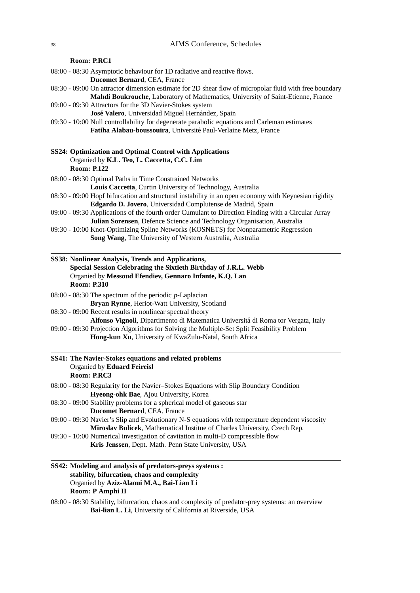#### **Room: P.RC1**

- 08:00 08:30 Asymptotic behaviour for 1D radiative and reactive flows. **Ducomet Bernard**, CEA, France
- 08:30 09:00 On attractor dimension estimate for 2D shear flow of micropolar fluid with free boundary **Mahdi Boukrouche**, Laboratory of Mathematics, University of Saint-Etienne, France
- 09:00 09:30 Attractors for the 3D Navier-Stokes system
	- **José Valero**, Universidad Miguel Hernández, Spain
- 09:30 10:00 Null controllability for degenerate parabolic equations and Carleman estimates **Fatiha Alabau-boussouira**, Universite Paul-Verlaine Metz, France ´

### **SS24: Optimization and Optimal Control with Applications** Organied by **K.L. Teo, L. Caccetta, C.C. Lim Room: P.122**

- 08:00 08:30 Optimal Paths in Time Constrained Networks **Louis Caccetta**, Curtin University of Technology, Australia
- 08:30 09:00 Hopf bifurcation and structural instability in an open economy with Keynesian rigidity **Edgardo D. Jovero**, Universidad Complutense de Madrid, Spain
- 09:00 09:30 Applications of the fourth order Cumulant to Direction Finding with a Circular Array **Julian Sorensen**, Defence Science and Technology Organisation, Australia
- 09:30 10:00 Knot-Optimizing Spline Networks (KOSNETS) for Nonparametric Regression **Song Wang**, The University of Western Australia, Australia

| SS38: Nonlinear Analysis, Trends and Applications,               |
|------------------------------------------------------------------|
| Special Session Celebrating the Sixtieth Birthday of J.R.L. Webb |
| Organied by Messoud Efendiev, Gennaro Infante, K.O. Lan          |
| <b>Room: P.310</b>                                               |

- 08:00 08:30 The spectrum of the periodic *p*-Laplacian **Bryan Rynne**, Heriot-Watt University, Scotland
- 08:30 09:00 Recent results in nonlinear spectral theory **Alfonso Vignoli**, Dipartimento di Matematica Universita di Roma tor Vergata, Italy ´
- 09:00 09:30 Projection Algorithms for Solving the Multiple-Set Split Feasibility Problem **Hong-kun Xu**, University of KwaZulu-Natal, South Africa

#### **SS41: The Navier-Stokes equations and related problems** Organied by **Eduard Feireisl Room: P.RC3**

- 08:00 08:30 Regularity for the Navier–Stokes Equations with Slip Boundary Condition **Hyeong-ohk Bae**, Ajou University, Korea
- 08:30 09:00 Stability problems for a spherical model of gaseous star
	- **Ducomet Bernard**, CEA, France
- 09:00 09:30 Navier's Slip and Evolutionary N-S equations with temperature dependent viscosity **Miroslav Bulicek**, Mathematical Institue of Charles University, Czech Rep.
- 09:30 10:00 Numerical investigation of cavitation in multi-D compressible flow **Kris Jenssen**, Dept. Math. Penn State University, USA

# **SS42: Modeling and analysis of predators-preys systems : stability, bifurcation, chaos and complexity** Organied by **Aziz-Alaoui M.A., Bai-Lian Li Room: P Amphi II**

08:00 - 08:30 Stability, bifurcation, chaos and complexity of predator-prey systems: an overview **Bai-lian L. Li**, University of California at Riverside, USA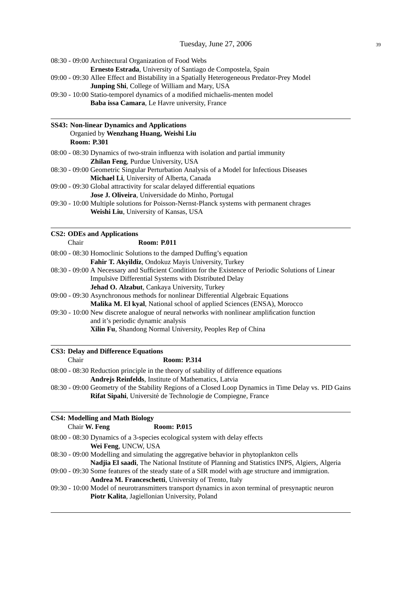08:30 - 09:00 Architectural Organization of Food Webs **Ernesto Estrada**, University of Santiago de Compostela, Spain 09:00 - 09:30 Allee Effect and Bistability in a Spatially Heterogeneous Predator-Prey Model **Junping Shi**, College of William and Mary, USA 09:30 - 10:00 Statio-temporel dynamics of a modified michaelis-menten model **Baba issa Camara**, Le Havre university, France **SS43: Non-linear Dynamics and Applications** Organied by **Wenzhang Huang, Weishi Liu Room: P.301** 08:00 - 08:30 Dynamics of two-strain influenza with isolation and partial immunity **Zhilan Feng**, Purdue University, USA 08:30 - 09:00 Geometric Singular Perturbation Analysis of a Model for Infectious Diseases **Michael Li**, University of Alberta, Canada 09:00 - 09:30 Global attractivity for scalar delayed differential equations **Jose J. Oliveira**, Universidade do Minho, Portugal 09:30 - 10:00 Multiple solutions for Poisson-Nernst-Planck systems with permanent chrages **Weishi Liu**, University of Kansas, USA **CS2: ODEs and Applications** Chair **Room: P.011** 08:00 - 08:30 Homoclinic Solutions to the damped Duffing's equation **Fahir T. Akyildiz**, Ondokuz Mayis University, Turkey 08:30 - 09:00 A Necessary and Sufficient Condition for the Existence of Periodic Solutions of Linear Impulsive Differential Systems with Distributed Delay **Jehad O. Alzabut**, Cankaya University, Turkey 09:00 - 09:30 Asynchronous methods for nonlinear Differential Algebraic Equations **Malika M. El kyal**, National school of applied Sciences (ENSA), Morocco 09:30 - 10:00 New discrete analogue of neural networks with nonlinear amplification function and it's periodic dynamic analysis **Xilin Fu**, Shandong Normal University, Peoples Rep of China **CS3: Delay and Difference Equations** Chair **Room: P.314** 08:00 - 08:30 Reduction principle in the theory of stability of difference equations

**Andrejs Reinfelds**, Institute of Mathematics, Latvia 08:30 - 09:00 Geometry of the Stability Regions of a Closed Loop Dynamics in Time Delay vs. PID Gains **Rifat Sipahi**, Universite de Technologie de Compiegne, France ´ **CS4: Modelling and Math Biology**

| Chair W. Feng                                                                          | <b>Room: P.015</b>                                   |                                                                                                    |
|----------------------------------------------------------------------------------------|------------------------------------------------------|----------------------------------------------------------------------------------------------------|
| 08:00 - 08:30 Dynamics of a 3-species ecological system with delay effects             |                                                      |                                                                                                    |
| Wei Feng, UNCW, USA                                                                    |                                                      |                                                                                                    |
| 08:30 - 09:00 Modelling and simulating the aggregative behavior in phytoplankton cells |                                                      |                                                                                                    |
|                                                                                        |                                                      | Nadjia El saadi, The National Institute of Planning and Statistics INPS, Algiers, Algeria          |
|                                                                                        |                                                      | 09:00 - 09:30 Some features of the steady state of a SIR model with age structure and immigration. |
|                                                                                        | Andrea M. Franceschetti, University of Trento, Italy |                                                                                                    |
|                                                                                        |                                                      | 09:30 - 10:00 Model of neurotransmitters transport dynamics in axon terminal of presynaptic neuron |
|                                                                                        | <b>Piotr Kalita, Jagiellonian University, Poland</b> |                                                                                                    |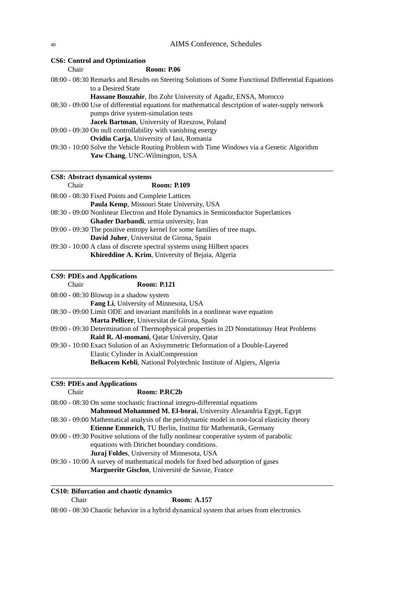# <sup>40</sup> AIMS Conference, Schedules

|       | <b>CS6: Control and Optimization</b>                                                                                                    |
|-------|-----------------------------------------------------------------------------------------------------------------------------------------|
| Chair | <b>Room: P.06</b>                                                                                                                       |
|       | 08:00 - 08:30 Remarks and Results on Steering Solutions of Some Functional Differential Equations<br>to a Desired State                 |
|       | Hassane Bouzahir, Ibn Zohr University of Agadir, ENSA, Morocco                                                                          |
|       | 08:30 - 09:00 Use of differential equations for mathematical description of water-supply network<br>pumps drive system-simulation tests |
|       | Jacek Bartman, University of Rzeszow, Poland                                                                                            |
|       | 09:00 - 09:30 On null controllability with vanishing energy                                                                             |
|       | Ovidiu Carja, University of Iasi, Romania                                                                                               |
|       | 09:30 - 10:00 Solve the Vehicle Routing Problem with Time Windows via a Genetic Algorithm                                               |
|       | Yaw Chang, UNC-Wilmington, USA                                                                                                          |
|       |                                                                                                                                         |
| Chair | <b>CS8: Abstract dynamical systems</b><br><b>Room: P.109</b>                                                                            |
|       |                                                                                                                                         |
|       | 08:00 - 08:30 Fixed Points and Complete Lattices                                                                                        |
|       | Paula Kemp, Missouri State University, USA                                                                                              |
|       | 08:30 - 09:00 Nonlinear Electron and Hole Dynamics in Semiconductor Superlattices                                                       |
|       | Ghader Darbandi, urmia university, Iran                                                                                                 |
|       | 09:00 - 09:30 The positive entropy kernel for some families of tree maps.                                                               |
|       | David Juher, Universitat de Girona, Spain                                                                                               |
|       | 09:30 - 10:00 A class of discrete spectral systems using Hilbert spaces                                                                 |
|       | Khireddine A. Krim, University of Bejaia, Algeria                                                                                       |
|       | <b>CS9: PDEs and Applications</b>                                                                                                       |
| Chair | <b>Room: P.121</b>                                                                                                                      |
|       | 08:00 - 08:30 Blowup in a shadow system                                                                                                 |

| $08:00 - 08:30$ Blowup in a shadow system                                                   |
|---------------------------------------------------------------------------------------------|
| <b>Fang Li</b> , University of Minnesota, USA                                               |
| 08:30 - 09:00 Limit ODE and invariant manifolds in a nonlinear wave equation                |
| Marta Pellicer, Universitat de Girona, Spain                                                |
| 09:00 - 09:30 Determination of Thermophysical properties in 2D Nonstationay Heat Problems   |
| <b>Raid R. Al-momani, Qatar University, Qatar</b>                                           |
| 09:30 - 10:00 Exact Solution of an Axisymmetric Deformation of a Double-Layered             |
| Elastic Cylinder in AxialCompression                                                        |
| Belkacem Kebli, National Polytechnic Institute of Algiers, Algeria                          |
|                                                                                             |
|                                                                                             |
| <b>CS9: PDEs and Applications</b>                                                           |
| Room: P.RC2b<br>Chair                                                                       |
| 08:00 - 08:30 On some stochastic fractional integro-differential equations                  |
| Mahmoud Mohammed M. El-borai, University Alexandria Egypt, Egypt                            |
| 08:30 - 09:00 Mathematical analysis of the peridynamic model in non-local elasticity theory |
| <b>Etienne Emmrich, TU Berlin, Institut für Mathematik, Germany</b>                         |
| $09:00 - 09:30$ Positive solutions of the fully nonlinear cooperative system of parabolic   |
| equations with Dirichet boundary conditions.                                                |

09:30 - 10:00 A survey of mathematical models for fixed bed adsorption of gases Marguerite Gisclon, Université de Savoie, France

**CS10: Bifurcation and chaotic dynamics**

Chair **Room: A.157**

08:00 - 08:30 Chaotic behavior in a hybrid dynamical system that arises from electronics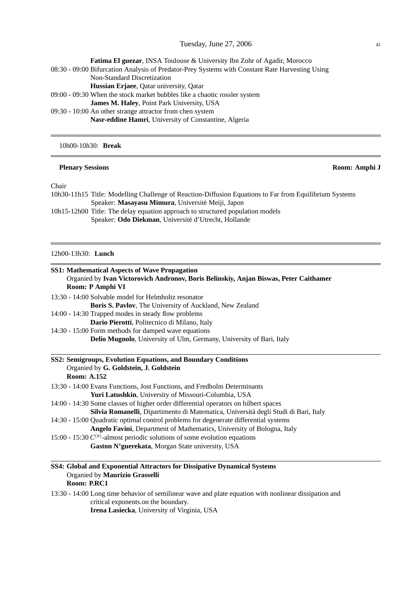| <b>Fatima El guezar</b> , INSA Toulouse & University Ibn Zohr of Agadir, Morocco                |
|-------------------------------------------------------------------------------------------------|
| 08:30 - 09:00 Bifurcation Analysis of Predator-Prey Systems with Constant Rate Harvesting Using |
| Non-Standard Discretization                                                                     |
| <b>Hussian Erjaee, Qatar university, Qatar</b>                                                  |
| $09:00 - 09:30$ When the stock market bubbles like a chaotic rossler system                     |
| James M. Haley, Point Park University, USA                                                      |
| 09:30 - 10:00 An other strange attractor from chen system                                       |
| Nasr-eddine Hamri, University of Constantine, Algeria                                           |

10h00-10h30: **Break**

#### **Plenary Sessions** Room: Amphi J

Chair

10h30-11h15 Title: Modelling Challenge of Reaction-Diffusion Equations to Far from Equilibrium Systems Speaker: **Masayasu Mimura**, Universite Meiji, Japon ´ 10h15-12h00 Title: The delay equation approach to structured population models

Speaker: Odo Diekman, Université d'Utrecht, Hollande

12h00-13h30: **Lunch**

| <b>SS1: Mathematical Aspects of Wave Propagation</b>                                                                                         |  |
|----------------------------------------------------------------------------------------------------------------------------------------------|--|
| Organied by Ivan Victorovich Andronov, Boris Belinskiy, Anjan Biswas, Peter Caithamer                                                        |  |
| Room: P Amphi VI                                                                                                                             |  |
| 13:30 - 14:00 Solvable model for Helmholtz resonator                                                                                         |  |
| Boris S. Pavlov, The University of Auckland, New Zealand                                                                                     |  |
| 14:00 - 14:30 Trapped modes in steady flow problems                                                                                          |  |
| Dario Pierotti, Politecnico di Milano, Italy                                                                                                 |  |
| 14:30 - 15:00 Form methods for damped wave equations                                                                                         |  |
| Delio Mugnolo, University of Ulm, Germany, University of Bari, Italy                                                                         |  |
| SS2: Semigroups, Evolution Equations, and Boundary Conditions                                                                                |  |
| Organied by G. Goldstein, J. Goldstein                                                                                                       |  |
| <b>Room: A.152</b>                                                                                                                           |  |
| 13:30 - 14:00 Evans Functions, Jost Functions, and Fredholm Determinants                                                                     |  |
| Yuri Latushkin, University of Missouri-Columbia, USA                                                                                         |  |
| 14:00 - 14:30 Some classes of higher order differential operators on hilbert spaces                                                          |  |
| Silvia Romanelli, Dipartimento di Matematica, Universitá degli Studi di Bari, Italy                                                          |  |
| 14:30 - 15:00 Quadratic optimal control problems for degenerate differential systems                                                         |  |
| Angelo Favini, Department of Mathematics, University of Bologna, Italy                                                                       |  |
| 15:00 - 15:30 $C^{(n)}$ -almost periodic solutions of some evolution equations                                                               |  |
| Gaston N'guerekata, Morgan State university, USA                                                                                             |  |
| SS4: Global and Exponential Attractors for Dissipative Dynamical Systems<br>Organied by Maurizio Grasselli                                   |  |
| Room: P.RC1                                                                                                                                  |  |
| 13:30 - 14:00 Long time behavior of semilinear wave and plate equation with nonlinear dissipation and<br>critical exponents.on the boundary. |  |

**Irena Lasiecka**, University of Virginia, USA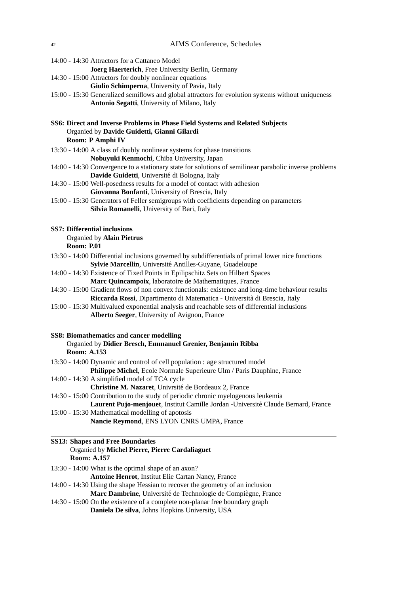**Joerg Haerterich**, Free University Berlin, Germany 14:30 - 15:00 Attractors for doubly nonlinear equations **Giulio Schimperna**, University of Pavia, Italy 15:00 - 15:30 Generalized semiflows and global attractors for evolution systems without uniqueness **Antonio Segatti**, University of Milano, Italy **SS6: Direct and Inverse Problems in Phase Field Systems and Related Subjects** Organied by **Davide Guidetti, Gianni Gilardi Room: P Amphi IV** 13:30 - 14:00 A class of doubly nonlinear systems for phase transitions **Nobuyuki Kenmochi**, Chiba University, Japan 14:00 - 14:30 Convergence to a stationary state for solutions of semilinear parabolic inverse problems Davide Guidetti, Université di Bologna, Italy 14:30 - 15:00 Well-posedness results for a model of contact with adhesion **Giovanna Bonfanti**, University of Brescia, Italy 15:00 - 15:30 Generators of Feller semigroups with coefficients depending on parameters **Silvia Romanelli**, University of Bari, Italy **SS7: Differential inclusions** Organied by **Alain Pietrus Room: P.01** 13:30 - 14:00 Differential inclusions governed by subdifferentials of primal lower nice functions Sylvie Marcellin, Université Antilles-Guyane, Guadeloupe 14:00 - 14:30 Existence of Fixed Points in Epilipschitz Sets on Hilbert Spaces **Marc Quincampoix**, laboratoire de Mathematiques, France 14:30 - 15:00 Gradient flows of non convex functionals: existence and long-time behaviour results **Riccarda Rossi**, Dipartimento di Matematica - Universita di Brescia, Italy ` 15:00 - 15:30 Multivalued exponential analysis and reachable sets of differential inclusions **Alberto Seeger**, University of Avignon, France **SS8: Biomathematics and cancer modelling** Organied by **Didier Bresch, Emmanuel Grenier, Benjamin Ribba Room: A.153** 13:30 - 14:00 Dynamic and control of cell population : age structured model **Philippe Michel**, Ecole Normale Superieure Ulm / Paris Dauphine, France 14:00 - 14:30 A simplified model of TCA cycle **Christine M. Nazaret**, Univrsite de Bordeaux 2, France ´ 14:30 - 15:00 Contribution to the study of periodic chronic myelogenous leukemia Laurent Pujo-menjouet, Institut Camille Jordan -Université Claude Bernard, France 15:00 - 15:30 Mathematical modelling of apotosis **Nancie Reymond**, ENS LYON CNRS UMPA, France

# **SS13: Shapes and Free Boundaries** Organied by **Michel Pierre, Pierre Cardaliaguet Room: A.157** 13:30 - 14:00 What is the optimal shape of an axon? **Antoine Henrot**, Institut Elie Cartan Nancy, France 14:00 - 14:30 Using the shape Hessian to recover the geometry of an inclusion Marc Dambrine, Université de Technologie de Compiègne, France

14:30 - 15:00 On the existence of a complete non-planar free boundary graph **Daniela De silva**, Johns Hopkins University, USA

14:00 - 14:30 Attractors for a Cattaneo Model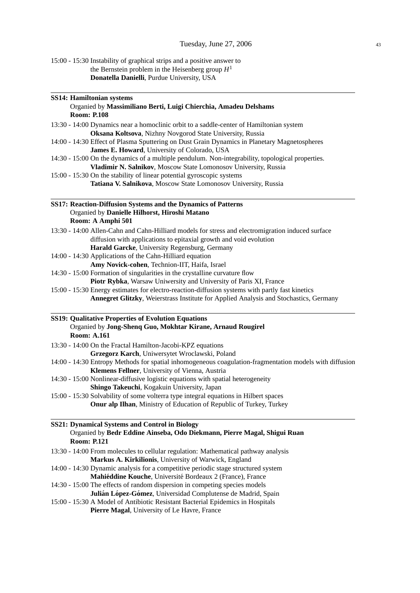15:00 - 15:30 Instability of graphical strips and a positive answer to the Bernstein problem in the Heisenberg group *H* 1 **Donatella Danielli**, Purdue University, USA

| SS14: Hamiltonian systems                                                                               |
|---------------------------------------------------------------------------------------------------------|
| Organied by Massimiliano Berti, Luigi Chierchia, Amadeu Delshams                                        |
| <b>Room: P.108</b>                                                                                      |
| 13:30 - 14:00 Dynamics near a homoclinic orbit to a saddle-center of Hamiltonian system                 |
| Oksana Koltsova, Nizhny Novgorod State University, Russia                                               |
| 14:00 - 14:30 Effect of Plasma Sputtering on Dust Grain Dynamics in Planetary Magnetospheres            |
| James E. Howard, University of Colorado, USA                                                            |
|                                                                                                         |
| 14:30 - 15:00 On the dynamics of a multiple pendulum. Non-integrability, topological properties.        |
| Vladimir N. Salnikov, Moscow State Lomonosov University, Russia                                         |
| 15:00 - 15:30 On the stability of linear potential gyroscopic systems                                   |
| Tatiana V. Salnikova, Moscow State Lomonosov University, Russia                                         |
| <b>SS17: Reaction-Diffusion Systems and the Dynamics of Patterns</b>                                    |
| Organied by Danielle Hilhorst, Hiroshi Matano                                                           |
| Room: A Amphi 501                                                                                       |
| 13:30 - 14:00 Allen-Cahn and Cahn-Hilliard models for stress and electromigration induced surface       |
| diffusion with applications to epitaxial growth and void evolution                                      |
| Harald Garcke, University Regensburg, Germany                                                           |
| 14:00 - 14:30 Applications of the Cahn-Hilliard equation                                                |
|                                                                                                         |
| Amy Novick-cohen, Technion-IIT, Haifa, Israel                                                           |
| 14:30 - 15:00 Formation of singularities in the crystalline curvature flow                              |
| Piotr Rybka, Warsaw Uniwersity and University of Paris XI, France                                       |
| 15:00 - 15:30 Energy estimates for electro-reaction-diffusion systems with partly fast kinetics         |
| Annegret Glitzky, Weierstrass Institute for Applied Analysis and Stochastics, Germany                   |
| SS19: Qualitative Properties of Evolution Equations                                                     |
| Organied by Jong-Shenq Guo, Mokhtar Kirane, Arnaud Rougirel                                             |
| <b>Room: A.161</b>                                                                                      |
| 13:30 - 14:00 On the Fractal Hamilton-Jacobi-KPZ equations                                              |
| Grzegorz Karch, Uniwersytet Wroclawski, Poland                                                          |
| 14:00 - 14:30 Entropy Methods for spatial inhomogeneous coagulation-fragmentation models with diffusion |
| Klemens Fellner, University of Vienna, Austria                                                          |
|                                                                                                         |
| 14:30 - 15:00 Nonlinear-diffusive logistic equations with spatial heterogeneity                         |
| Shingo Takeuchi, Kogakuin University, Japan                                                             |
| 15:00 - 15:30 Solvability of some volterra type integral equations in Hilbert spaces                    |
| Onur alp Ilhan, Ministry of Education of Republic of Turkey, Turkey                                     |
| <b>SS21: Dynamical Systems and Control in Biology</b>                                                   |
| Organied by Bedr Eddine Ainseba, Odo Diekmann, Pierre Magal, Shigui Ruan                                |
| <b>Room: P.121</b>                                                                                      |
| 13:30 - 14:00 From molecules to cellular regulation: Mathematical pathway analysis                      |
| Markus A. Kirkilionis, University of Warwick, England                                                   |
| 14:00 - 14:30 Dynamic analysis for a competitive periodic stage structured system                       |
| Mahiéddine Kouche, Université Bordeaux 2 (France), France                                               |
| 14:30 - 15:00 The effects of random dispersion in competing species models                              |
| Julián López-Gómez, Universidad Complutense de Madrid, Spain                                            |
| 15:00 - 15:30 A Model of Antibiotic Resistant Bacterial Epidemics in Hospitals                          |
| Pierre Magal, University of Le Havre, France                                                            |
|                                                                                                         |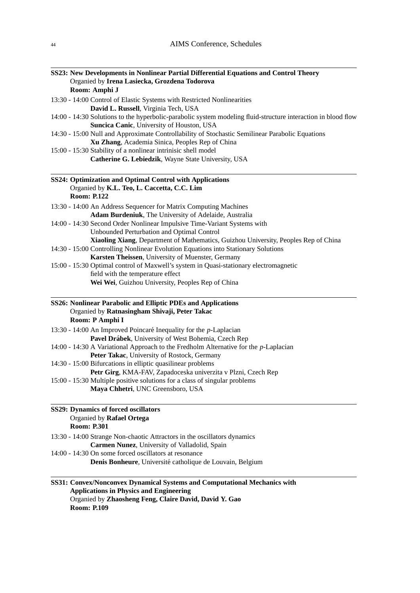| SS23: New Developments in Nonlinear Partial Differential Equations and Control Theory<br>Organied by Irena Lasiecka, Grozdena Todorova<br>Room: Amphi J |
|---------------------------------------------------------------------------------------------------------------------------------------------------------|
| 13:30 - 14:00 Control of Elastic Systems with Restricted Nonlinearities                                                                                 |
| David L. Russell, Virginia Tech, USA                                                                                                                    |
| 14:00 - 14:30 Solutions to the hyperbolic-parabolic system modeling fluid-structure interaction in blood flow                                           |
| Suncica Canic, University of Houston, USA                                                                                                               |
| 14:30 - 15:00 Null and Approximate Controllability of Stochastic Semilinear Parabolic Equations                                                         |
| Xu Zhang, Academia Sinica, Peoples Rep of China<br>15:00 - 15:30 Stability of a nonlinear intrinisic shell model                                        |
| Catherine G. Lebiedzik, Wayne State University, USA                                                                                                     |
| SS24: Optimization and Optimal Control with Applications<br>Organied by K.L. Teo, L. Caccetta, C.C. Lim                                                 |
| <b>Room: P.122</b>                                                                                                                                      |
| 13:30 - 14:00 An Address Sequencer for Matrix Computing Machines                                                                                        |
| Adam Burdeniuk, The University of Adelaide, Australia                                                                                                   |
| 14:00 - 14:30 Second Order Nonlinear Impulsive Time-Variant Systems with                                                                                |
| Unbounded Perturbation and Optimal Control                                                                                                              |
| Xiaoling Xiang, Department of Mathematics, Guizhou University, Peoples Rep of China                                                                     |
| 14:30 - 15:00 Controlling Nonlinear Evolution Equations into Stationary Solutions<br>Karsten Theissen, University of Muenster, Germany                  |
| 15:00 - 15:30 Optimal control of Maxwell's system in Quasi-stationary electromagnetic                                                                   |
| field with the temperature effect                                                                                                                       |
| Wei Wei, Guizhou University, Peoples Rep of China                                                                                                       |
| SS26: Nonlinear Parabolic and Elliptic PDEs and Applications<br>Organied by Ratnasingham Shivaji, Peter Takac<br>Room: P Amphi I                        |
| 13:30 - 14:00 An Improved Poincaré Inequality for the <i>p</i> -Laplacian                                                                               |
| Pavel Drábek, University of West Bohemia, Czech Rep                                                                                                     |
| 14:00 - 14:30 A Variational Approach to the Fredholm Alternative for the $p$ -Laplacian                                                                 |
| Peter Takac, University of Rostock, Germany                                                                                                             |
| 14:30 - 15:00 Bifurcations in elliptic quasilinear problems                                                                                             |
| Petr Girg, KMA-FAV, Zapadoceska univerzita v Plzni, Czech Rep                                                                                           |
| 15:00 - 15:30 Multiple positive solutions for a class of singular problems<br>Maya Chhetri, UNC Greensboro, USA                                         |
| <b>SS29: Dynamics of forced oscillators</b>                                                                                                             |
| Organied by Rafael Ortega<br><b>Room: P.301</b>                                                                                                         |
| 13:30 - 14:00 Strange Non-chaotic Attractors in the oscillators dynamics                                                                                |
| Carmen Nunez, University of Valladolid, Spain                                                                                                           |
| 14:00 - 14:30 On some forced oscillators at resonance                                                                                                   |
| Denis Bonheure, Université catholique de Louvain, Belgium                                                                                               |
| SS31: Convex/Nonconvex Dynamical Systems and Computational Mechanics with                                                                               |
| <b>Applications in Physics and Engineering</b><br>Organied by Zhaosheng Feng, Claire David, David Y. Gao                                                |

**Room: P.109**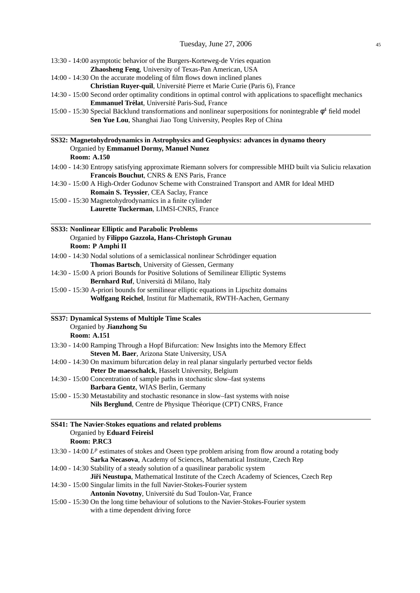| 13:30 - 14:00 asymptotic behavior of the Burgers-Korteweg-de Vries equation                                                                                                            |
|----------------------------------------------------------------------------------------------------------------------------------------------------------------------------------------|
| Zhaosheng Feng, University of Texas-Pan American, USA                                                                                                                                  |
| 14:00 - 14:30 On the accurate modeling of film flows down inclined planes<br>Christian Ruyer-quil, Université Pierre et Marie Curie (Paris 6), France                                  |
| 14:30 - 15:00 Second order optimality conditions in optimal control with applications to spaceflight mechanics                                                                         |
| Emmanuel Trélat, Université Paris-Sud, France                                                                                                                                          |
| 15:00 - 15:30 Special Bäcklund transformations and nonlinear superpositions for nonintegrable $\phi^4$ field model<br>Sen Yue Lou, Shanghai Jiao Tong University, Peoples Rep of China |
| SS32: Magnetohydrodynamics in Astrophysics and Geophysics: advances in dynamo theory                                                                                                   |
| Organied by Emmanuel Dormy, Manuel Nunez<br><b>Room: A.150</b>                                                                                                                         |
| 14:00 - 14:30 Entropy satisfying approximate Riemann solvers for compressible MHD built via Suliciu relaxation<br>Francois Bouchut, CNRS & ENS Paris, France                           |
| 14:30 - 15:00 A High-Order Godunov Scheme with Constrained Transport and AMR for Ideal MHD                                                                                             |
| Romain S. Teyssier, CEA Saclay, France                                                                                                                                                 |
| 15:00 - 15:30 Magnetohydrodynamics in a finite cylinder                                                                                                                                |
| Laurette Tuckerman, LIMSI-CNRS, France                                                                                                                                                 |
| SS33: Nonlinear Elliptic and Parabolic Problems                                                                                                                                        |
| Organied by Filippo Gazzola, Hans-Christoph Grunau<br>Room: P Amphi II                                                                                                                 |
| 14:00 - 14:30 Nodal solutions of a semiclassical nonlinear Schrödinger equation                                                                                                        |
| Thomas Bartsch, University of Giessen, Germany                                                                                                                                         |
| 14:30 - 15:00 A priori Bounds for Positive Solutions of Semilinear Elliptic Systems                                                                                                    |
| Bernhard Ruf, Universitá di Milano, Italy                                                                                                                                              |
| 15:00 - 15:30 A-priori bounds for semilinear elliptic equations in Lipschitz domains<br>Wolfgang Reichel, Institut für Mathematik, RWTH-Aachen, Germany                                |
| <b>SS37: Dynamical Systems of Multiple Time Scales</b>                                                                                                                                 |
| Organied by Jianzhong Su<br><b>Room: A.151</b>                                                                                                                                         |
| 13:30 - 14:00 Ramping Through a Hopf Bifurcation: New Insights into the Memory Effect<br>Steven M. Baer, Arizona State University, USA                                                 |
| 14:00 - 14:30 On maximum bifurcation delay in real planar singularly perturbed vector fields                                                                                           |
| <b>Peter De maesschalck, Hasselt University, Belgium</b>                                                                                                                               |
| 14:30 - 15:00 Concentration of sample paths in stochastic slow-fast systems                                                                                                            |
| Barbara Gentz, WIAS Berlin, Germany<br>15:00 - 15:30 Metastability and stochastic resonance in slow-fast systems with noise                                                            |
| Nils Berglund, Centre de Physique Théorique (CPT) CNRS, France                                                                                                                         |
| SS41: The Navier-Stokes equations and related problems                                                                                                                                 |
| Organied by Eduard Feireisl<br>Room: P.RC3                                                                                                                                             |
| 13:30 - 14:00 $L^p$ estimates of stokes and Oseen type problem arising from flow around a rotating body                                                                                |
| Sarka Necasova, Academy of Sciences, Mathematical Institute, Czech Rep                                                                                                                 |
| 14:00 - 14:30 Stability of a steady solution of a quasilinear parabolic system                                                                                                         |
| Jiří Neustupa, Mathematical Institute of the Czech Academy of Sciences, Czech Rep                                                                                                      |
| 14:30 - 15:00 Singular limits in the full Navier-Stokes-Fourier system                                                                                                                 |
| Antonin Novotny, Université du Sud Toulon-Var, France                                                                                                                                  |
| 15:00 - 15:30 On the long time behaviour of solutions to the Navier-Stokes-Fourier system                                                                                              |

with a time dependent driving force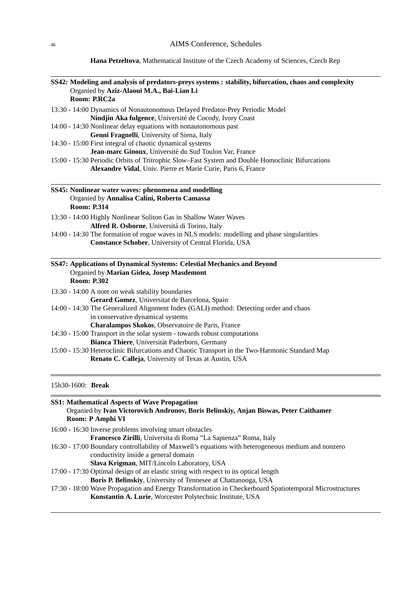**Hana Petzeltova**, Mathematical Institute of the Czech Academy of Sciences, Czech Rep

| SS42: Modeling and analysis of predators-preys systems : stability, bifurcation, chaos and complexity<br>Organied by Aziz-Alaoui M.A., Bai-Lian Li<br>Room: P.RC2a |  |  |
|--------------------------------------------------------------------------------------------------------------------------------------------------------------------|--|--|
| 13:30 - 14:00 Dynamics of Nonautonomous Delayed Predator-Prey Periodic Model<br>Nindjin Aka fulgence, Université de Cocody, Ivory Coast                            |  |  |
| 14:00 - 14:30 Nonlinear delay equations with nonautonomous past                                                                                                    |  |  |
| Genni Fragnelli, University of Siena, Italy                                                                                                                        |  |  |
| 14:30 - 15:00 First integral of chaotic dynamical systems                                                                                                          |  |  |
| Jean-marc Ginoux, Université du Sud Toulon Var, France                                                                                                             |  |  |
| 15:00 - 15:30 Periodic Orbits of Tritrophic Slow-Fast System and Double Homoclinic Bifurcations                                                                    |  |  |
| Alexandre Vidal, Univ. Pierre et Marie Curie, Paris 6, France                                                                                                      |  |  |
| SS45: Nonlinear water waves: phenomena and modelling                                                                                                               |  |  |
| Organied by Annalisa Calini, Roberto Camassa                                                                                                                       |  |  |
| <b>Room: P.314</b>                                                                                                                                                 |  |  |
| 13:30 - 14:00 Highly Nonlinear Soliton Gas in Shallow Water Waves                                                                                                  |  |  |
| Alfred R. Osborne, Universitá di Torino, Italy                                                                                                                     |  |  |
| 14:00 - 14:30 The formation of rogue waves in NLS models: modelling and phase singularities                                                                        |  |  |
| Constance Schober, University of Central Florida, USA                                                                                                              |  |  |
| SS47: Applications of Dynamical Systems: Celestial Mechanics and Beyond                                                                                            |  |  |
| Organied by Marian Gidea, Josep Masdemont                                                                                                                          |  |  |
| <b>Room: P.302</b>                                                                                                                                                 |  |  |
| 13:30 - 14:00 A note on weak stability boundaries                                                                                                                  |  |  |
| Gerard Gomez, Universitat de Barcelona, Spain                                                                                                                      |  |  |
| 14:00 - 14:30 The Generalized Alignment Index (GALI) method: Detecting order and chaos                                                                             |  |  |
| in conservative dynamical systems                                                                                                                                  |  |  |
| Charalampos Skokos, Observatoire de Paris, France                                                                                                                  |  |  |
| 14:30 - 15:00 Transport in the solar system - towards robust computations                                                                                          |  |  |
| Bianca Thiere, Universität Paderborn, Germany                                                                                                                      |  |  |
| 15:00 - 15:30 Heteroclinic Bifurcations and Chaotic Transport in the Two-Harmonic Standard Map<br>Renato C. Calleja, University of Texas at Austin, USA            |  |  |
|                                                                                                                                                                    |  |  |
| 15h30-1600: Break                                                                                                                                                  |  |  |

| <b>SS1: Mathematical Aspects of Wave Propagation</b>                                                    |
|---------------------------------------------------------------------------------------------------------|
| Organied by Ivan Victorovich Andronov, Boris Belinskiy, Anjan Biswas, Peter Caithamer                   |
| Room: P Amphi VI                                                                                        |
| 16:00 - 16:30 Inverse problems involving smart obstacles                                                |
| <b>Francesco Zirilli</b> , Universita di Roma "La Sapienza" Roma, Italy                                 |
| 16:30 - 17:00 Boundary controllability of Maxwell's equations with heterogeneous medium and nonzero     |
| conductivity inside a general domain                                                                    |
| Slava Krigman, MIT/Lincoln Laboratory, USA                                                              |
| 17:00 - 17:30 Optimal design of an elastic string with respect to its optical length                    |
| Boris P. Belinskiy, University of Tennesee at Chattanooga, USA                                          |
| 17:30 - 18:00 Wave Propagation and Energy Transformation in Checkerboard Spatiotemporal Microstructures |
| Konstantin A. Lurie, Worcester Polytechnic Institute, USA                                               |
|                                                                                                         |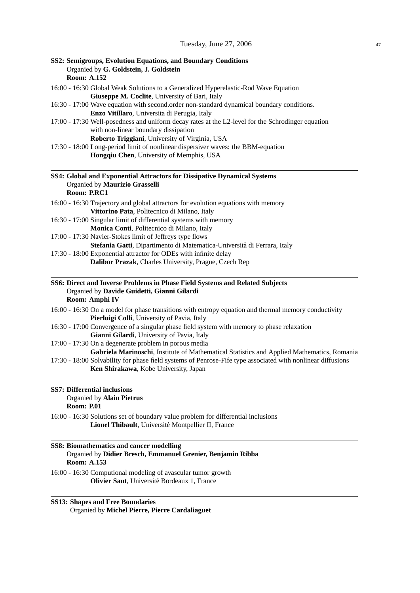| SS2: Semigroups, Evolution Equations, and Boundary Conditions<br>Organied by G. Goldstein, J. Goldstein<br><b>Room: A.152</b>                                                                                                                      |
|----------------------------------------------------------------------------------------------------------------------------------------------------------------------------------------------------------------------------------------------------|
| 16:00 - 16:30 Global Weak Solutions to a Generalized Hyperelastic-Rod Wave Equation                                                                                                                                                                |
| Giuseppe M. Coclite, University of Bari, Italy                                                                                                                                                                                                     |
| 16:30 - 17:00 Wave equation with second order non-standard dynamical boundary conditions.<br>Enzo Vitillaro, Universita di Perugia, Italy                                                                                                          |
| 17:00 - 17:30 Well-posedness and uniform decay rates at the L2-level for the Schrodinger equation                                                                                                                                                  |
| with non-linear boundary dissipation                                                                                                                                                                                                               |
| Roberto Triggiani, University of Virginia, USA                                                                                                                                                                                                     |
| 17:30 - 18:00 Long-period limit of nonlinear dispersiver waves: the BBM-equation<br>Hongqiu Chen, University of Memphis, USA                                                                                                                       |
| SS4: Global and Exponential Attractors for Dissipative Dynamical Systems<br>Organied by Maurizio Grasselli<br>Room: P.RC1                                                                                                                          |
| 16:00 - 16:30 Trajectory and global attractors for evolution equations with memory                                                                                                                                                                 |
| Vittorino Pata, Politecnico di Milano, Italy                                                                                                                                                                                                       |
| 16:30 - 17:00 Singular limit of differential systems with memory                                                                                                                                                                                   |
| Monica Conti, Politecnico di Milano, Italy<br>17:00 - 17:30 Navier-Stokes limit of Jeffreys type flows                                                                                                                                             |
| Stefania Gatti, Dipartimento di Matematica-Università di Ferrara, Italy                                                                                                                                                                            |
| 17:30 - 18:00 Exponential attractor for ODEs with infinite delay                                                                                                                                                                                   |
| Dalibor Prazak, Charles University, Prague, Czech Rep                                                                                                                                                                                              |
| SS6: Direct and Inverse Problems in Phase Field Systems and Related Subjects<br>Organied by Davide Guidetti, Gianni Gilardi<br>Room: Amphi IV                                                                                                      |
| 16:00 - 16:30 On a model for phase transitions with entropy equation and thermal memory conductivity<br>Pierluigi Colli, University of Pavia, Italy                                                                                                |
| 16:30 - 17:00 Convergence of a singular phase field system with memory to phase relaxation<br>Gianni Gilardi, University of Pavia, Italy                                                                                                           |
| 17:00 - 17:30 On a degenerate problem in porous media                                                                                                                                                                                              |
| Gabriela Marinoschi, Institute of Mathematical Statistics and Applied Mathematics, Romania<br>17:30 - 18:00 Solvability for phase field systems of Penrose-Fife type associated with nonlinear diffusions<br>Ken Shirakawa, Kobe University, Japan |
|                                                                                                                                                                                                                                                    |
| <b>SS7: Differential inclusions</b><br>Organied by Alain Pietrus<br><b>Room: P.01</b>                                                                                                                                                              |
| 16:00 - 16:30 Solutions set of boundary value problem for differential inclusions<br>Lionel Thibault, Université Montpellier II, France                                                                                                            |
| <b>SS8: Biomathematics and cancer modelling</b><br>Organied by Didier Bresch, Emmanuel Grenier, Benjamin Ribba                                                                                                                                     |
| <b>Room: A.153</b>                                                                                                                                                                                                                                 |
| 16:00 - 16:30 Computional modeling of avascular tumor growth<br>Olivier Saut, Université Bordeaux 1, France                                                                                                                                        |

**SS13: Shapes and Free Boundaries** Organied by **Michel Pierre, Pierre Cardaliaguet**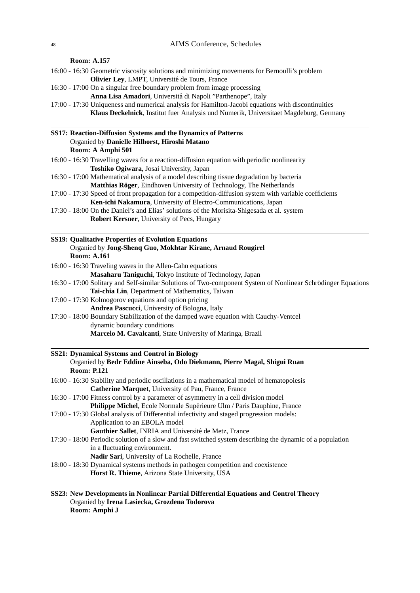#### **Room: A.157**

- 16:00 16:30 Geometric viscosity solutions and minimizing movements for Bernoulli's problem **Olivier Ley**, LMPT, Universite de Tours, France ´
- 16:30 17:00 On a singular free boundary problem from image processing **Anna Lisa Amadori**, Universita di Napoli "Parthenope", Italy ´
- 17:00 17:30 Uniqueness and numerical analysis for Hamilton-Jacobi equations with discontinuities **Klaus Deckelnick**, Institut fuer Analysis und Numerik, Universitaet Magdeburg, Germany

| <b>SS17: Reaction-Diffusion Systems and the Dynamics of Patterns</b> |
|----------------------------------------------------------------------|
| Organied by Danielle Hilhorst, Hiroshi Matano                        |
| Room: A Amphi 501                                                    |

- 16:00 16:30 Travelling waves for a reaction-diffusion equation with periodic nonlinearity **Toshiko Ogiwara**, Josai University, Japan
- 16:30 17:00 Mathematical analysis of a model describing tissue degradation by bacteria **Matthias Röger**, Eindhoven University of Technology, The Netherlands
- 17:00 17:30 Speed of front propagation for a competition-diffusion system with variable coefficients **Ken-ichi Nakamura**, University of Electro-Communications, Japan

Nonlinear Schrödinger Equations

17:30 - 18:00 On the Daniel's and Elias' solutions of the Morisita-Shigesada et al. system **Robert Kersner**, University of Pecs, Hungary

| <b>SS19: Qualitative Properties of Evolution Equations</b>                   |
|------------------------------------------------------------------------------|
| Organied by Jong-Shenq Guo, Mokhtar Kirane, Arnaud Rougirel                  |
| <b>Room: A.161</b>                                                           |
| 16:00 - 16:30 Traveling waves in the Allen-Cahn equations                    |
| Masaharu Taniguchi, Tokyo Institute of Technology, Japan                     |
| 16:30 - 17:00 Solitary and Self-similar Solutions of Two-component System of |
| Tai-chia Lin, Department of Mathematics, Taiwan                              |
| 17:00 - 17:30 Kolmogorov equations and option pricing                        |

- **Andrea Pascucci**, University of Bologna, Italy
- 17:30 18:00 Boundary Stabilization of the damped wave equation with Cauchy-Ventcel dynamic boundary conditions **Marcelo M. Cavalcanti**, State University of Maringa, Brazil

| <b>SS21: Dynamical Systems and Control in Biology</b>                                                     |
|-----------------------------------------------------------------------------------------------------------|
| Organied by Bedr Eddine Ainseba, Odo Diekmann, Pierre Magal, Shigui Ruan                                  |
| <b>Room: P.121</b>                                                                                        |
| 16:00 - 16:30 Stability and periodic oscillations in a mathematical model of hematopoiesis                |
| <b>Catherine Marquet, University of Pau, France, France</b>                                               |
| 16:30 - 17:00 Fitness control by a parameter of asymmetry in a cell division model                        |
| <b>Philippe Michel, Ecole Normale Supérieure Ulm / Paris Dauphine, France</b>                             |
| 17:00 - 17:30 Global analysis of Differential infectivity and staged progression models:                  |
| Application to an EBOLA model                                                                             |
| Gauthier Sallet, INRIA and Université de Metz, France                                                     |
| 17:30 - 18:00 Periodic solution of a slow and fast switched system describing the dynamic of a population |
| in a fluctuating environment.                                                                             |
| <b>Nadir Sari, University of La Rochelle, France</b>                                                      |
| 18:00 - 18:30 Dynamical systems methods in pathogen competition and coexistence                           |
|                                                                                                           |

**Horst R. Thieme**, Arizona State University, USA

# **SS23: New Developments in Nonlinear Partial Differential Equations and Control Theory** Organied by **Irena Lasiecka, Grozdena Todorova Room: Amphi J**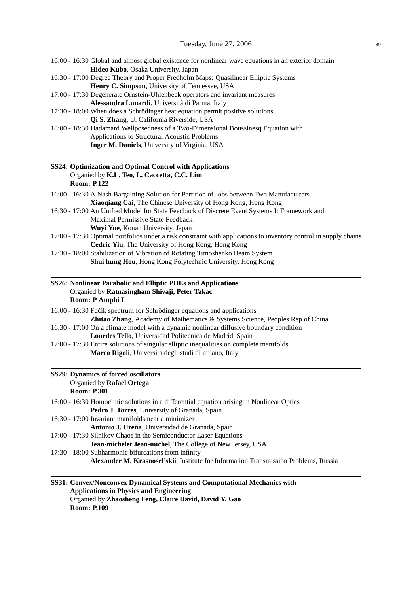| 16:00 - 16:30 Global and almost global existence for nonlinear wave equations in an exterior domain                                                           |
|---------------------------------------------------------------------------------------------------------------------------------------------------------------|
| Hideo Kubo, Osaka University, Japan<br>16:30 - 17:00 Degree Theory and Proper Fredholm Maps: Quasilinear Elliptic Systems                                     |
| Henry C. Simpson, University of Tennessee, USA                                                                                                                |
| 17:00 - 17:30 Degenerate Ornstein-Uhlenbeck operators and invariant measures                                                                                  |
| Alessandra Lunardi, Universitá di Parma, Italy                                                                                                                |
| 17:30 - 18:00 When does a Schrödinger heat equation permit positive solutions<br>Qi S. Zhang, U. California Riverside, USA                                    |
| 18:00 - 18:30 Hadamard Wellposedness of a Two-Dimensional Boussinesq Equation with                                                                            |
| Applications to Structural Acoustic Problems                                                                                                                  |
| Inger M. Daniels, University of Virginia, USA                                                                                                                 |
| SS24: Optimization and Optimal Control with Applications                                                                                                      |
| Organied by K.L. Teo, L. Caccetta, C.C. Lim                                                                                                                   |
| <b>Room: P.122</b>                                                                                                                                            |
| 16:00 - 16:30 A Nash Bargaining Solution for Partition of Jobs between Two Manufacturers                                                                      |
| Xiaoqiang Cai, The Chinese University of Hong Kong, Hong Kong<br>16:30 - 17:00 An Unified Model for State Feedback of Discrete Event Systems I: Framework and |
| Maximal Permissive State Feedback                                                                                                                             |
| Wuyi Yue, Konan University, Japan                                                                                                                             |
| 17:00 - 17:30 Optimal portfolios under a risk constraint with applications to inventory control in supply chains                                              |
| Cedric Yiu, The University of Hong Kong, Hong Kong                                                                                                            |
| 17:30 - 18:00 Stabilization of Vibration of Rotating Timoshenko Beam System<br>Shui hung Hou, Hong Kong Polytechnic University, Hong Kong                     |
| SS26: Nonlinear Parabolic and Elliptic PDEs and Applications<br>Organied by Ratnasingham Shivaji, Peter Takac                                                 |
| Room: P Amphi I                                                                                                                                               |
| 16:00 - 16:30 Fučik spectrum for Schrödinger equations and applications                                                                                       |
| Zhitao Zhang, Academy of Mathematics & Systems Science, Peoples Rep of China                                                                                  |
| 16:30 - 17:00 On a climate model with a dynamic nonlinear diffusive boundary condition                                                                        |
| Lourdes Tello, Universidad Politecnica de Madrid, Spain<br>17:00 - 17:30 Entire solutions of singular elliptic inequalities on complete manifolds             |
| Marco Rigoli, Universita degli studi di milano, Italy                                                                                                         |
| <b>SS29: Dynamics of forced oscillators</b>                                                                                                                   |
| Organied by Rafael Ortega                                                                                                                                     |
| <b>Room: P.301</b>                                                                                                                                            |
| 16:00 - 16:30 Homoclinic solutions in a differential equation arising in Nonlinear Optics                                                                     |
| Pedro J. Torres, University of Granada, Spain<br>16:30 - 17:00 Invariant manifolds near a minimizer                                                           |
| Antonio J. Ureña, Universidad de Granada, Spain                                                                                                               |
| 17:00 - 17:30 Silnikov Chaos in the Semiconductor Laser Equations                                                                                             |
| Jean-michelet Jean-michel, The College of New Jersey, USA                                                                                                     |
| 17:30 - 18:00 Subharmonic bifurcations from infinity                                                                                                          |
| Alexander M. Krasnosel'skii, Institute for Information Transmission Problems, Russia                                                                          |
|                                                                                                                                                               |
| SS31: Convex/Nonconvex Dynamical Systems and Computational Mechanics with                                                                                     |

# **Applications in Physics and Engineering** Organied by **Zhaosheng Feng, Claire David, David Y. Gao Room: P.109**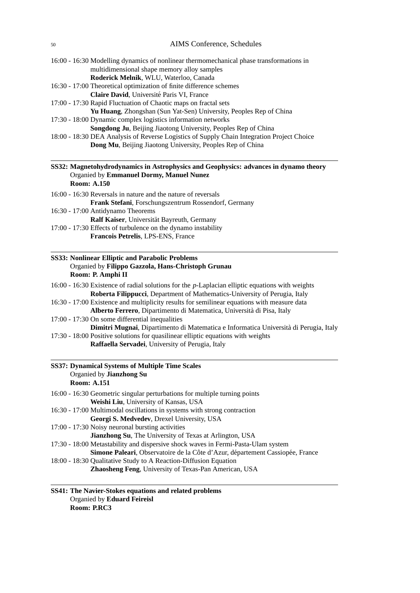- 16:00 16:30 Modelling dynamics of nonlinear thermomechanical phase transformations in multidimensional shape memory alloy samples **Roderick Melnik**, WLU, Waterloo, Canada
- 16:30 17:00 Theoretical optimization of finite difference schemes **Claire David**, Université Paris VI, France
- 17:00 17:30 Rapid Fluctuation of Chaotic maps on fractal sets **Yu Huang**, Zhongshan (Sun Yat-Sen) University, Peoples Rep of China
- 17:30 18:00 Dynamic complex logistics information networks **Songdong Ju**, Beijing Jiaotong University, Peoples Rep of China
- 18:00 18:30 DEA Analysis of Reverse Logistics of Supply Chain Integration Project Choice **Dong Mu**, Beijing Jiaotong University, Peoples Rep of China

#### **SS32: Magnetohydrodynamics in Astrophysics and Geophysics: advances in dynamo theory** Organied by **Emmanuel Dormy, Manuel Nunez Room: A.150**

```
16:00 - 16:30 Reversals in nature and the nature of reversals
 Frank Stefani, Forschungszentrum Rossendorf, Germany
```
- 16:30 17:00 Antidynamo Theorems
- **Ralf Kaiser**, Universität Bayreuth, Germany
- 17:00 17:30 Effects of turbulence on the dynamo instability **Francois Petrelis**, LPS-ENS, France

# **SS33: Nonlinear Elliptic and Parabolic Problems** Organied by **Filippo Gazzola, Hans-Christoph Grunau Room: P. Amphi II**

- 16:00 16:30 Existence of radial solutions for the *p*-Laplacian elliptic equations with weights **Roberta Filippucci**, Department of Mathematics-University of Perugia, Italy
- 16:30 17:00 Existence and multiplicity results for semilinear equations with measure data **Alberto Ferrero**, Dipartimento di Matematica, Universita di Pisa, Italy `
- 17:00 17:30 On some differential inequalities

**Dimitri Mugnai**, Dipartimento di Matematica e Informatica Universita di Perugia, Italy `

17:30 - 18:00 Positive solutions for quasilinear elliptic equations with weights **Raffaella Servadei**, University of Perugia, Italy

| <b>SS37: Dynamical Systems of Multiple Time Scales</b><br>Organied by Jianzhong Su |  |
|------------------------------------------------------------------------------------|--|
| <b>Room: A.151</b>                                                                 |  |
| 16:00 - 16:30 Geometric singular perturbations for multiple turning points         |  |
| Weishi Liu, University of Kansas, USA                                              |  |
| 16:30 - 17:00 Multimodal oscillations in systems with strong contraction           |  |
| Georgi S. Medvedev, Drexel University, USA                                         |  |
| 17:00 - 17:30 Noisy neuronal bursting activities                                   |  |
| Jianzhong Su, The University of Texas at Arlington, USA                            |  |
| 17:30 - 18:00 Metastability and dispersive shock waves in Fermi-Pasta-Ulam system  |  |
| Simone Paleari, Observatoire de la Côte d'Azur, département Cassiopée, France      |  |
| 18:00 - 18:30 Qualitative Study to A Reaction-Diffusion Equation                   |  |
| <b>Zhaosheng Feng, University of Texas-Pan American, USA</b>                       |  |

**SS41: The Navier-Stokes equations and related problems** Organied by **Eduard Feireisl Room: P.RC3**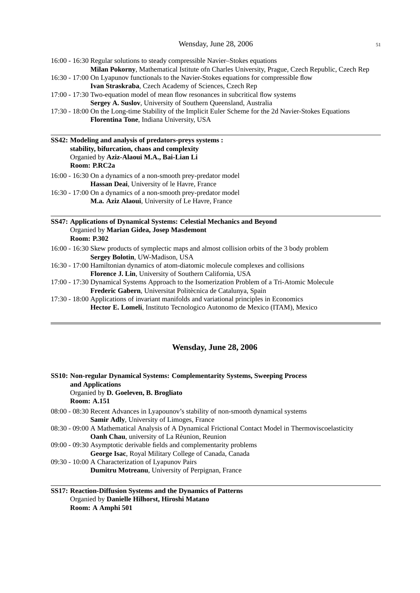16:00 - 16:30 Regular solutions to steady compressible Navier–Stokes equations **Milan Pokorny**, Mathematical Istitute ofn Charles University, Prague, Czech Republic, Czech Rep 16:30 - 17:00 On Lyapunov functionals to the Navier-Stokes equations for compressible flow **Ivan Straskraba**, Czech Academy of Sciences, Czech Rep 17:00 - 17:30 Two-equation model of mean flow resonances in subcritical flow systems **Sergey A. Suslov**, University of Southern Queensland, Australia

17:30 - 18:00 On the Long-time Stability of the Implicit Euler Scheme for the 2d Navier-Stokes Equations **Florentina Tone**, Indiana University, USA

# **SS42: Modeling and analysis of predators-preys systems : stability, bifurcation, chaos and complexity** Organied by **Aziz-Alaoui M.A., Bai-Lian Li Room: P.RC2a**

16:00 - 16:30 On a dynamics of a non-smooth prey-predator model **Hassan Deai**, University of le Havre, France

16:30 - 17:00 On a dynamics of a non-smooth prey-predator model **M.a. Aziz Alaoui**, University of Le Havre, France

### **SS47: Applications of Dynamical Systems: Celestial Mechanics and Beyond** Organied by **Marian Gidea, Josep Masdemont Room: P.302**

- 16:00 16:30 Skew products of symplectic maps and almost collision orbits of the 3 body problem **Sergey Bolotin**, UW-Madison, USA
- 16:30 17:00 Hamiltonian dynamics of atom-diatomic molecule complexes and collisions **Florence J. Lin**, University of Southern California, USA
- 17:00 17:30 Dynamical Systems Approach to the Isomerization Problem of a Tri-Atomic Molecule **Frederic Gabern**, Universitat Politècnica de Catalunya, Spain

17:30 - 18:00 Applications of invariant manifolds and variational principles in Economics **Hector E. Lomel´ı**, Instituto Tecnologico Autonomo de Mexico (ITAM), Mexico

## **Wensday, June 28, 2006**

| SS10: Non-regular Dynamical Systems: Complementarity Systems, Sweeping Process<br>and Applications     |
|--------------------------------------------------------------------------------------------------------|
| Organied by D. Goeleven, B. Brogliato                                                                  |
| <b>Room: A.151</b>                                                                                     |
| 08:00 - 08:30 Recent Advances in Lyapounov's stability of non-smooth dynamical systems                 |
| <b>Samir Adly, University of Limoges, France</b>                                                       |
| 08:30 - 09:00 A Mathematical Analysis of A Dynamical Frictional Contact Model in Thermoviscoelasticity |
| <b>Oanh Chau, university of La Réunion, Reunion</b>                                                    |
| 09:00 - 09:30 Asymptotic derivable fields and complementarity problems                                 |
| George Isac, Royal Military College of Canada, Canada                                                  |
| 09:30 - 10:00 A Characterization of Lyapunov Pairs                                                     |
| <b>Dumitru Motreanu, University of Perpignan, France</b>                                               |

#### **SS17: Reaction-Diffusion Systems and the Dynamics of Patterns** Organied by **Danielle Hilhorst, Hiroshi Matano Room: A Amphi 501**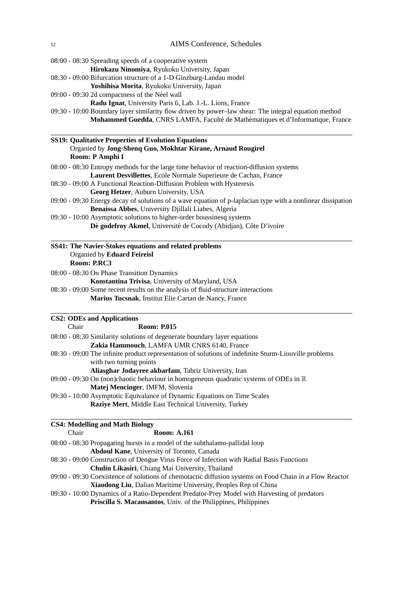08:00 - 08:30 Spreading speeds of a cooperative system

- **Hirokazu Ninomiya**, Ryukoku University, Japan
- 08:30 09:00 Bifurcation structure of a 1-D Ginzburg-Landau model
- **Yoshihisa Morita**, Ryukoku University, Japan
- $09:00 09:30$  2d compactness of the Néel wall
	- **Radu Ignat**, University Paris 6, Lab. J.-L. Lions, France
- 09:30 10:00 Boundary layer similarity flow driven by power–law shear: The integral equation method Mohammed Guedda, CNRS LAMFA, Faculté de Mathématiques et d'Informatique, France

| <b>SS19: Qualitative Properties of Evolution Equations</b>                                                  |
|-------------------------------------------------------------------------------------------------------------|
| Organied by Jong-Shenq Guo, Mokhtar Kirane, Arnaud Rougirel                                                 |
| Room: P Amphi I                                                                                             |
| 08:00 - 08:30 Entropy methods for the large time behavior of reaction-diffusion systems                     |
| Laurent Desvillettes, Ecole Normale Superieure de Cachan, France                                            |
| 08:30 - 09:00 A Functional Reaction-Diffusion Problem with Hysteresis                                       |
| <b>Georg Hetzer, Auburn University, USA</b>                                                                 |
| 09:00 - 09:30 Energy decay of solutions of a wave equation of p-laplacian type with a nonlinear dissipation |
| <b>Benaissa Abbes, University Djillali Liabes, Algeria</b>                                                  |
| 09:30 - 10:00 Asymptotic solutions to higher-order boussinesq systems                                       |
| Dé godefroy Akmel, Université de Cocody (Abidjan), Côte D'ivoire                                            |
| SS41: The Navier-Stokes equations and related problems                                                      |
| Organied by Eduard Feireisl                                                                                 |
| Room: P.RC3                                                                                                 |
| 08:00 - 08:30 On Phase Transition Dynamics                                                                  |

**Konstantina Trivisa**, University of Maryland, USA 08:30 - 09:00 Some recent results on the analysis of fluid-structure interactions

**Marius Tucsnak**, Institut Elie Cartan de Nancy, France

#### **CS2: ODEs and Applications**

Chair **Room: P.015** 08:00 - 08:30 Similarity solutions of degenerate boundary layer equations **Zakia Hammouch**, LAMFA UMR CNRS 6140, France 08:30 - 09:00 The infinite product representation of solutions of indefinite Sturm-Liouville problems with two turning points **Aliasghar Jodayree akbarfam**, Tabriz University, Iran 09:00 - 09:30 On (non)chaotic behaviour in homogeneous quadratic systems of ODEs in  $\mathbb R$ **Matej Mencinger**, IMFM, Slovenia 09:30 - 10:00 Asymptotic Equivalance of Dynamic Equations on Time Scales

**Raziye Mert**, Middle East Technical University, Turkey

#### **CS4: Modelling and Math Biology**

| Chair | <b>Room: A.161</b>                                                                                      |
|-------|---------------------------------------------------------------------------------------------------------|
|       | 08:00 - 08:30 Propagating bursts in a model of the subthalamo-pallidal loop                             |
|       | Abdoul Kane, University of Toronto, Canada                                                              |
|       | 08:30 - 09:00 Construction of Dengue Virus Force of Infection with Radial Basis Functions               |
|       | Chulin Likasiri, Chiang Mai University, Thailand                                                        |
|       | 09:00 - 09:30 Coexistence of solutions of chemotactic diffusion systems on Food Chain in a Flow Reactor |
|       | Xiaodong Liu, Dalian Maritime University, Peoples Rep of China                                          |
|       | 09:30 - 10:00 Dynamics of a Ratio-Dependent Predator-Prey Model with Harvesting of predators            |
|       | <b>Priscilla S. Macansantos, Univ. of the Philippines, Philippines</b>                                  |
|       |                                                                                                         |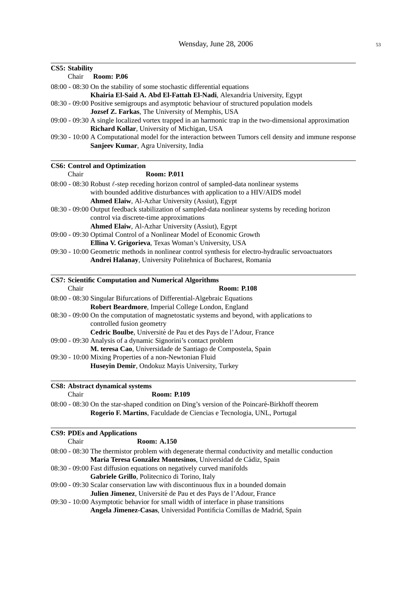# **CS5: Stability**

| $\sim$ . $\sim$ . $\sim$ |                                                                                                                                                         |
|--------------------------|---------------------------------------------------------------------------------------------------------------------------------------------------------|
| Chair                    | <b>Room: P.06</b>                                                                                                                                       |
|                          | 08:00 - 08:30 On the stability of some stochastic differential equations                                                                                |
|                          | Khairia El-Said A. Abd El-Fattah El-Nadi, Alexandria University, Egypt                                                                                  |
|                          | 08:30 - 09:00 Positive semigroups and asymptotic behaviour of structured population models                                                              |
|                          | Jozsef Z. Farkas, The University of Memphis, USA                                                                                                        |
|                          | 09:00 - 09:30 A single localized vortex trapped in an harmonic trap in the two-dimensional approximation<br>Richard Kollar, University of Michigan, USA |
|                          | 09:30 - 10:00 A Computational model for the interaction between Tumors cell density and immune response<br>Sanjeev Kumar, Agra University, India        |
|                          | <b>CS6: Control and Optimization</b>                                                                                                                    |
| Chair                    | <b>Room: P.011</b>                                                                                                                                      |
|                          | 08:00 - 08:30 Robust $\ell$ -step receding horizon control of sampled-data nonlinear systems                                                            |
|                          | with bounded additive disturbances with application to a HIV/AIDS model                                                                                 |
|                          | Ahmed Elaiw, Al-Azhar University (Assiut), Egypt                                                                                                        |
|                          | 08:30 - 09:00 Output feedback stabilization of sampled-data nonlinear systems by receding horizon                                                       |
|                          | control via discrete-time approximations                                                                                                                |
|                          | Ahmed Elaiw, Al-Azhar University (Assiut), Egypt                                                                                                        |
|                          | 09:00 - 09:30 Optimal Control of a Nonlinear Model of Economic Growth                                                                                   |
|                          | Ellina V. Grigorieva, Texas Woman's University, USA                                                                                                     |
|                          | 09:30 - 10:00 Geometric methods in nonlinear control synthesis for electro-hydraulic servoactuators                                                     |
|                          | Andrei Halanay, University Politehnica of Bucharest, Romania                                                                                            |
|                          | <b>CS7: Scientific Computation and Numerical Algorithms</b>                                                                                             |
| Chair                    | <b>Room: P.108</b>                                                                                                                                      |
|                          | 08:00 - 08:30 Singular Bifurcations of Differential-Algebraic Equations                                                                                 |
|                          | Robert Beardmore, Imperial College London, England                                                                                                      |
|                          | 08:30 - 09:00 On the computation of magnetostatic systems and beyond, with applications to                                                              |
|                          | controlled fusion geometry                                                                                                                              |
|                          | Cedric Boulbe, Université de Pau et des Pays de l'Adour, France                                                                                         |
|                          | 09:00 - 09:30 Analysis of a dynamic Signorini's contact problem                                                                                         |
|                          | M. teresa Cao, Universidade de Santiago de Compostela, Spain                                                                                            |
|                          | 09:30 - 10:00 Mixing Properties of a non-Newtonian Fluid                                                                                                |
|                          |                                                                                                                                                         |
|                          |                                                                                                                                                         |
|                          | Huseyin Demir, Ondokuz Mayis University, Turkey<br><b>CS8: Abstract dynamical systems</b>                                                               |

| :hair<br>٠<br>× |
|-----------------|
|-----------------|

**Room: P.109** 

08:00 - 08:30 On the star-shaped condition on Ding's version of the Poincaré-Birkhoff theorem **Rogerio F. Martins**, Faculdade de Ciencias e Tecnologia, UNL, Portugal

# **CS9: PDEs and Applications**

| Chair | <b>Room: A.150</b>                                                                                |  |
|-------|---------------------------------------------------------------------------------------------------|--|
|       | 08:00 - 08:30 The thermistor problem with degenerate thermal conductivity and metallic conduction |  |
|       | María Teresa González Montesinos, Universidad de Cádiz, Spain                                     |  |
|       | 08:30 - 09:00 Fast diffusion equations on negatively curved manifolds                             |  |
|       | Gabriele Grillo, Politecnico di Torino, Italy                                                     |  |
|       | 09:00 - 09:30 Scalar conservation law with discontinuous flux in a bounded domain                 |  |
|       | <b>Julien Jimenez</b> , Université de Pau et des Pays de l'Adour, France                          |  |
|       | 09:30 - 10:00 Asymptotic behavior for small width of interface in phase transitions               |  |
|       | <b>Angela Jimenez-Casas, Universidad Pontificia Comillas de Madrid, Spain</b>                     |  |
|       |                                                                                                   |  |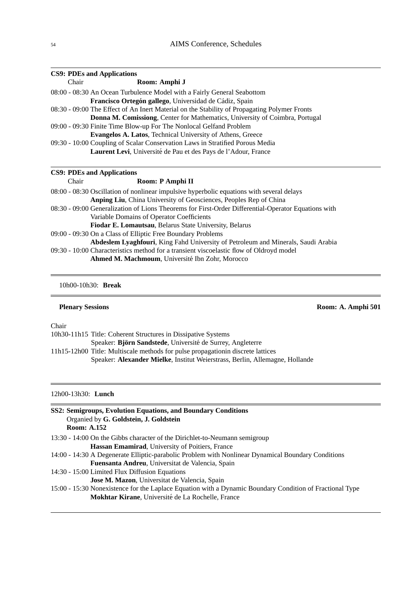|       | <b>CS9: PDEs and Applications</b>                                                                   |
|-------|-----------------------------------------------------------------------------------------------------|
| Chair | Room: Amphi J                                                                                       |
|       | 08:00 - 08:30 An Ocean Turbulence Model with a Fairly General Seabottom                             |
|       | Francisco Ortegón gallego, Universidad de Cádiz, Spain                                              |
|       | 08:30 - 09:00 The Effect of An Inert Material on the Stability of Propagating Polymer Fronts        |
|       | Donna M. Comissiong, Center for Mathematics, University of Coimbra, Portugal                        |
|       | 09:00 - 09:30 Finite Time Blow-up For The Nonlocal Gelfand Problem                                  |
|       | Evangelos A. Latos, Technical University of Athens, Greece                                          |
|       | 09:30 - 10:00 Coupling of Scalar Conservation Laws in Stratified Porous Media                       |
|       | <b>Laurent Levi</b> , Université de Pau et des Pays de l'Adour, France                              |
|       |                                                                                                     |
|       | <b>CS9: PDEs and Applications</b>                                                                   |
| Chair | Room: P Amphi II                                                                                    |
|       | 08:00 - 08:30 Oscillation of nonlinear impulsive hyperbolic equations with several delays           |
|       | Anping Liu, China University of Geosciences, Peoples Rep of China                                   |
|       | 08:30 - 09:00 Generalization of Lions Theorems for First-Order Differential-Operator Equations with |
|       | Variable Domains of Operator Coefficients                                                           |
|       | Fiodar E. Lomautsau, Belarus State University, Belarus                                              |
|       | 09:00 - 09:30 On a Class of Elliptic Free Boundary Problems                                         |
|       | Abdeslem Lyaghfouri, King Fahd University of Petroleum and Minerals, Saudi Arabia                   |
|       | 09:30 - 10:00 Characteristics method for a transient viscoelastic flow of Oldroyd model             |
|       | Ahmed M. Machmoum, Université Ibn Zohr, Morocco                                                     |
|       |                                                                                                     |

10h00-10h30: **Break**

# **Plenary Sessions** Room: A. Amphi 501

Chair

 $\equiv$ 

| 10h30-11h15 Title: Coherent Structures in Dissipative Systems                    |
|----------------------------------------------------------------------------------|
| Speaker: Björn Sandstede, Université de Surrey, Angleterre                       |
| 11h15-12h00 Title: Multiscale methods for pulse propagation in discrete lattices |
| Speaker: Alexander Mielke, Institut Weierstrass, Berlin, Allemagne, Hollande     |

12h00-13h30: **Lunch**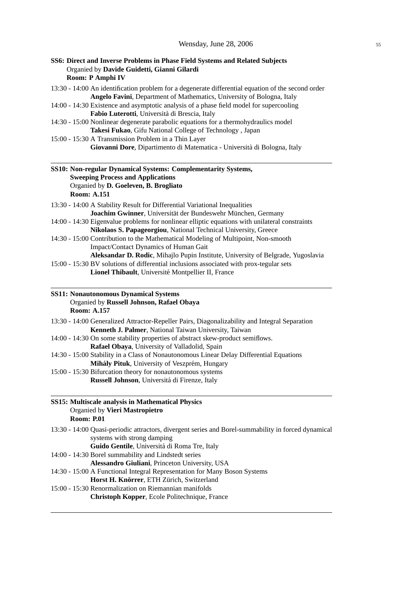| SS6: Direct and Inverse Problems in Phase Field Systems and Related Subjects<br>Organied by Davide Guidetti, Gianni Gilardi<br>Room: P Amphi IV                                                                                                                                                                                                                                                                                                                                                                                                                                                                                                                                    |
|------------------------------------------------------------------------------------------------------------------------------------------------------------------------------------------------------------------------------------------------------------------------------------------------------------------------------------------------------------------------------------------------------------------------------------------------------------------------------------------------------------------------------------------------------------------------------------------------------------------------------------------------------------------------------------|
| 13:30 - 14:00 An identification problem for a degenerate differential equation of the second order<br>Angelo Favini, Department of Mathematics, University of Bologna, Italy<br>14:00 - 14:30 Existence and asymptotic analysis of a phase field model for supercooling<br>Fabio Luterotti, Università di Brescia, Italy<br>14:30 - 15:00 Nonlinear degenerate parabolic equations for a thermohydraulics model<br>Takesi Fukao, Gifu National College of Technology, Japan<br>15:00 - 15:30 A Transmission Problem in a Thin Layer                                                                                                                                                |
| Giovanni Dore, Dipartimento di Matematica - Università di Bologna, Italy                                                                                                                                                                                                                                                                                                                                                                                                                                                                                                                                                                                                           |
| SS10: Non-regular Dynamical Systems: Complementarity Systems,<br><b>Sweeping Process and Applications</b><br>Organied by D. Goeleven, B. Brogliato<br><b>Room: A.151</b>                                                                                                                                                                                                                                                                                                                                                                                                                                                                                                           |
| 13:30 - 14:00 A Stability Result for Differential Variational Inequalities<br>Joachim Gwinner, Universität der Bundeswehr München, Germany<br>14:00 - 14:30 Eigenvalue problems for nonlinear elliptic equations with unilateral constraints<br>Nikolaos S. Papageorgiou, National Technical University, Greece<br>14:30 - 15:00 Contribution to the Mathematical Modeling of Multipoint, Non-smooth<br>Impact/Contact Dynamics of Human Gait<br>Aleksandar D. Rodic, Mihajlo Pupin Institute, University of Belgrade, Yugoslavia<br>15:00 - 15:30 BV solutions of differential inclusions associated with prox-tegular sets<br>Lionel Thibault, Université Montpellier II, France |
| <b>SS11: Nonautonomous Dynamical Systems</b>                                                                                                                                                                                                                                                                                                                                                                                                                                                                                                                                                                                                                                       |
| Organied by Russell Johnson, Rafael Obaya<br><b>Room: A.157</b>                                                                                                                                                                                                                                                                                                                                                                                                                                                                                                                                                                                                                    |
| 13:30 - 14:00 Generalized Attractor-Repeller Pairs, Diagonalizability and Integral Separation<br>Kenneth J. Palmer, National Taiwan University, Taiwan                                                                                                                                                                                                                                                                                                                                                                                                                                                                                                                             |
| 14:00 - 14:30 On some stability properties of abstract skew-product semiflows.<br>Rafael Obaya, University of Valladolid, Spain                                                                                                                                                                                                                                                                                                                                                                                                                                                                                                                                                    |
| 14:30 - 15:00 Stability in a Class of Nonautonomous Linear Delay Differential Equations<br>Mihály Pituk, University of Veszprém, Hungary<br>15:00 - 15:30 Bifurcation theory for nonautonomous systems<br>Russell Johnson, Universitá di Firenze, Italy                                                                                                                                                                                                                                                                                                                                                                                                                            |
| <b>SS15: Multiscale analysis in Mathematical Physics</b><br>Organied by Vieri Mastropietro<br><b>Room: P.01</b>                                                                                                                                                                                                                                                                                                                                                                                                                                                                                                                                                                    |
| 13:30 - 14:00 Quasi-periodic attractors, divergent series and Borel-summability in forced dynamical<br>systems with strong damping<br>Guido Gentile, Universitá di Roma Tre, Italy<br>14:00 - 14:30 Borel summability and Lindstedt series                                                                                                                                                                                                                                                                                                                                                                                                                                         |
| Alessandro Giuliani, Princeton University, USA<br>14:30 - 15:00 A Functional Integral Representation for Many Boson Systems<br>Horst H. Knörrer, ETH Zürich, Switzerland                                                                                                                                                                                                                                                                                                                                                                                                                                                                                                           |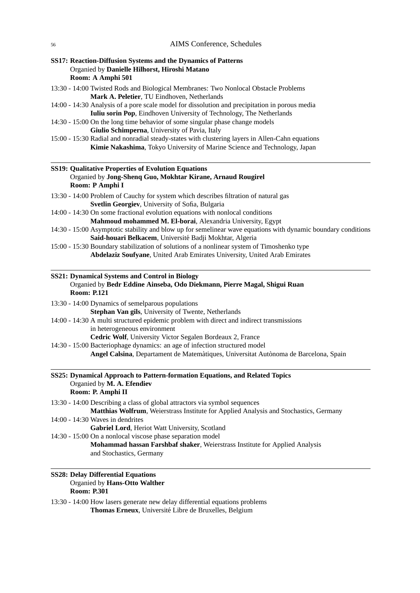| SS17: Reaction-Diffusion Systems and the Dynamics of Patterns                                                                                                                |  |
|------------------------------------------------------------------------------------------------------------------------------------------------------------------------------|--|
| Organied by Danielle Hilhorst, Hiroshi Matano<br>Room: A Amphi 501                                                                                                           |  |
| 13:30 - 14:00 Twisted Rods and Biological Membranes: Two Nonlocal Obstacle Problems                                                                                          |  |
| Mark A. Peletier, TU Eindhoven, Netherlands                                                                                                                                  |  |
| 14:00 - 14:30 Analysis of a pore scale model for dissolution and precipitation in porous media                                                                               |  |
| Iuliu sorin Pop, Eindhoven University of Technology, The Netherlands                                                                                                         |  |
| 14:30 - 15:00 On the long time behavior of some singular phase change models                                                                                                 |  |
| Giulio Schimperna, University of Pavia, Italy                                                                                                                                |  |
| 15:00 - 15:30 Radial and nonradial steady-states with clustering layers in Allen-Cahn equations<br>Kimie Nakashima, Tokyo University of Marine Science and Technology, Japan |  |
| <b>SS19: Qualitative Properties of Evolution Equations</b>                                                                                                                   |  |
| Organied by Jong-Shenq Guo, Mokhtar Kirane, Arnaud Rougirel<br>Room: P Amphi I                                                                                               |  |
| 13:30 - 14:00 Problem of Cauchy for system which describes filtration of natural gas<br>Svetlin Georgiev, University of Sofia, Bulgaria                                      |  |
| 14:00 - 14:30 On some fractional evolution equations with nonlocal conditions                                                                                                |  |
| Mahmoud mohammed M. El-borai, Alexandria University, Egypt                                                                                                                   |  |
| 14:30 - 15:00 Asymptotic stability and blow up for semelinear wave equations with dynamic boundary conditions                                                                |  |
| Said-houari Belkacem, Université Badji Mokhtar, Algeria                                                                                                                      |  |
| 15:00 - 15:30 Boundary stabilization of solutions of a nonlinear system of Timoshenko type                                                                                   |  |
| Abdelaziz Soufyane, United Arab Emirates University, United Arab Emirates                                                                                                    |  |
| <b>SS21: Dynamical Systems and Control in Biology</b><br>Organied by Bedr Eddine Ainseba, Odo Diekmann, Pierre Magal, Shigui Ruan<br><b>Room: P.121</b>                      |  |
| 13:30 - 14:00 Dynamics of semelparous populations                                                                                                                            |  |
| Stephan Van gils, University of Twente, Netherlands                                                                                                                          |  |
| 14:00 - 14:30 A multi structured epidemic problem with direct and indirect transmissions                                                                                     |  |
| in heterogeneous environment                                                                                                                                                 |  |
| Cedric Wolf, University Victor Segalen Bordeaux 2, France                                                                                                                    |  |
| 14:30 - 15:00 Bacteriophage dynamics: an age of infection structured model                                                                                                   |  |
| Angel Calsina, Departament de Matemàtiques, Universitat Autònoma de Barcelona, Spain                                                                                         |  |
| SS25: Dynamical Approach to Pattern-formation Equations, and Related Topics                                                                                                  |  |
| Organied by M. A. Efendiev<br>Room: P. Amphi II                                                                                                                              |  |
| 13:30 - 14:00 Describing a class of global attractors via symbol sequences<br>Matthias Wolfrum, Weierstrass Institute for Applied Analysis and Stochastics, Germany          |  |
| 14:00 - 14:30 Waves in dendrites<br>Gabriel Lord, Heriot Watt University, Scotland                                                                                           |  |
| 14:30 - 15:00 On a nonlocal viscose phase separation model                                                                                                                   |  |
| Mohammad hassan Farshbaf shaker, Weierstrass Institute for Applied Analysis<br>and Stochastics, Germany                                                                      |  |
|                                                                                                                                                                              |  |

# **SS28: Delay Differential Equations** Organied by **Hans-Otto Walther Room: P.301**

13:30 - 14:00 How lasers generate new delay differential equations problems **Thomas Erneux**, Universite Libre de Bruxelles, Belgium ´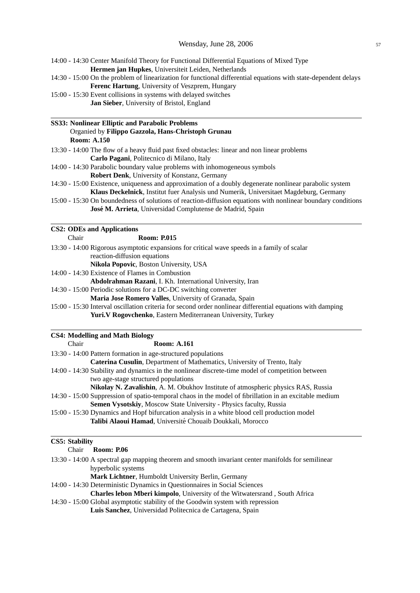| 14:00 - 14:30 Center Manifold Theory for Functional Differential Equations of Mixed Type |
|------------------------------------------------------------------------------------------|
| <b>Hermen jan Hupkes, Universiteit Leiden, Netherlands</b>                               |

14:30 - 15:00 On the problem of linearization for functional differential equations with state-dependent delays **Ferenc Hartung**, University of Veszprem, Hungary

15:00 - 15:30 Event collisions in systems with delayed switches

**Jan Sieber**, University of Bristol, England

#### **SS33: Nonlinear Elliptic and Parabolic Problems** Organied by **Filippo Gazzola, Hans-Christoph Grunau Room: A.150**

- 13:30 14:00 The flow of a heavy fluid past fixed obstacles: linear and non linear problems **Carlo Pagani**, Politecnico di Milano, Italy
- 14:00 14:30 Parabolic boundary value problems with inhomogeneous symbols
	- **Robert Denk**, University of Konstanz, Germany
- 14:30 15:00 Existence, uniqueness and approximation of a doubly degenerate nonlinear parabolic system **Klaus Deckelnick**, Institut fuer Analysis und Numerik, Universitaet Magdeburg, Germany
- 15:00 15:30 On boundedness of solutions of reaction-diffusion equations with nonlinear boundary conditions José M. Arrieta, Universidad Complutense de Madrid, Spain

#### **CS2: ODEs and Applications**

Chair **Room: P.015**

- 13:30 14:00 Rigorous asymptotic expansions for critical wave speeds in a family of scalar reaction-diffusion equations **Nikola Popovic**, Boston University, USA
- 14:00 14:30 Existence of Flames in Combustion

**Abdolrahman Razani**, I. Kh. International University, Iran

14:30 - 15:00 Periodic solutions for a DC-DC switching converter

**Maria Jose Romero Valles**, University of Granada, Spain

15:00 - 15:30 Interval oscillation criteria for second order nonlinear differential equations with damping **Yuri.V Rogovchenko**, Eastern Mediterranean University, Turkey

# **CS4: Modelling and Math Biology**

| 13:30 - 14:00 Pattern formation in age-structured populations                                          |
|--------------------------------------------------------------------------------------------------------|
|                                                                                                        |
| Caterina Cusulin, Department of Mathematics, University of Trento, Italy                               |
| 14:00 - 14:30 Stability and dynamics in the nonlinear discrete-time model of competition between       |
| two age-stage structured populations                                                                   |
| <b>Nikolay N. Zavalishin,</b> A. M. Obukhov Institute of atmospheric physics RAS, Russia               |
| 14:30 - 15:00 Suppression of spatio-temporal chaos in the model of fibrillation in an excitable medium |
| Semen Vysotskiy, Moscow State University - Physics faculty, Russia                                     |
| 15:00 - 15:30 Dynamics and Hopf bifurcation analysis in a white blood cell production model            |
| Talibi Alaoui Hamad, Université Chouaib Doukkali, Morocco                                              |
|                                                                                                        |

# **CS5: Stability**

| Chair | <b>Room: P.06</b>                                                                                 |
|-------|---------------------------------------------------------------------------------------------------|
|       | 13:30 - 14:00 A spectral gap mapping theorem and smooth invariant center manifolds for semilinear |
|       | hyperbolic systems                                                                                |
|       | Mark Lichtner, Humboldt University Berlin, Germany                                                |
|       | 14:00 - 14:30 Deterministic Dynamics in Questionnaires in Social Sciences                         |
|       | Charles lebon Mberi kimpolo, University of the Witwatersrand, South Africa                        |
|       |                                                                                                   |

14:30 - 15:00 Global asymptotic stability of the Goodwin system with repression **Luis Sanchez**, Universidad Politecnica de Cartagena, Spain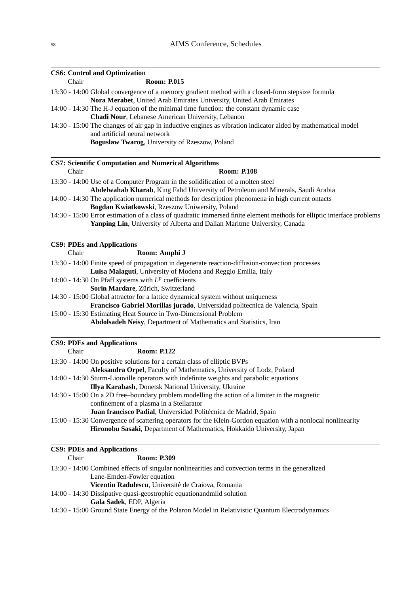|       | <b>CS6: Control and Optimization</b>                                                                                            |
|-------|---------------------------------------------------------------------------------------------------------------------------------|
| Chair | <b>Room: P.015</b>                                                                                                              |
|       | 13:30 - 14:00 Global convergence of a memory gradient method with a closed-form stepsize formula                                |
|       | Nora Merabet, United Arab Emirates University, United Arab Emirates                                                             |
|       | 14:00 - 14:30 The H-J equation of the minimal time function: the constant dynamic case                                          |
|       | Chadi Nour, Lebanese American University, Lebanon                                                                               |
|       | 14:30 - 15:00 The changes of air gap in inductive engines as vibration indicator aided by mathematical model                    |
|       | and artificial neural network                                                                                                   |
|       | Boguslaw Twarog, University of Rzeszow, Poland                                                                                  |
|       | <b>CS7: Scientific Computation and Numerical Algorithms</b>                                                                     |
| Chair | <b>Room: P.108</b>                                                                                                              |
|       | 13:30 - 14:00 Use of a Computer Program in the solidification of a molten steel                                                 |
|       | Abdelwahab Kharab, King Fahd University of Petroleum and Minerals, Saudi Arabia                                                 |
|       | 14:00 - 14:30 The application numerical methods for description phenomena in high current ontacts                               |
|       | Bogdan Kwiatkowski, Rzeszow Uniwersity, Poland                                                                                  |
|       | 14:30 - 15:00 Error estimation of a class of quadratic immersed finite element methods for elliptic interface problems          |
|       | Yanping Lin, University of Alberta and Dalian Maritme University, Canada                                                        |
|       | <b>CS9: PDEs and Applications</b>                                                                                               |
| Chair | Room: Amphi J                                                                                                                   |
|       | 13:30 - 14:00 Finite speed of propagation in degenerate reaction-diffusion-convection processes                                 |
|       | Luisa Malaguti, University of Modena and Reggio Emilia, Italy                                                                   |
|       | 14:00 - 14:30 On Pfaff systems with $L^p$ coefficients                                                                          |
|       | Sorin Mardare, Zürich, Switzerland                                                                                              |
|       | 14:30 - 15:00 Global attractor for a lattice dynamical system without uniqueness                                                |
|       | Francisco Gabriel Morillas jurado, Universidad politecnica de Valencia, Spain                                                   |
|       | 15:00 - 15:30 Estimating Heat Source in Two-Dimensional Problem                                                                 |
|       | Abdolsadeh Neisy, Department of Mathematics and Statistics, Iran                                                                |
|       | <b>CS9: PDEs and Applications</b>                                                                                               |
| Chair | <b>Room: P.122</b>                                                                                                              |
|       | 13:30 - 14:00 On positive solutions for a certain class of elliptic BVPs                                                        |
|       | Aleksandra Orpel, Faculty of Mathematics, University of Lodz, Poland                                                            |
|       | 14:00 - 14:30 Sturm-Liouville operators with indefinite weights and parabolic equations                                         |
|       | Illya Karabash, Donetsk National University, Ukraine                                                                            |
|       | 14:30 - 15:00 On a 2D free-boundary problem modelling the action of a limiter in the magnetic                                   |
|       | confinement of a plasma in a Stellarator                                                                                        |
|       | Juan francisco Padial, Universidad Politécnica de Madrid, Spain                                                                 |
|       | 15:00 - 15:30 Convergence of scattering operators for the Klein-Gordon equation with a nonlocal nonlinearity                    |
|       | Hironobu Sasaki, Department of Mathematics, Hokkaido University, Japan                                                          |
|       | <b>CS9: PDEs and Applications</b>                                                                                               |
| Chair | <b>Room: P.309</b>                                                                                                              |
|       | 13:30 - 14:00 Combined effects of singular nonlinearities and convection terms in the generalized<br>Lane-Emden-Fowler equation |

Vicentiu Radulescu, Université de Craiova, Romania

14:00 - 14:30 Dissipative quasi-geostrophic equationandmild solution

**Gala Sadek**, EDP, Algeria

14:30 - 15:00 Ground State Energy of the Polaron Model in Relativistic Quantum Electrodynamics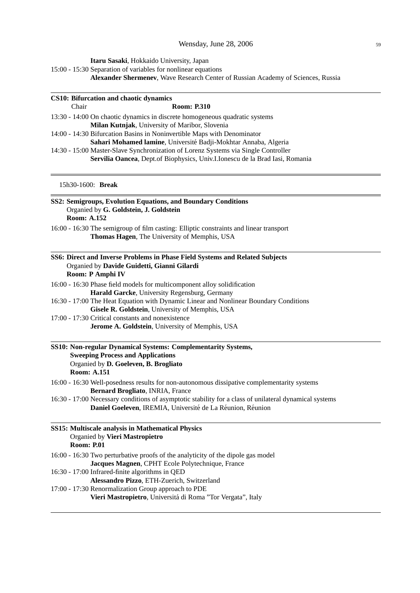**Itaru Sasaki**, Hokkaido University, Japan

- 15:00 15:30 Separation of variables for nonlinear equations
	- **Alexander Shermenev**, Wave Research Center of Russian Academy of Sciences, Russia

| <b>CS10: Bifurcation and chaotic dynamics</b>                                                                                                                            |
|--------------------------------------------------------------------------------------------------------------------------------------------------------------------------|
| <b>Room: P.310</b><br>Chair                                                                                                                                              |
| 13:30 - 14:00 On chaotic dynamics in discrete homogeneous quadratic systems                                                                                              |
| Milan Kutnjak, University of Maribor, Slovenia                                                                                                                           |
| 14:00 - 14:30 Bifurcation Basins in Noninvertible Maps with Denominator<br>Sahari Mohamed lamine, Université Badji-Mokhtar Annaba, Algeria                               |
| 14:30 - 15:00 Master-Slave Synchronization of Lorenz Systems via Single Controller                                                                                       |
| Servilia Oancea, Dept.of Biophysics, Univ.I.Ionescu de la Brad Iasi, Romania                                                                                             |
|                                                                                                                                                                          |
| 15h30-1600: Break                                                                                                                                                        |
| SS2: Semigroups, Evolution Equations, and Boundary Conditions                                                                                                            |
| Organied by G. Goldstein, J. Goldstein                                                                                                                                   |
| <b>Room: A.152</b>                                                                                                                                                       |
| 16:00 - 16:30 The semigroup of film casting: Elliptic constraints and linear transport<br>Thomas Hagen, The University of Memphis, USA                                   |
|                                                                                                                                                                          |
| SS6: Direct and Inverse Problems in Phase Field Systems and Related Subjects                                                                                             |
| Organied by Davide Guidetti, Gianni Gilardi                                                                                                                              |
| Room: P Amphi IV                                                                                                                                                         |
| 16:00 - 16:30 Phase field models for multicomponent alloy solidification                                                                                                 |
| Harald Garcke, University Regensburg, Germany                                                                                                                            |
| 16:30 - 17:00 The Heat Equation with Dynamic Linear and Nonlinear Boundary Conditions<br>Gisele R. Goldstein, University of Memphis, USA                                 |
| 17:00 - 17:30 Critical constants and nonexistence                                                                                                                        |
| Jerome A. Goldstein, University of Memphis, USA                                                                                                                          |
| SS10: Non-regular Dynamical Systems: Complementarity Systems,<br><b>Sweeping Process and Applications</b><br>Organied by D. Goeleven, B. Brogliato<br><b>Room: A.151</b> |
| 16:00 - 16:30 Well-posedness results for non-autonomous dissipative complementarity systems<br>Bernard Brogliato, INRIA, France                                          |
| 16:30 - 17:00 Necessary conditions of asymptotic stability for a class of unilateral dynamical systems<br>Daniel Goeleven, IREMIA, Université de La Réunion, Réunion     |
| SS15: Multiscale analysis in Mathematical Physics<br>Organied by Vieri Mastropietro<br><b>Room: P.01</b>                                                                 |
| 16:00 - 16:30 Two perturbative proofs of the analyticity of the dipole gas model                                                                                         |
| Jacques Magnen, CPHT Ecole Polytechnique, France                                                                                                                         |
| 16:30 - 17:00 Infrared-finite algorithms in QED<br>Alessandro Pizzo, ETH-Zuerich, Switzerland                                                                            |
| 17:00 - 17:30 Renormalization Group approach to PDE                                                                                                                      |
| Vieri Mastropietro, Universitá di Roma "Tor Vergata", Italy                                                                                                              |
|                                                                                                                                                                          |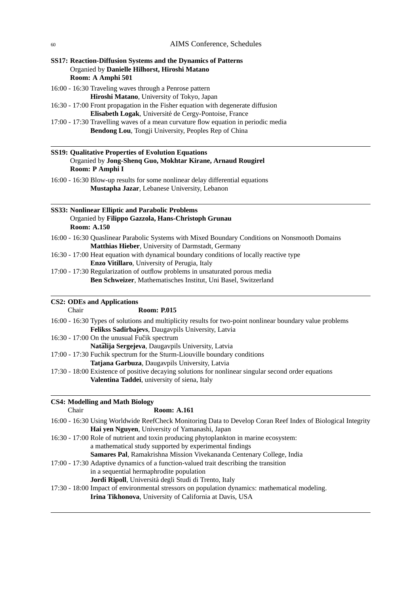# **SS17: Reaction-Diffusion Systems and the Dynamics of Patterns** Organied by **Danielle Hilhorst, Hiroshi Matano Room: A Amphi 501**

16:00 - 16:30 Traveling waves through a Penrose pattern **Hiroshi Matano**, University of Tokyo, Japan

16:30 - 17:00 Front propagation in the Fisher equation with degenerate diffusion **Elisabeth Logak**, Universite de Cergy-Pontoise, France ´

17:00 - 17:30 Travelling waves of a mean curvature flow equation in periodic media **Bendong Lou**, Tongji University, Peoples Rep of China

#### **SS19: Qualitative Properties of Evolution Equations** Organied by **Jong-Shenq Guo, Mokhtar Kirane, Arnaud Rougirel Room: P Amphi I**

16:00 - 16:30 Blow-up results for some nonlinear delay differential equations **Mustapha Jazar**, Lebanese University, Lebanon

#### **SS33: Nonlinear Elliptic and Parabolic Problems** Organied by **Filippo Gazzola, Hans-Christoph Grunau Room: A.150**

| 16:00 - 16:30 Quaslinear Parabolic Systems with Mixed Boundary Conditions on Nonsmooth Domains |  |
|------------------------------------------------------------------------------------------------|--|
| <b>Matthias Hieber, University of Darmstadt, Germany</b>                                       |  |

- 16:30 17:00 Heat equation with dynamical boundary conditions of locally reactive type **Enzo Vitillaro**, University of Perugia, Italy
- 17:00 17:30 Regularization of outflow problems in unsaturated porous media **Ben Schweizer**, Mathematisches Institut, Uni Basel, Switzerland

# **CS2: ODEs and Applications**

| Chair | <b>Room: P.015</b>                                                                                          |
|-------|-------------------------------------------------------------------------------------------------------------|
|       | 16:00 - 16:30 Types of solutions and multiplicity results for two-point nonlinear boundary value problems   |
|       | Felikss Sadirbajevs, Daugavpils University, Latvia                                                          |
|       | 16:30 - 17:00 On the unusual Fučik spectrum                                                                 |
|       | Natālija Sergejeva, Daugavpils University, Latvia                                                           |
|       | 17:00 - 17:30 Fuchik spectrum for the Sturm-Liouville boundary conditions                                   |
|       | Tatjana Garbuza, Daugavpils University, Latvia                                                              |
|       | 17:30 - 18:00 Existence of positive decaying solutions for nonlinear singular second order equations        |
|       | Valentina Taddei, university of siena, Italy                                                                |
|       |                                                                                                             |
|       | <b>CS4: Modelling and Math Biology</b>                                                                      |
| Chair | <b>Room: A.161</b>                                                                                          |
|       | 16:00 - 16:30 Using Worldwide ReefCheck Monitoring Data to Develop Coran Reef Index of Biological Integrity |
|       | Hai yen Nguyen, University of Yamanashi, Japan                                                              |
|       | 16:30 - 17:00 Role of nutrient and toxin producing phytoplankton in marine ecosystem:                       |
|       | a mathematical study supported by experimental findings                                                     |
|       | Samares Pal, Ramakrishna Mission Vivekananda Centenary College, India                                       |
|       | 17:00 - 17:30 Adaptive dynamics of a function-valued trait describing the transition                        |
|       | in a sequential hermaphrodite population                                                                    |
|       | <b>Jordi Ripoll</b> , Università degli Studi di Trento, Italy                                               |
|       | 17:30 - 18:00 Impact of environmental stressors on population dynamics: mathematical modeling.              |
|       | Irina Tikhonova, University of California at Davis, USA                                                     |